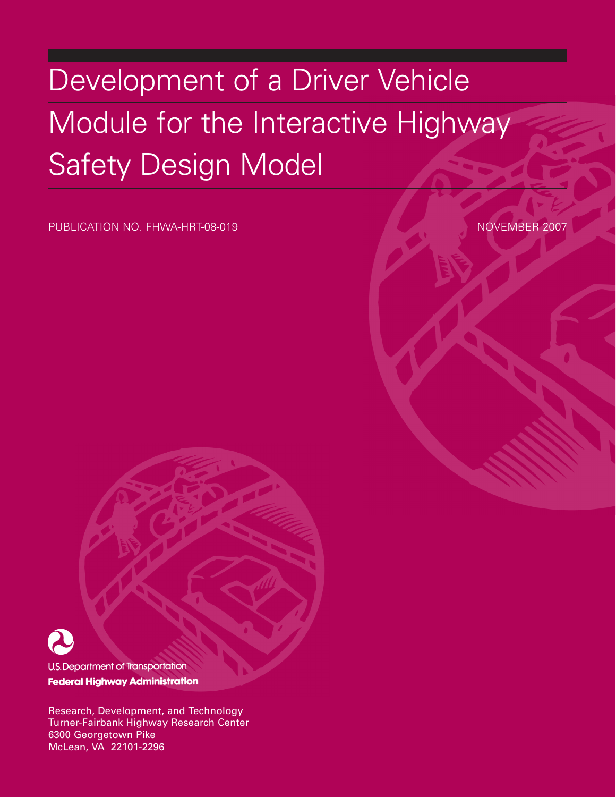# Development of a Driver Vehicle Module for the Interactive Highway Safety Design Model

PUBLICATION NO. FHWA-HRT-08-019 NOVEMBER 2007



**U.S. Department of Transportation Federal Highway Administration** 

Research, Development, and Technology Turner-Fairbank Highway Research Center 6300 Georgetown Pike McLean, VA 22101-2296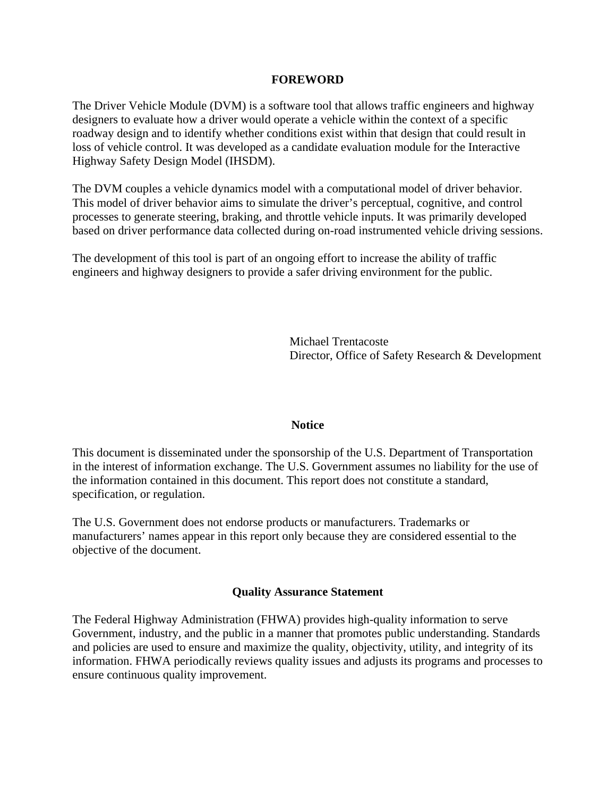#### **FOREWORD**

The Driver Vehicle Module (DVM) is a software tool that allows traffic engineers and highway designers to evaluate how a driver would operate a vehicle within the context of a specific roadway design and to identify whether conditions exist within that design that could result in loss of vehicle control. It was developed as a candidate evaluation module for the Interactive Highway Safety Design Model (IHSDM).

The DVM couples a vehicle dynamics model with a computational model of driver behavior. This model of driver behavior aims to simulate the driver's perceptual, cognitive, and control processes to generate steering, braking, and throttle vehicle inputs. It was primarily developed based on driver performance data collected during on-road instrumented vehicle driving sessions.

The development of this tool is part of an ongoing effort to increase the ability of traffic engineers and highway designers to provide a safer driving environment for the public.

> Michael Trentacoste Director, Office of Safety Research & Development

#### **Notice**

This document is disseminated under the sponsorship of the U.S. Department of Transportation in the interest of information exchange. The U.S. Government assumes no liability for the use of the information contained in this document. This report does not constitute a standard, specification, or regulation.

The U.S. Government does not endorse products or manufacturers. Trademarks or manufacturers' names appear in this report only because they are considered essential to the objective of the document.

#### **Quality Assurance Statement**

The Federal Highway Administration (FHWA) provides high-quality information to serve Government, industry, and the public in a manner that promotes public understanding. Standards and policies are used to ensure and maximize the quality, objectivity, utility, and integrity of its information. FHWA periodically reviews quality issues and adjusts its programs and processes to ensure continuous quality improvement.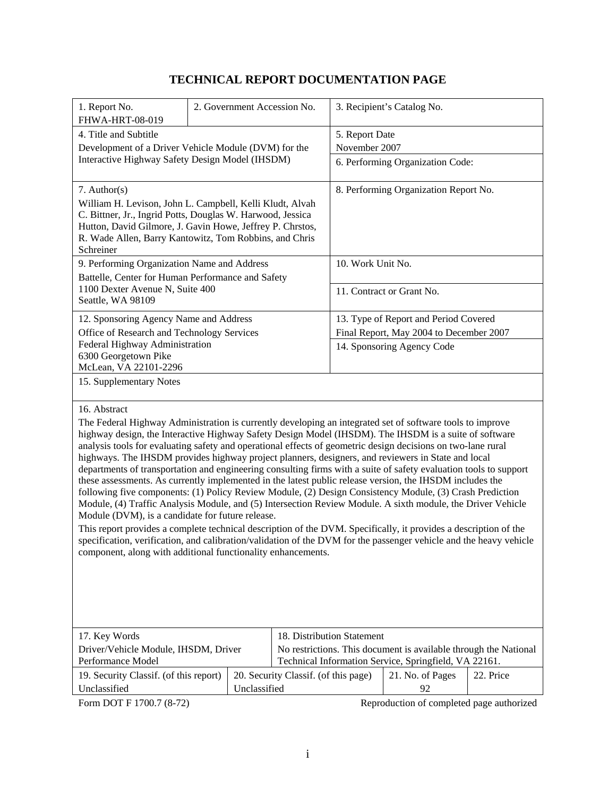# **TECHNICAL REPORT DOCUMENTATION PAGE**

| 1. Report No.<br>FHWA-HRT-08-019                                                                                                                                                                                                                                                                                                                                                                                                                                                                                                                                                                                                                                                                                                                                                                                                                                                                                                                                                                                                                                                                                                                                                                                                                                                   |  |              | 2. Government Accession No.          |                                  | 3. Recipient's Catalog No.                                       |           |
|------------------------------------------------------------------------------------------------------------------------------------------------------------------------------------------------------------------------------------------------------------------------------------------------------------------------------------------------------------------------------------------------------------------------------------------------------------------------------------------------------------------------------------------------------------------------------------------------------------------------------------------------------------------------------------------------------------------------------------------------------------------------------------------------------------------------------------------------------------------------------------------------------------------------------------------------------------------------------------------------------------------------------------------------------------------------------------------------------------------------------------------------------------------------------------------------------------------------------------------------------------------------------------|--|--------------|--------------------------------------|----------------------------------|------------------------------------------------------------------|-----------|
| 4. Title and Subtitle                                                                                                                                                                                                                                                                                                                                                                                                                                                                                                                                                                                                                                                                                                                                                                                                                                                                                                                                                                                                                                                                                                                                                                                                                                                              |  |              |                                      | 5. Report Date                   |                                                                  |           |
| Development of a Driver Vehicle Module (DVM) for the                                                                                                                                                                                                                                                                                                                                                                                                                                                                                                                                                                                                                                                                                                                                                                                                                                                                                                                                                                                                                                                                                                                                                                                                                               |  |              |                                      | November 2007                    |                                                                  |           |
|                                                                                                                                                                                                                                                                                                                                                                                                                                                                                                                                                                                                                                                                                                                                                                                                                                                                                                                                                                                                                                                                                                                                                                                                                                                                                    |  |              |                                      |                                  |                                                                  |           |
| Interactive Highway Safety Design Model (IHSDM)                                                                                                                                                                                                                                                                                                                                                                                                                                                                                                                                                                                                                                                                                                                                                                                                                                                                                                                                                                                                                                                                                                                                                                                                                                    |  |              |                                      | 6. Performing Organization Code: |                                                                  |           |
| $7.$ Author(s)                                                                                                                                                                                                                                                                                                                                                                                                                                                                                                                                                                                                                                                                                                                                                                                                                                                                                                                                                                                                                                                                                                                                                                                                                                                                     |  |              |                                      |                                  | 8. Performing Organization Report No.                            |           |
| William H. Levison, John L. Campbell, Kelli Kludt, Alvah                                                                                                                                                                                                                                                                                                                                                                                                                                                                                                                                                                                                                                                                                                                                                                                                                                                                                                                                                                                                                                                                                                                                                                                                                           |  |              |                                      |                                  |                                                                  |           |
| C. Bittner, Jr., Ingrid Potts, Douglas W. Harwood, Jessica                                                                                                                                                                                                                                                                                                                                                                                                                                                                                                                                                                                                                                                                                                                                                                                                                                                                                                                                                                                                                                                                                                                                                                                                                         |  |              |                                      |                                  |                                                                  |           |
| Hutton, David Gilmore, J. Gavin Howe, Jeffrey P. Chrstos,                                                                                                                                                                                                                                                                                                                                                                                                                                                                                                                                                                                                                                                                                                                                                                                                                                                                                                                                                                                                                                                                                                                                                                                                                          |  |              |                                      |                                  |                                                                  |           |
| R. Wade Allen, Barry Kantowitz, Tom Robbins, and Chris                                                                                                                                                                                                                                                                                                                                                                                                                                                                                                                                                                                                                                                                                                                                                                                                                                                                                                                                                                                                                                                                                                                                                                                                                             |  |              |                                      |                                  |                                                                  |           |
| Schreiner                                                                                                                                                                                                                                                                                                                                                                                                                                                                                                                                                                                                                                                                                                                                                                                                                                                                                                                                                                                                                                                                                                                                                                                                                                                                          |  |              |                                      |                                  |                                                                  |           |
| 9. Performing Organization Name and Address                                                                                                                                                                                                                                                                                                                                                                                                                                                                                                                                                                                                                                                                                                                                                                                                                                                                                                                                                                                                                                                                                                                                                                                                                                        |  |              |                                      | 10. Work Unit No.                |                                                                  |           |
| Battelle, Center for Human Performance and Safety                                                                                                                                                                                                                                                                                                                                                                                                                                                                                                                                                                                                                                                                                                                                                                                                                                                                                                                                                                                                                                                                                                                                                                                                                                  |  |              |                                      |                                  |                                                                  |           |
| 1100 Dexter Avenue N, Suite 400                                                                                                                                                                                                                                                                                                                                                                                                                                                                                                                                                                                                                                                                                                                                                                                                                                                                                                                                                                                                                                                                                                                                                                                                                                                    |  |              |                                      |                                  | 11. Contract or Grant No.                                        |           |
| Seattle, WA 98109                                                                                                                                                                                                                                                                                                                                                                                                                                                                                                                                                                                                                                                                                                                                                                                                                                                                                                                                                                                                                                                                                                                                                                                                                                                                  |  |              |                                      |                                  |                                                                  |           |
| 12. Sponsoring Agency Name and Address                                                                                                                                                                                                                                                                                                                                                                                                                                                                                                                                                                                                                                                                                                                                                                                                                                                                                                                                                                                                                                                                                                                                                                                                                                             |  |              |                                      |                                  | 13. Type of Report and Period Covered                            |           |
| Office of Research and Technology Services                                                                                                                                                                                                                                                                                                                                                                                                                                                                                                                                                                                                                                                                                                                                                                                                                                                                                                                                                                                                                                                                                                                                                                                                                                         |  |              |                                      |                                  | Final Report, May 2004 to December 2007                          |           |
| Federal Highway Administration                                                                                                                                                                                                                                                                                                                                                                                                                                                                                                                                                                                                                                                                                                                                                                                                                                                                                                                                                                                                                                                                                                                                                                                                                                                     |  |              |                                      |                                  | 14. Sponsoring Agency Code                                       |           |
| 6300 Georgetown Pike                                                                                                                                                                                                                                                                                                                                                                                                                                                                                                                                                                                                                                                                                                                                                                                                                                                                                                                                                                                                                                                                                                                                                                                                                                                               |  |              |                                      |                                  |                                                                  |           |
| McLean, VA 22101-2296                                                                                                                                                                                                                                                                                                                                                                                                                                                                                                                                                                                                                                                                                                                                                                                                                                                                                                                                                                                                                                                                                                                                                                                                                                                              |  |              |                                      |                                  |                                                                  |           |
| 15. Supplementary Notes                                                                                                                                                                                                                                                                                                                                                                                                                                                                                                                                                                                                                                                                                                                                                                                                                                                                                                                                                                                                                                                                                                                                                                                                                                                            |  |              |                                      |                                  |                                                                  |           |
| 16. Abstract<br>The Federal Highway Administration is currently developing an integrated set of software tools to improve<br>highway design, the Interactive Highway Safety Design Model (IHSDM). The IHSDM is a suite of software<br>analysis tools for evaluating safety and operational effects of geometric design decisions on two-lane rural<br>highways. The IHSDM provides highway project planners, designers, and reviewers in State and local<br>departments of transportation and engineering consulting firms with a suite of safety evaluation tools to support<br>these assessments. As currently implemented in the latest public release version, the IHSDM includes the<br>following five components: (1) Policy Review Module, (2) Design Consistency Module, (3) Crash Prediction<br>Module, (4) Traffic Analysis Module, and (5) Intersection Review Module. A sixth module, the Driver Vehicle<br>Module (DVM), is a candidate for future release.<br>This report provides a complete technical description of the DVM. Specifically, it provides a description of the<br>specification, verification, and calibration/validation of the DVM for the passenger vehicle and the heavy vehicle<br>component, along with additional functionality enhancements. |  |              |                                      |                                  |                                                                  |           |
| 17. Key Words                                                                                                                                                                                                                                                                                                                                                                                                                                                                                                                                                                                                                                                                                                                                                                                                                                                                                                                                                                                                                                                                                                                                                                                                                                                                      |  |              |                                      | 18. Distribution Statement       |                                                                  |           |
| Driver/Vehicle Module, IHSDM, Driver                                                                                                                                                                                                                                                                                                                                                                                                                                                                                                                                                                                                                                                                                                                                                                                                                                                                                                                                                                                                                                                                                                                                                                                                                                               |  |              |                                      |                                  | No restrictions. This document is available through the National |           |
| Performance Model                                                                                                                                                                                                                                                                                                                                                                                                                                                                                                                                                                                                                                                                                                                                                                                                                                                                                                                                                                                                                                                                                                                                                                                                                                                                  |  |              |                                      |                                  | Technical Information Service, Springfield, VA 22161.            |           |
| 19. Security Classif. (of this report)                                                                                                                                                                                                                                                                                                                                                                                                                                                                                                                                                                                                                                                                                                                                                                                                                                                                                                                                                                                                                                                                                                                                                                                                                                             |  |              | 20. Security Classif. (of this page) |                                  | 21. No. of Pages                                                 | 22. Price |
| Unclassified                                                                                                                                                                                                                                                                                                                                                                                                                                                                                                                                                                                                                                                                                                                                                                                                                                                                                                                                                                                                                                                                                                                                                                                                                                                                       |  | Unclassified |                                      |                                  | 92                                                               |           |

Form DOT F 1700.7 (8-72) Reproduction of completed page authorized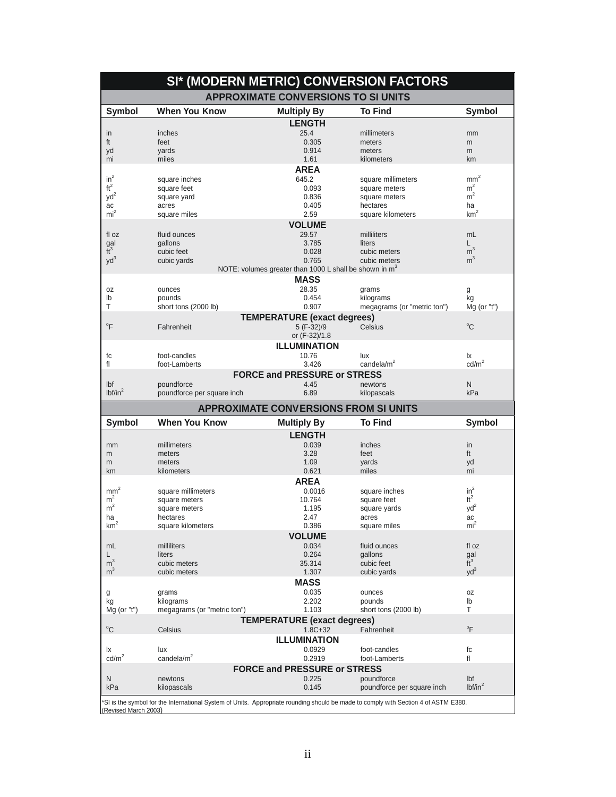|                                  |                                     | SI* (MODERN METRIC) CONVERSION FACTORS                             |                               |                              |
|----------------------------------|-------------------------------------|--------------------------------------------------------------------|-------------------------------|------------------------------|
|                                  |                                     | <b>APPROXIMATE CONVERSIONS TO SI UNITS</b>                         |                               |                              |
| Symbol                           | <b>When You Know</b>                | <b>Multiply By</b>                                                 | <b>To Find</b>                | <b>Symbol</b>                |
|                                  |                                     | <b>LENGTH</b>                                                      |                               |                              |
| in                               | inches                              | 25.4                                                               | millimeters                   | mm                           |
| ft                               | feet                                | 0.305                                                              | meters                        | m                            |
| yd                               | yards                               | 0.914                                                              | meters                        | m                            |
| mi                               | miles                               | 1.61                                                               | kilometers                    | km                           |
| $in^2$                           | square inches                       | <b>AREA</b><br>645.2                                               | square millimeters            | $\mbox{mm}^2$                |
| $\mathrm{ft}^2$                  | square feet                         | 0.093                                                              | square meters                 | m <sup>2</sup>               |
| yd <sup>2</sup>                  | square yard                         | 0.836                                                              | square meters                 | m <sup>2</sup>               |
| ac                               | acres                               | 0.405                                                              | hectares                      | ha                           |
| mi <sup>2</sup>                  | square miles                        | 2.59                                                               | square kilometers             | $\mbox{km}^2$                |
|                                  |                                     | <b>VOLUME</b>                                                      |                               |                              |
| fl oz                            | fluid ounces                        | 29.57                                                              | milliliters                   | mL                           |
| $\frac{gal}{ft^3}$               | gallons<br>cubic feet               | 3.785<br>0.028                                                     | liters<br>cubic meters        | L.<br>m <sup>3</sup>         |
| $yd^3$                           | cubic yards                         | 0.765                                                              | cubic meters                  | m <sup>3</sup>               |
|                                  |                                     | NOTE: volumes greater than 1000 L shall be shown in m <sup>3</sup> |                               |                              |
|                                  |                                     | <b>MASS</b>                                                        |                               |                              |
| 0Z                               | ounces                              | 28.35                                                              | grams                         | g                            |
| lb                               | pounds                              | 0.454                                                              | kilograms                     | kg                           |
| Τ                                | short tons (2000 lb)                | 0.907                                                              | megagrams (or "metric ton")   | $Mg$ (or "t")                |
| $\mathrm{P}$                     |                                     | <b>TEMPERATURE (exact degrees)</b>                                 |                               | $^{\circ}$ C                 |
|                                  | Fahrenheit                          | 5 (F-32)/9<br>or (F-32)/1.8                                        | Celsius                       |                              |
|                                  |                                     | <b>ILLUMINATION</b>                                                |                               |                              |
| fc                               | foot-candles                        | 10.76                                                              | lux                           | Ιx                           |
| fl                               | foot-Lamberts                       | 3.426                                                              | candela/ $m2$                 | $\text{cd/m}^2$              |
|                                  |                                     | <b>FORCE and PRESSURE or STRESS</b>                                |                               |                              |
| Ibf                              | poundforce                          | 4.45                                                               | newtons                       | N                            |
| lbf/in <sup>2</sup>              | poundforce per square inch          | 6.89                                                               | kilopascals                   | kPa                          |
|                                  |                                     | <b>APPROXIMATE CONVERSIONS FROM SI UNITS</b>                       |                               |                              |
|                                  |                                     |                                                                    |                               |                              |
| <b>Symbol</b>                    | <b>When You Know</b>                | <b>Multiply By</b>                                                 | <b>To Find</b>                | <b>Symbol</b>                |
|                                  |                                     | <b>LENGTH</b>                                                      |                               |                              |
| mm                               | millimeters                         | 0.039                                                              | inches                        | in                           |
| m                                | meters                              | 3.28                                                               | feet                          | ft                           |
| m                                | meters                              | 1.09                                                               | yards                         | yd                           |
| km                               | kilometers                          | 0.621                                                              | miles                         | mi                           |
|                                  |                                     | <b>AREA</b>                                                        |                               |                              |
| $mm^2$<br>m <sup>2</sup>         | square millimeters<br>square meters | 0.0016<br>10.764                                                   | square inches<br>square feet  | $in^2$<br>$\mathrm{ft}^2$    |
| m <sup>2</sup>                   | square meters                       | 1.195                                                              | square yards                  | $yd^2$                       |
| ha                               | hectares                            | 2.47                                                               | acres                         | ac                           |
| km                               | square kilometers                   | 0.386                                                              | square miles                  | mi <sup>2</sup>              |
|                                  |                                     | <b>VOLUME</b>                                                      |                               |                              |
| mL                               | milliliters                         | 0.034                                                              | fluid ounces                  | fl oz                        |
| L                                | liters                              | 0.264                                                              | gallons                       |                              |
| m <sup>3</sup><br>m <sup>3</sup> | cubic meters<br>cubic meters        | 35.314<br>1.307                                                    | cubic feet<br>cubic yards     | $\frac{gal}{ft^3}$<br>$yd^3$ |
|                                  |                                     | <b>MASS</b>                                                        |                               |                              |
| g                                | grams                               | 0.035                                                              | ounces                        | 0Z                           |
| kg                               | kilograms                           | 2.202                                                              | pounds                        | lb                           |
| Mg (or "t")                      | megagrams (or "metric ton")         | 1.103                                                              | short tons (2000 lb)          | т                            |
|                                  |                                     | <b>TEMPERATURE (exact degrees)</b>                                 |                               |                              |
| $^{\circ}$ C                     | Celsius                             | $1.8C + 32$                                                        | Fahrenheit                    | $\overline{F}$               |
|                                  |                                     | <b>ILLUMINATION</b>                                                |                               |                              |
| lχ<br>$\text{cd/m}^2$            | lux<br>candela/m <sup>2</sup>       | 0.0929<br>0.2919                                                   | foot-candles<br>foot-Lamberts | fc<br>fl                     |
|                                  |                                     |                                                                    |                               |                              |
| N                                | newtons                             | <b>FORCE and PRESSURE or STRESS</b><br>0.225                       | poundforce                    | Ibf                          |
| kPa                              | kilopascals                         | 0.145                                                              | poundforce per square inch    | lbf/in <sup>2</sup>          |

\*SI is the symbol for the International System of Units. Appropriate rounding should be made to comply with Section 4 of ASTM E380.<br>(Revised March 2003)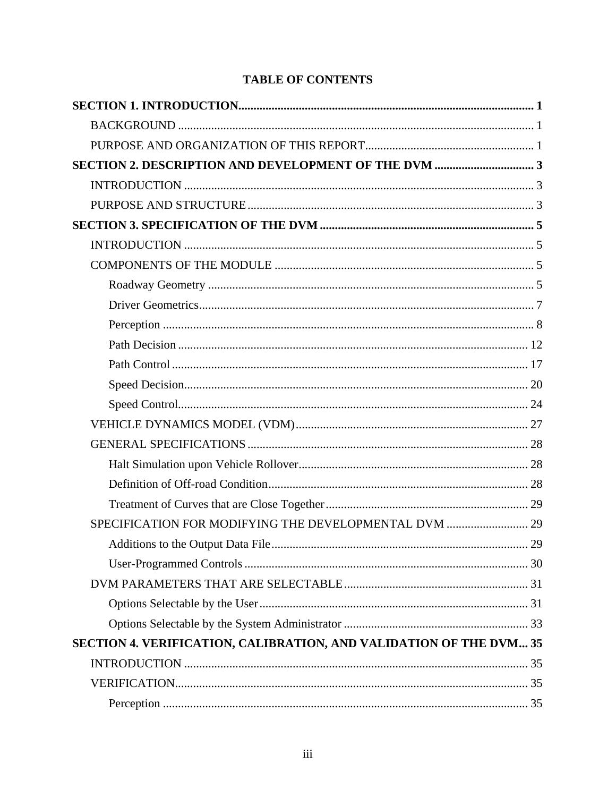## **TABLE OF CONTENTS**

| SPECIFICATION FOR MODIFYING THE DEVELOPMENTAL DVM  29              |  |
|--------------------------------------------------------------------|--|
|                                                                    |  |
|                                                                    |  |
|                                                                    |  |
|                                                                    |  |
|                                                                    |  |
| SECTION 4. VERIFICATION, CALIBRATION, AND VALIDATION OF THE DVM 35 |  |
|                                                                    |  |
|                                                                    |  |
|                                                                    |  |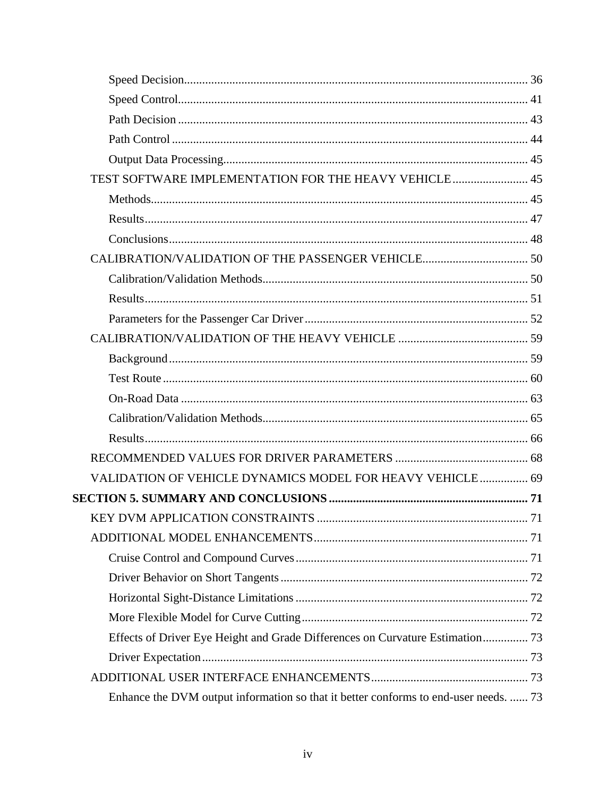| TEST SOFTWARE IMPLEMENTATION FOR THE HEAVY VEHICLE 45                                |  |
|--------------------------------------------------------------------------------------|--|
|                                                                                      |  |
|                                                                                      |  |
|                                                                                      |  |
|                                                                                      |  |
|                                                                                      |  |
|                                                                                      |  |
|                                                                                      |  |
|                                                                                      |  |
|                                                                                      |  |
|                                                                                      |  |
|                                                                                      |  |
|                                                                                      |  |
|                                                                                      |  |
|                                                                                      |  |
| VALIDATION OF VEHICLE DYNAMICS MODEL FOR HEAVY VEHICLE 69                            |  |
|                                                                                      |  |
|                                                                                      |  |
|                                                                                      |  |
|                                                                                      |  |
|                                                                                      |  |
|                                                                                      |  |
|                                                                                      |  |
| Effects of Driver Eye Height and Grade Differences on Curvature Estimation 73        |  |
|                                                                                      |  |
|                                                                                      |  |
| Enhance the DVM output information so that it better conforms to end-user needs.  73 |  |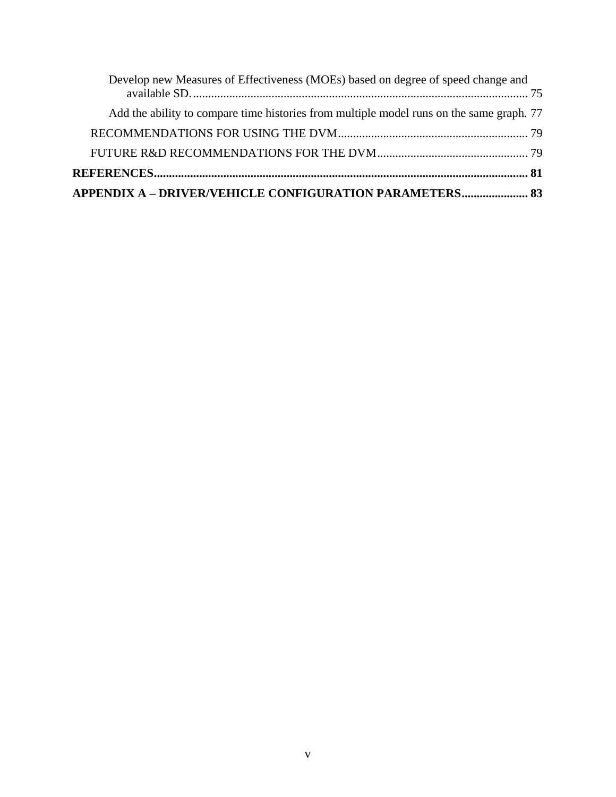| Develop new Measures of Effectiveness (MOEs) based on degree of speed change and         |  |
|------------------------------------------------------------------------------------------|--|
| Add the ability to compare time histories from multiple model runs on the same graph. 77 |  |
|                                                                                          |  |
|                                                                                          |  |
|                                                                                          |  |
| APPENDIX A - DRIVER/VEHICLE CONFIGURATION PARAMETERS 83                                  |  |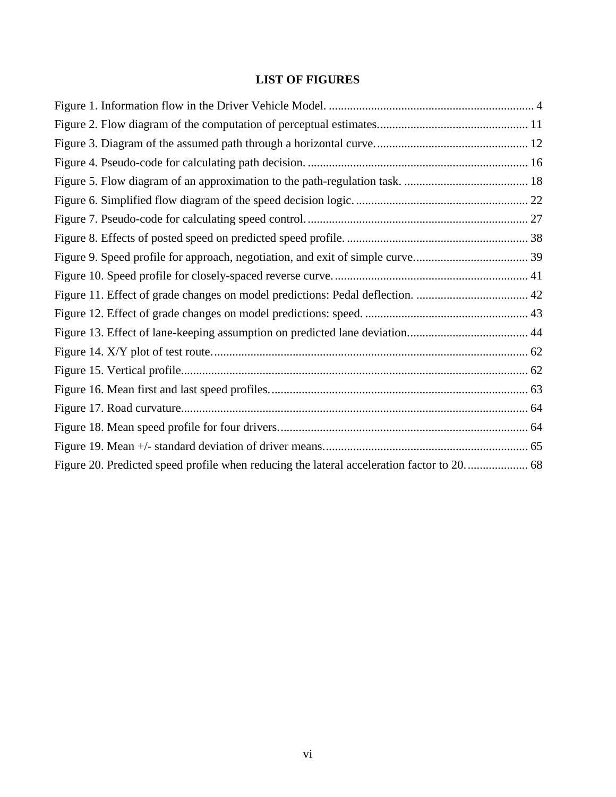#### **LIST OF FIGURES**

| Figure 20. Predicted speed profile when reducing the lateral acceleration factor to 20 68 |  |
|-------------------------------------------------------------------------------------------|--|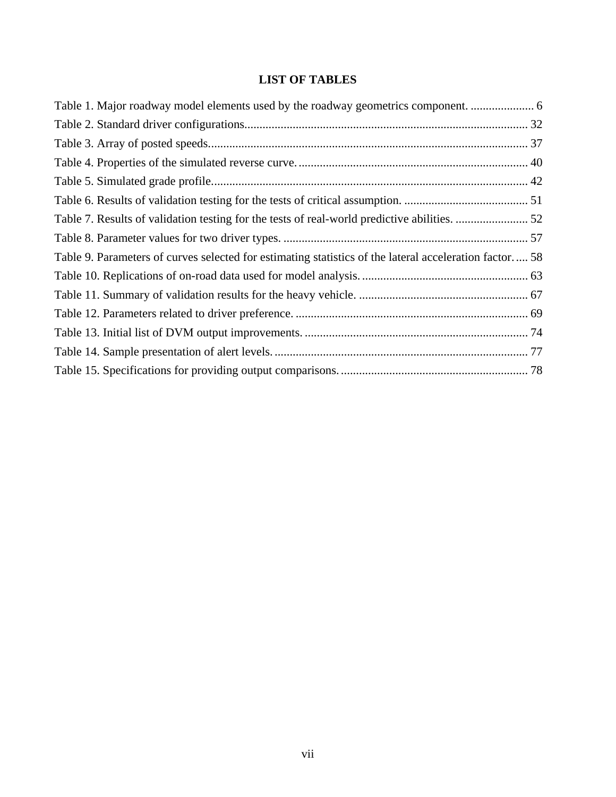#### **LIST OF TABLES**

| Table 1. Major roadway model elements used by the roadway geometrics component.                        |  |
|--------------------------------------------------------------------------------------------------------|--|
|                                                                                                        |  |
|                                                                                                        |  |
|                                                                                                        |  |
|                                                                                                        |  |
|                                                                                                        |  |
|                                                                                                        |  |
|                                                                                                        |  |
| Table 9. Parameters of curves selected for estimating statistics of the lateral acceleration factor 58 |  |
|                                                                                                        |  |
|                                                                                                        |  |
|                                                                                                        |  |
|                                                                                                        |  |
|                                                                                                        |  |
|                                                                                                        |  |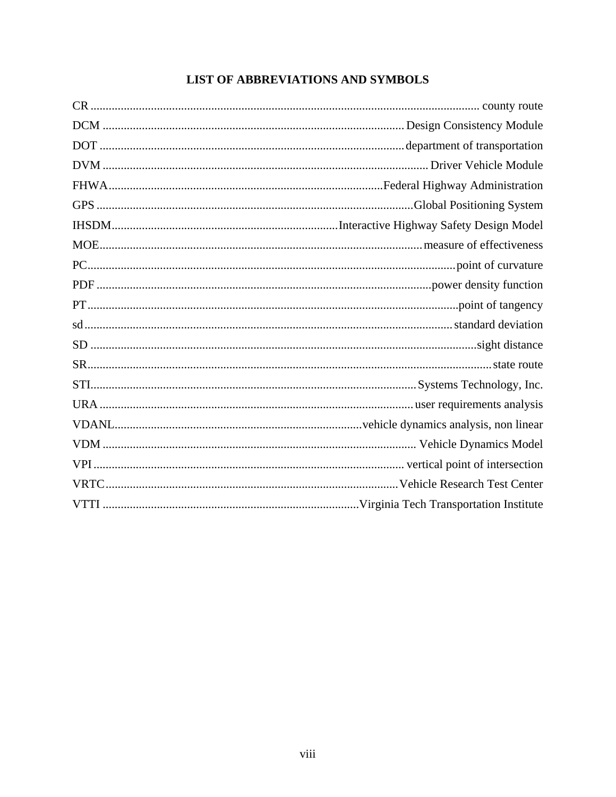## LIST OF ABBREVIATIONS AND SYMBOLS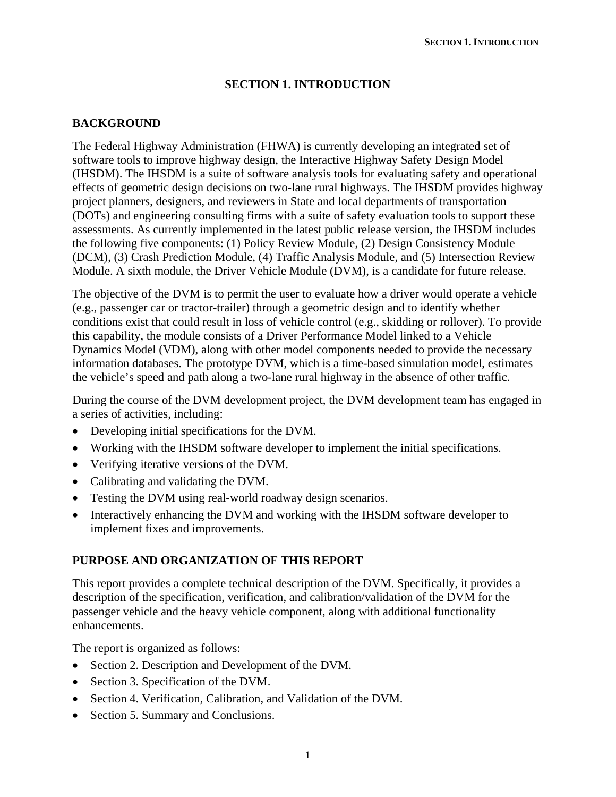#### **SECTION 1. INTRODUCTION**

#### <span id="page-10-1"></span><span id="page-10-0"></span>**BACKGROUND**

<span id="page-10-2"></span>The Federal Highway Administration (FHWA) is currently developing an integrated set of software tools to improve highway design, the Interactive Highway Safety Design Model (IHSDM). The IHSDM is a suite of software analysis tools for evaluating safety and operational effects of geometric design decisions on two-lane rural highways. The IHSDM provides highway project planners, designers, and reviewers in State and local departments of transportation (DOTs) and engineering consulting firms with a suite of safety evaluation tools to support these assessments. As currently implemented in the latest public release version, the IHSDM includes the following five components: (1) Policy Review Module, (2) Design Consistency Module (DCM), (3) Crash Prediction Module, (4) Traffic Analysis Module, and (5) Intersection Review Module. A sixth module, the Driver Vehicle Module (DVM), is a candidate for future release.

The objective of the DVM is to permit the user to evaluate how a driver would operate a vehicle (e.g., passenger car or tractor-trailer) through a geometric design and to identify whether conditions exist that could result in loss of vehicle control (e.g., skidding or rollover). To provide this capability, the module consists of a Driver Performance Model linked to a Vehicle Dynamics Model (VDM), along with other model components needed to provide the necessary information databases. The prototype DVM, which is a time-based simulation model, estimates the vehicle's speed and path along a two-lane rural highway in the absence of other traffic.

During the course of the DVM development project, the DVM development team has engaged in a series of activities, including:

- Developing initial specifications for the DVM.
- Working with the IHSDM software developer to implement the initial specifications.
- Verifying iterative versions of the DVM.
- Calibrating and validating the DVM.
- Testing the DVM using real-world roadway design scenarios.
- Interactively enhancing the DVM and working with the IHSDM software developer to implement fixes and improvements.

#### <span id="page-10-3"></span>**PURPOSE AND ORGANIZATION OF THIS REPORT**

This report provides a complete technical description of the DVM. Specifically, it provides a description of the specification, verification, and calibration/validation of the DVM for the passenger vehicle and the heavy vehicle component, along with additional functionality enhancements.

The report is organized as follows:

- Section 2. Description and Development of the DVM.
- Section 3. Specification of the DVM.
- Section 4. Verification, Calibration, and Validation of the DVM.
- Section 5. Summary and Conclusions.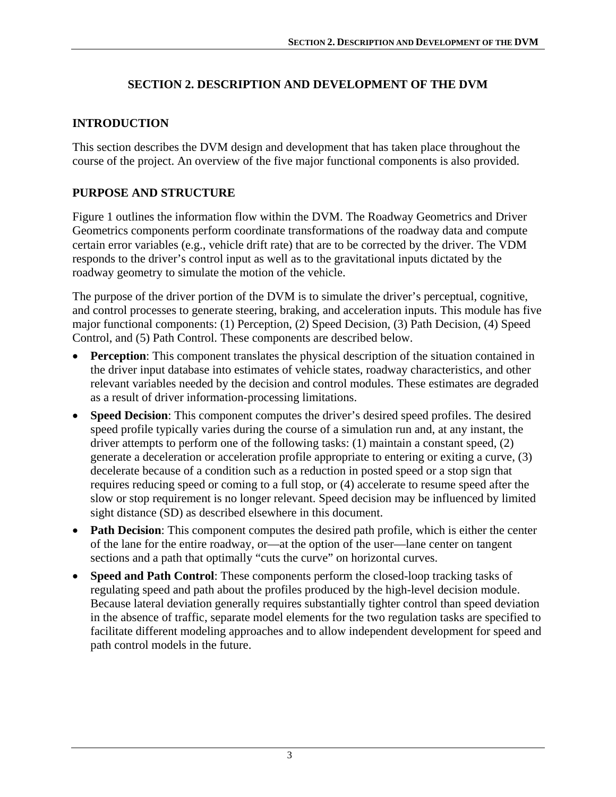#### **SECTION 2. DESCRIPTION AND DEVELOPMENT OF THE DVM**

#### <span id="page-12-1"></span><span id="page-12-0"></span>**INTRODUCTION**

<span id="page-12-2"></span>This section describes the DVM design and development that has taken place throughout the course of the project. An overview of the five major functional components is also provided.

#### <span id="page-12-3"></span>**PURPOSE AND STRUCTURE**

[Figure 1](#page-13-1) outlines the information flow within the DVM. The Roadway Geometrics and Driver Geometrics components perform coordinate transformations of the roadway data and compute certain error variables (e.g., vehicle drift rate) that are to be corrected by the driver. The VDM responds to the driver's control input as well as to the gravitational inputs dictated by the roadway geometry to simulate the motion of the vehicle.

The purpose of the driver portion of the DVM is to simulate the driver's perceptual, cognitive, and control processes to generate steering, braking, and acceleration inputs. This module has five major functional components: (1) Perception, (2) Speed Decision, (3) Path Decision, (4) Speed Control, and (5) Path Control. These components are described below.

- **Perception**: This component translates the physical description of the situation contained in the driver input database into estimates of vehicle states, roadway characteristics, and other relevant variables needed by the decision and control modules. These estimates are degraded as a result of driver information-processing limitations.
- **Speed Decision:** This component computes the driver's desired speed profiles. The desired speed profile typically varies during the course of a simulation run and, at any instant, the driver attempts to perform one of the following tasks: (1) maintain a constant speed, (2) generate a deceleration or acceleration profile appropriate to entering or exiting a curve, (3) decelerate because of a condition such as a reduction in posted speed or a stop sign that requires reducing speed or coming to a full stop, or (4) accelerate to resume speed after the slow or stop requirement is no longer relevant. Speed decision may be influenced by limited sight distance (SD) as described elsewhere in this document.
- **Path Decision**: This component computes the desired path profile, which is either the center of the lane for the entire roadway, or—at the option of the user—lane center on tangent sections and a path that optimally "cuts the curve" on horizontal curves.
- **Speed and Path Control**: These components perform the closed-loop tracking tasks of regulating speed and path about the profiles produced by the high-level decision module. Because lateral deviation generally requires substantially tighter control than speed deviation in the absence of traffic, separate model elements for the two regulation tasks are specified to facilitate different modeling approaches and to allow independent development for speed and path control models in the future.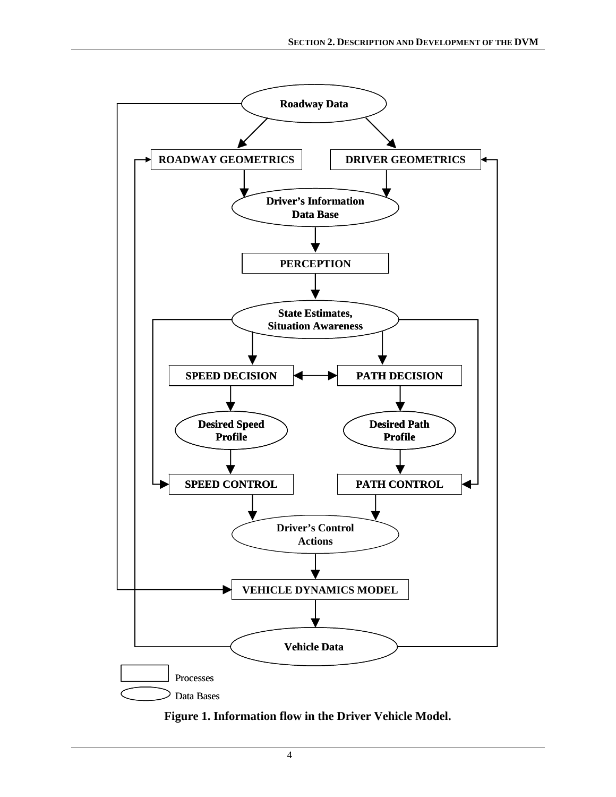<span id="page-13-0"></span>

<span id="page-13-1"></span>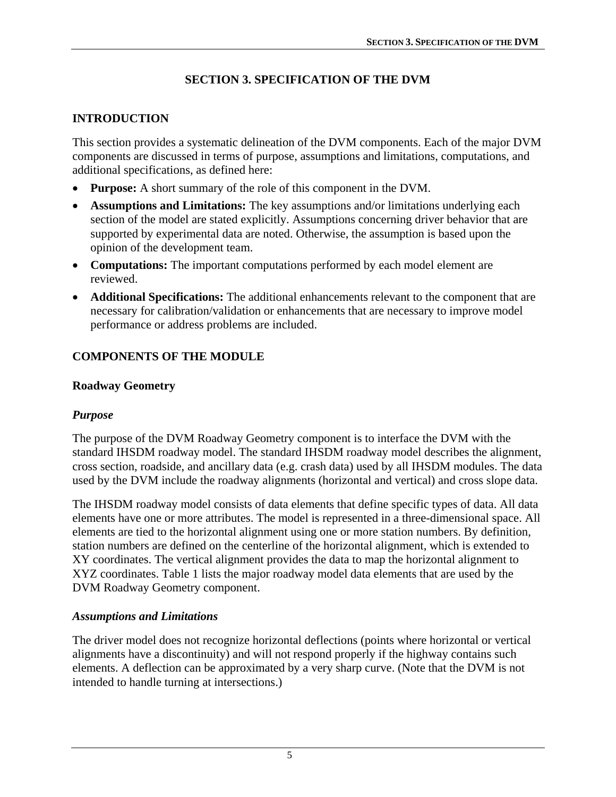# **SECTION 3. SPECIFICATION OF THE DVM**

# <span id="page-14-1"></span><span id="page-14-0"></span>**INTRODUCTION**

<span id="page-14-2"></span>This section provides a systematic delineation of the DVM components. Each of the major DVM components are discussed in terms of purpose, assumptions and limitations, computations, and additional specifications, as defined here:

- **Purpose:** A short summary of the role of this component in the DVM.
- **Assumptions and Limitations:** The key assumptions and/or limitations underlying each section of the model are stated explicitly. Assumptions concerning driver behavior that are supported by experimental data are noted. Otherwise, the assumption is based upon the opinion of the development team.
- **Computations:** The important computations performed by each model element are reviewed.
- **Additional Specifications:** The additional enhancements relevant to the component that are necessary for calibration/validation or enhancements that are necessary to improve model performance or address problems are included.

## <span id="page-14-3"></span>**COMPONENTS OF THE MODULE**

## <span id="page-14-4"></span>**Roadway Geometry**

## *Purpose*

The purpose of the DVM Roadway Geometry component is to interface the DVM with the standard IHSDM roadway model. The standard IHSDM roadway model describes the alignment, cross section, roadside, and ancillary data (e.g. crash data) used by all IHSDM modules. The data used by the DVM include the roadway alignments (horizontal and vertical) and cross slope data.

The IHSDM roadway model consists of data elements that define specific types of data. All data elements have one or more attributes. The model is represented in a three-dimensional space. All elements are tied to the horizontal alignment using one or more station numbers. By definition, station numbers are defined on the centerline of the horizontal alignment, which is extended to XY coordinates. The vertical alignment provides the data to map the horizontal alignment to XYZ coordinates. [Table 1](#page-15-1) lists the major roadway model data elements that are used by the DVM Roadway Geometry component.

#### *Assumptions and Limitations*

The driver model does not recognize horizontal deflections (points where horizontal or vertical alignments have a discontinuity) and will not respond properly if the highway contains such elements. A deflection can be approximated by a very sharp curve. (Note that the DVM is not intended to handle turning at intersections.)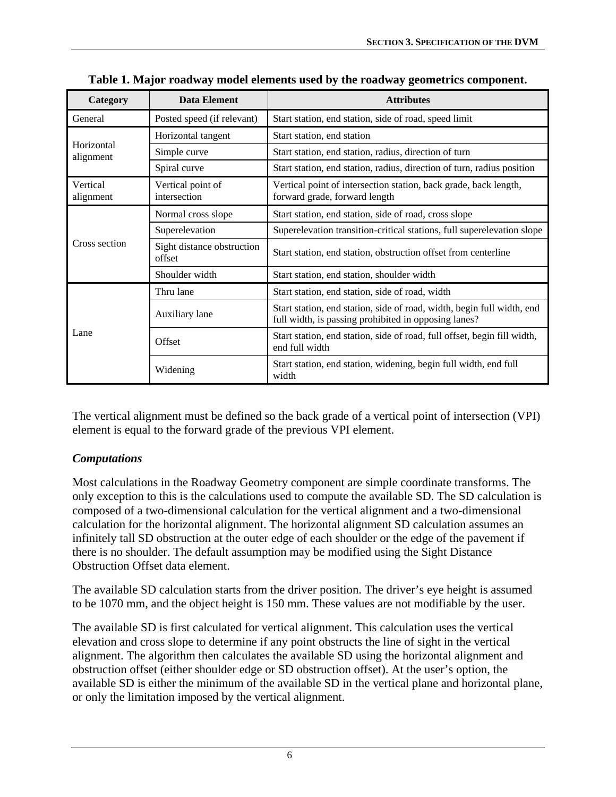<span id="page-15-1"></span><span id="page-15-0"></span>

| Category                | Data Element                         | <b>Attributes</b>                                                                                                              |
|-------------------------|--------------------------------------|--------------------------------------------------------------------------------------------------------------------------------|
| General                 | Posted speed (if relevant)           | Start station, end station, side of road, speed limit                                                                          |
| Horizontal<br>alignment | Horizontal tangent                   | Start station, end station                                                                                                     |
|                         | Simple curve                         | Start station, end station, radius, direction of turn                                                                          |
|                         | Spiral curve                         | Start station, end station, radius, direction of turn, radius position                                                         |
| Vertical<br>alignment   | Vertical point of<br>intersection    | Vertical point of intersection station, back grade, back length,<br>forward grade, forward length                              |
|                         | Normal cross slope                   | Start station, end station, side of road, cross slope                                                                          |
|                         | Superelevation                       | Superelevation transition-critical stations, full superelevation slope                                                         |
| Cross section           | Sight distance obstruction<br>offset | Start station, end station, obstruction offset from centerline                                                                 |
|                         | Shoulder width                       | Start station, end station, shoulder width                                                                                     |
|                         | Thru lane                            | Start station, end station, side of road, width                                                                                |
| Lane                    | Auxiliary lane                       | Start station, end station, side of road, width, begin full width, end<br>full width, is passing prohibited in opposing lanes? |
|                         | Offset                               | Start station, end station, side of road, full offset, begin fill width,<br>end full width                                     |
|                         | Widening                             | Start station, end station, widening, begin full width, end full<br>width                                                      |

**Table 1. Major roadway model elements used by the roadway geometrics component.** 

The vertical alignment must be defined so the back grade of a vertical point of intersection (VPI) element is equal to the forward grade of the previous VPI element.

#### *Computations*

Most calculations in the Roadway Geometry component are simple coordinate transforms. The only exception to this is the calculations used to compute the available SD. The SD calculation is composed of a two-dimensional calculation for the vertical alignment and a two-dimensional calculation for the horizontal alignment. The horizontal alignment SD calculation assumes an infinitely tall SD obstruction at the outer edge of each shoulder or the edge of the pavement if there is no shoulder. The default assumption may be modified using the Sight Distance Obstruction Offset data element.

The available SD calculation starts from the driver position. The driver's eye height is assumed to be 1070 mm, and the object height is 150 mm. These values are not modifiable by the user.

The available SD is first calculated for vertical alignment. This calculation uses the vertical elevation and cross slope to determine if any point obstructs the line of sight in the vertical alignment. The algorithm then calculates the available SD using the horizontal alignment and obstruction offset (either shoulder edge or SD obstruction offset). At the user's option, the available SD is either the minimum of the available SD in the vertical plane and horizontal plane, or only the limitation imposed by the vertical alignment.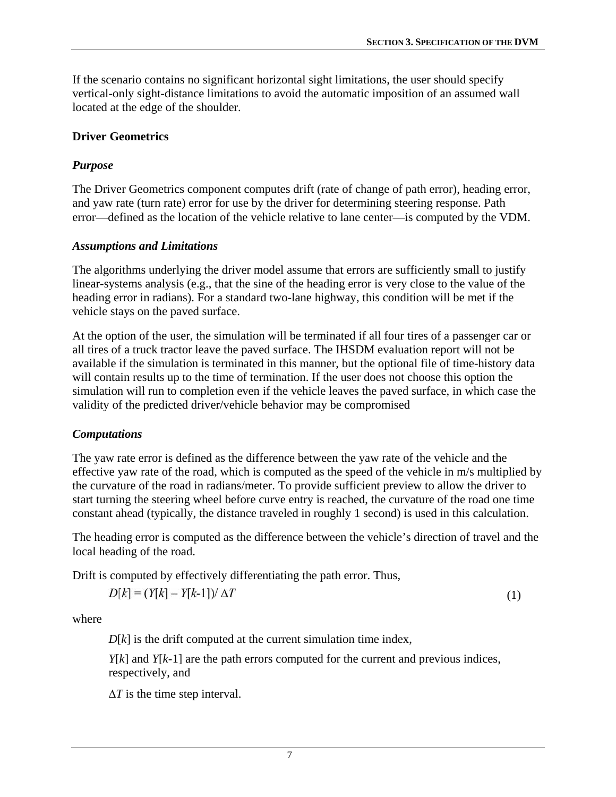<span id="page-16-0"></span>If the scenario contains no significant horizontal sight limitations, the user should specify vertical-only sight-distance limitations to avoid the automatic imposition of an assumed wall located at the edge of the shoulder.

#### <span id="page-16-1"></span>**Driver Geometrics**

## *Purpose*

The Driver Geometrics component computes drift (rate of change of path error), heading error, and yaw rate (turn rate) error for use by the driver for determining steering response. Path error—defined as the location of the vehicle relative to lane center—is computed by the VDM.

## *Assumptions and Limitations*

The algorithms underlying the driver model assume that errors are sufficiently small to justify linear-systems analysis (e.g., that the sine of the heading error is very close to the value of the heading error in radians). For a standard two-lane highway, this condition will be met if the vehicle stays on the paved surface.

At the option of the user, the simulation will be terminated if all four tires of a passenger car or all tires of a truck tractor leave the paved surface. The IHSDM evaluation report will not be available if the simulation is terminated in this manner, but the optional file of time-history data will contain results up to the time of termination. If the user does not choose this option the simulation will run to completion even if the vehicle leaves the paved surface, in which case the validity of the predicted driver/vehicle behavior may be compromised

## *Computations*

The yaw rate error is defined as the difference between the yaw rate of the vehicle and the effective yaw rate of the road, which is computed as the speed of the vehicle in m/s multiplied by the curvature of the road in radians/meter. To provide sufficient preview to allow the driver to start turning the steering wheel before curve entry is reached, the curvature of the road one time constant ahead (typically, the distance traveled in roughly 1 second) is used in this calculation.

The heading error is computed as the difference between the vehicle's direction of travel and the local heading of the road.

Drift is computed by effectively differentiating the path error. Thus,

$$
D[k] = (Y[k] - Y[k-1]) / \Delta T \tag{1}
$$

where

*D*[*k*] is the drift computed at the current simulation time index,

*Y*[*k*] and *Y*[*k*-1] are the path errors computed for the current and previous indices, respectively, and

Δ*T* is the time step interval.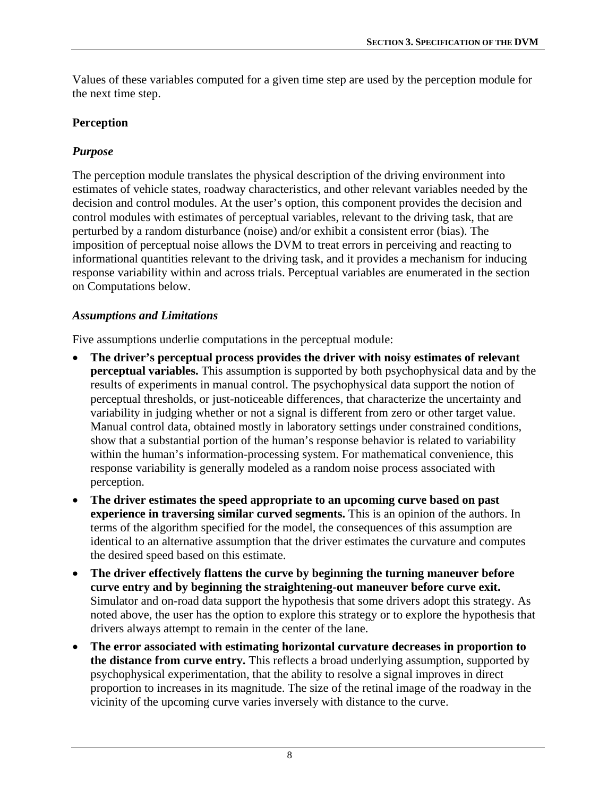<span id="page-17-0"></span>Values of these variables computed for a given time step are used by the perception module for the next time step.

## <span id="page-17-1"></span>**Perception**

## *Purpose*

The perception module translates the physical description of the driving environment into estimates of vehicle states, roadway characteristics, and other relevant variables needed by the decision and control modules. At the user's option, this component provides the decision and control modules with estimates of perceptual variables, relevant to the driving task, that are perturbed by a random disturbance (noise) and/or exhibit a consistent error (bias). The imposition of perceptual noise allows the DVM to treat errors in perceiving and reacting to informational quantities relevant to the driving task, and it provides a mechanism for inducing response variability within and across trials. Perceptual variables are enumerated in the section on Computations below.

## *Assumptions and Limitations*

Five assumptions underlie computations in the perceptual module:

- **The driver's perceptual process provides the driver with noisy estimates of relevant perceptual variables.** This assumption is supported by both psychophysical data and by the results of experiments in manual control. The psychophysical data support the notion of perceptual thresholds, or just-noticeable differences, that characterize the uncertainty and variability in judging whether or not a signal is different from zero or other target value. Manual control data, obtained mostly in laboratory settings under constrained conditions, show that a substantial portion of the human's response behavior is related to variability within the human's information-processing system. For mathematical convenience, this response variability is generally modeled as a random noise process associated with perception.
- **The driver estimates the speed appropriate to an upcoming curve based on past experience in traversing similar curved segments.** This is an opinion of the authors. In terms of the algorithm specified for the model, the consequences of this assumption are identical to an alternative assumption that the driver estimates the curvature and computes the desired speed based on this estimate.
- **The driver effectively flattens the curve by beginning the turning maneuver before curve entry and by beginning the straightening-out maneuver before curve exit.** Simulator and on-road data support the hypothesis that some drivers adopt this strategy. As noted above, the user has the option to explore this strategy or to explore the hypothesis that drivers always attempt to remain in the center of the lane.
- **The error associated with estimating horizontal curvature decreases in proportion to the distance from curve entry.** This reflects a broad underlying assumption, supported by psychophysical experimentation, that the ability to resolve a signal improves in direct proportion to increases in its magnitude. The size of the retinal image of the roadway in the vicinity of the upcoming curve varies inversely with distance to the curve.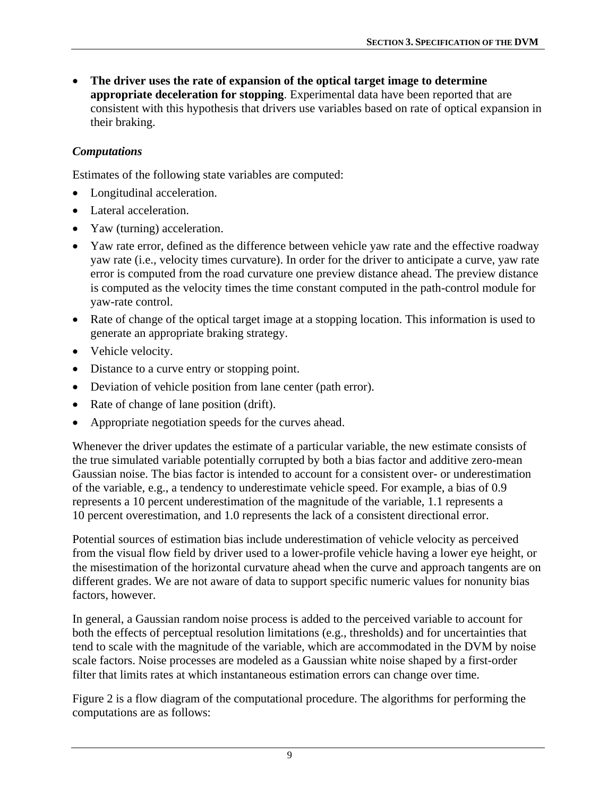• **The driver uses the rate of expansion of the optical target image to determine appropriate deceleration for stopping**. Experimental data have been reported that are consistent with this hypothesis that drivers use variables based on rate of optical expansion in their braking.

#### *Computations*

Estimates of the following state variables are computed:

- Longitudinal acceleration.
- Lateral acceleration.
- Yaw (turning) acceleration.
- Yaw rate error, defined as the difference between vehicle yaw rate and the effective roadway yaw rate (i.e., velocity times curvature). In order for the driver to anticipate a curve, yaw rate error is computed from the road curvature one preview distance ahead. The preview distance is computed as the velocity times the time constant computed in the path-control module for yaw-rate control.
- Rate of change of the optical target image at a stopping location. This information is used to generate an appropriate braking strategy.
- Vehicle velocity.
- Distance to a curve entry or stopping point.
- Deviation of vehicle position from lane center (path error).
- Rate of change of lane position (drift).
- Appropriate negotiation speeds for the curves ahead.

Whenever the driver updates the estimate of a particular variable, the new estimate consists of the true simulated variable potentially corrupted by both a bias factor and additive zero-mean Gaussian noise. The bias factor is intended to account for a consistent over- or underestimation of the variable, e.g., a tendency to underestimate vehicle speed. For example, a bias of 0.9 represents a 10 percent underestimation of the magnitude of the variable, 1.1 represents a 10 percent overestimation, and 1.0 represents the lack of a consistent directional error.

Potential sources of estimation bias include underestimation of vehicle velocity as perceived from the visual flow field by driver used to a lower-profile vehicle having a lower eye height, or the misestimation of the horizontal curvature ahead when the curve and approach tangents are on different grades. We are not aware of data to support specific numeric values for nonunity bias factors, however.

In general, a Gaussian random noise process is added to the perceived variable to account for both the effects of perceptual resolution limitations (e.g., thresholds) and for uncertainties that tend to scale with the magnitude of the variable, which are accommodated in the DVM by noise scale factors. Noise processes are modeled as a Gaussian white noise shaped by a first-order filter that limits rates at which instantaneous estimation errors can change over time.

[Figure 2](#page-20-1) is a flow diagram of the computational procedure. The algorithms for performing the computations are as follows: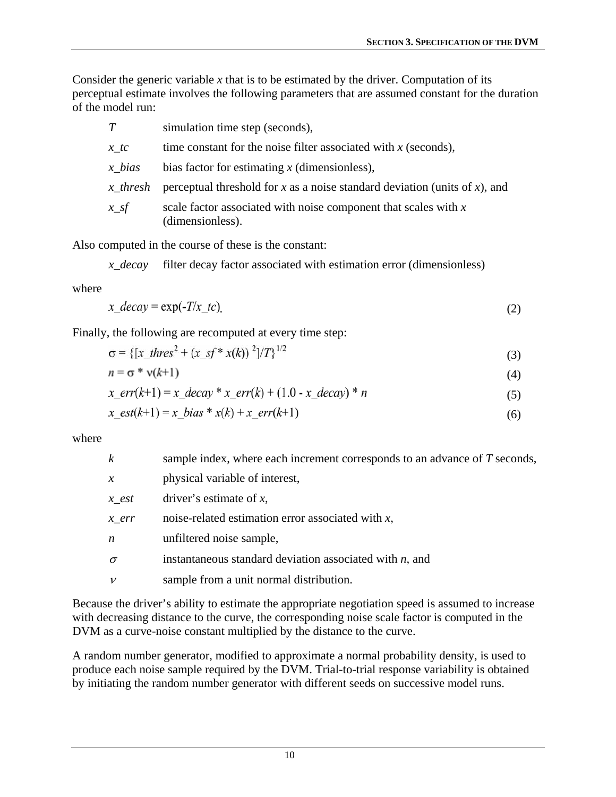Consider the generic variable *x* that is to be estimated by the driver. Computation of its perceptual estimate involves the following parameters that are assumed constant for the duration of the model run:

| T               | simulation time step (seconds),                                                       |
|-----------------|---------------------------------------------------------------------------------------|
| $x$ tc          | time constant for the noise filter associated with $x$ (seconds),                     |
| $\dot{x}$ bias  | bias factor for estimating $x$ (dimensionless),                                       |
| <i>x</i> thresh | perceptual threshold for x as a noise standard deviation (units of x), and            |
| $x\_sf$         | scale factor associated with noise component that scales with $x$<br>(dimensionless). |

Also computed in the course of these is the constant:

*x\_decay* filter decay factor associated with estimation error (dimensionless)

where

$$
x\_decay = \exp(-T/x\_tc)
$$
 (2)

Finally, the following are recomputed at every time step:

$$
\sigma = \{ [x_{th} \cos^2 + (x_{th} \sin^2 x(k)) \cos^2 (k)]^2 / T \}^{1/2}
$$
 (3)

$$
n = \sigma * \mathsf{v}(k+1) \tag{4}
$$

$$
x\_err(k+1) = x\_decay * x\_err(k) + (1.0 - x\_decay) * n
$$
\n(5)

$$
x\_est(k+1) = x\_bias * x(k) + x\_err(k+1)
$$
 (6)

where

| $\boldsymbol{k}$   | sample index, where each increment corresponds to an advance of T seconds, |
|--------------------|----------------------------------------------------------------------------|
| $\chi$             | physical variable of interest,                                             |
| $x$ <sub>est</sub> | driver's estimate of $x$ ,                                                 |
| $\chi$ err         | noise-related estimation error associated with $x$ ,                       |
| $\boldsymbol{n}$   | unfiltered noise sample,                                                   |
| $\sigma$           | instantaneous standard deviation associated with $n$ , and                 |
| $\mathcal V$       | sample from a unit normal distribution.                                    |
|                    |                                                                            |

Because the driver's ability to estimate the appropriate negotiation speed is assumed to increase with decreasing distance to the curve, the corresponding noise scale factor is computed in the DVM as a curve-noise constant multiplied by the distance to the curve.

A random number generator, modified to approximate a normal probability density, is used to produce each noise sample required by the DVM. Trial-to-trial response variability is obtained by initiating the random number generator with different seeds on successive model runs.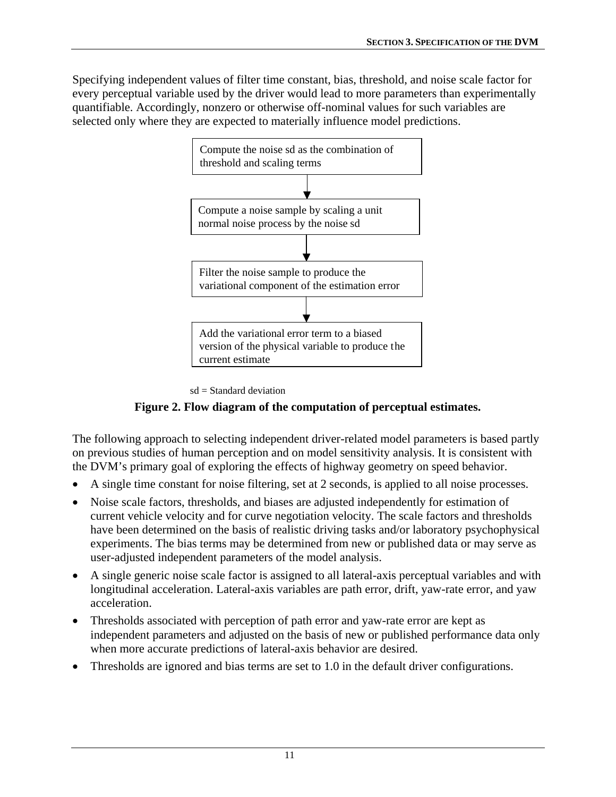<span id="page-20-0"></span>Specifying independent values of filter time constant, bias, threshold, and noise scale factor for every perceptual variable used by the driver would lead to more parameters than experimentally quantifiable. Accordingly, nonzero or otherwise off-nominal values for such variables are selected only where they are expected to materially influence model predictions.



 $sd = Standard deviation$ 

# **Figure 2. Flow diagram of the computation of perceptual estimates.**

<span id="page-20-1"></span>The following approach to selecting independent driver-related model parameters is based partly on previous studies of human perception and on model sensitivity analysis. It is consistent with the DVM's primary goal of exploring the effects of highway geometry on speed behavior.

- A single time constant for noise filtering, set at 2 seconds, is applied to all noise processes.
- Noise scale factors, thresholds, and biases are adjusted independently for estimation of current vehicle velocity and for curve negotiation velocity. The scale factors and thresholds have been determined on the basis of realistic driving tasks and/or laboratory psychophysical experiments. The bias terms may be determined from new or published data or may serve as user-adjusted independent parameters of the model analysis.
- A single generic noise scale factor is assigned to all lateral-axis perceptual variables and with longitudinal acceleration. Lateral-axis variables are path error, drift, yaw-rate error, and yaw acceleration.
- Thresholds associated with perception of path error and yaw-rate error are kept as independent parameters and adjusted on the basis of new or published performance data only when more accurate predictions of lateral-axis behavior are desired.
- Thresholds are ignored and bias terms are set to 1.0 in the default driver configurations.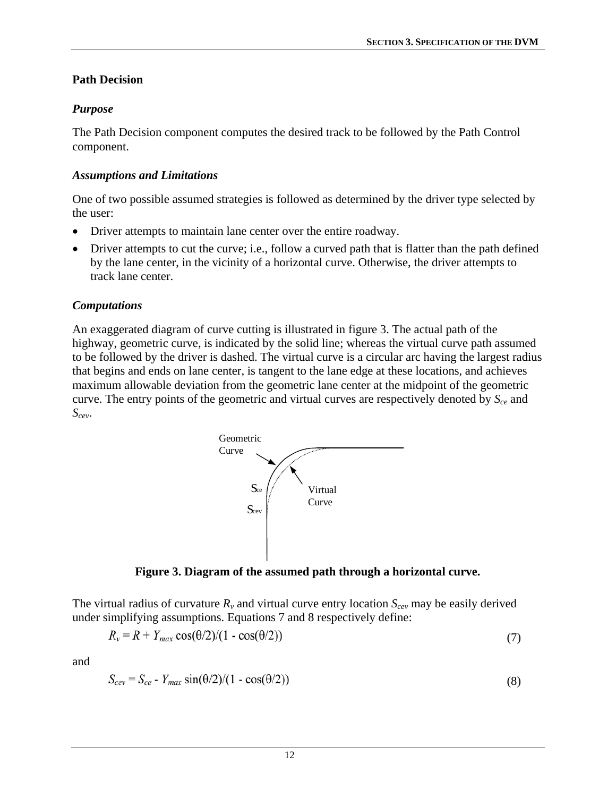## <span id="page-21-1"></span><span id="page-21-0"></span>**Path Decision**

## *Purpose*

The Path Decision component computes the desired track to be followed by the Path Control component.

# *Assumptions and Limitations*

One of two possible assumed strategies is followed as determined by the driver type selected by the user:

- Driver attempts to maintain lane center over the entire roadway.
- Driver attempts to cut the curve; i.e., follow a curved path that is flatter than the path defined by the lane center, in the vicinity of a horizontal curve. Otherwise, the driver attempts to track lane center.

# *Computations*

An exaggerated diagram of curve cutting is illustrated in figure 3. The actual path of the highway, geometric curve, is indicated by the solid line; whereas the virtual curve path assumed to be followed by the driver is dashed. The virtual curve is a circular arc having the largest radius that begins and ends on lane center, is tangent to the lane edge at these locations, and achieves maximum allowable deviation from the geometric lane center at the midpoint of the geometric curve. The entry points of the geometric and virtual curves are respectively denoted by  $S_{ce}$  and *Scev*.



**Figure 3. Diagram of the assumed path through a horizontal curve.** 

<span id="page-21-2"></span>The virtual radius of curvature  $R_v$  and virtual curve entry location  $S_{cev}$  may be easily derived under simplifying assumptions. Equations 7 and 8 respectively define:

$$
R_v = R + Y_{max} \cos(\theta/2)/(1 - \cos(\theta/2))
$$
\n<sup>(7)</sup>

and

$$
S_{cev} = S_{ce} - Y_{max} \sin(\theta/2)/(1 - \cos(\theta/2))
$$
\n(8)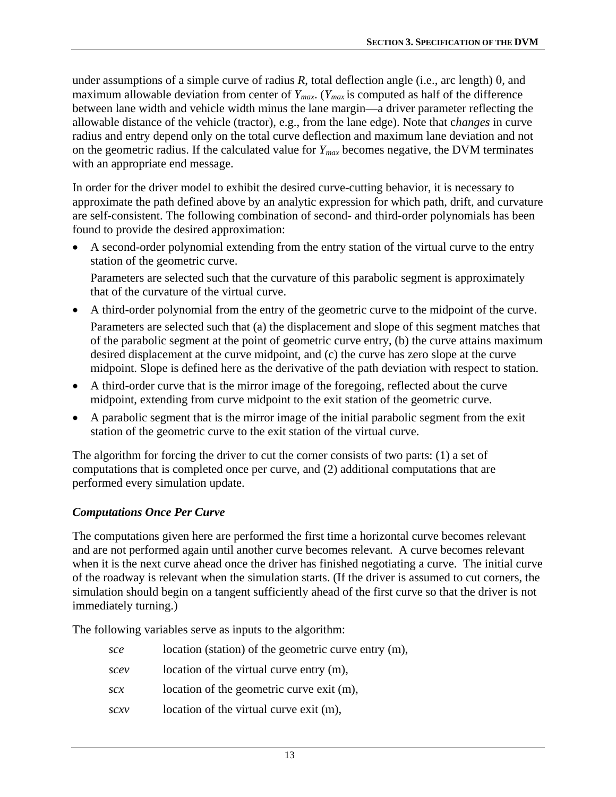under assumptions of a simple curve of radius  $R$ , total deflection angle (i.e., arc length)  $\theta$ , and maximum allowable deviation from center of  $Y_{max}$ . ( $Y_{max}$  is computed as half of the difference between lane width and vehicle width minus the lane margin—a driver parameter reflecting the allowable distance of the vehicle (tractor), e.g., from the lane edge). Note that c*hanges* in curve radius and entry depend only on the total curve deflection and maximum lane deviation and not on the geometric radius. If the calculated value for *Ymax* becomes negative, the DVM terminates with an appropriate end message.

In order for the driver model to exhibit the desired curve-cutting behavior, it is necessary to approximate the path defined above by an analytic expression for which path, drift, and curvature are self-consistent. The following combination of second- and third-order polynomials has been found to provide the desired approximation:

• A second-order polynomial extending from the entry station of the virtual curve to the entry station of the geometric curve.

Parameters are selected such that the curvature of this parabolic segment is approximately that of the curvature of the virtual curve.

- A third-order polynomial from the entry of the geometric curve to the midpoint of the curve. Parameters are selected such that (a) the displacement and slope of this segment matches that of the parabolic segment at the point of geometric curve entry, (b) the curve attains maximum desired displacement at the curve midpoint, and (c) the curve has zero slope at the curve midpoint. Slope is defined here as the derivative of the path deviation with respect to station.
- A third-order curve that is the mirror image of the foregoing, reflected about the curve midpoint, extending from curve midpoint to the exit station of the geometric curve.
- A parabolic segment that is the mirror image of the initial parabolic segment from the exit station of the geometric curve to the exit station of the virtual curve.

The algorithm for forcing the driver to cut the corner consists of two parts: (1) a set of computations that is completed once per curve, and (2) additional computations that are performed every simulation update.

## *Computations Once Per Curve*

The computations given here are performed the first time a horizontal curve becomes relevant and are not performed again until another curve becomes relevant. A curve becomes relevant when it is the next curve ahead once the driver has finished negotiating a curve. The initial curve of the roadway is relevant when the simulation starts. (If the driver is assumed to cut corners, the simulation should begin on a tangent sufficiently ahead of the first curve so that the driver is not immediately turning.)

The following variables serve as inputs to the algorithm:

| sce  | location (station) of the geometric curve entry (m), |
|------|------------------------------------------------------|
| scev | location of the virtual curve entry (m),             |
| SCX  | location of the geometric curve exit (m),            |
| SCXV | location of the virtual curve exit (m),              |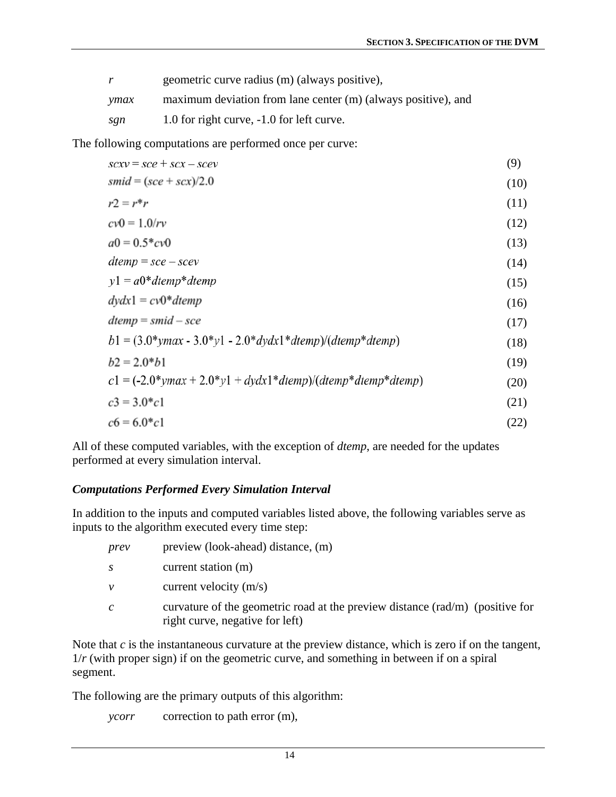| r    | geometric curve radius (m) (always positive),                 |
|------|---------------------------------------------------------------|
| ymax | maximum deviation from lane center (m) (always positive), and |
| sgn  | 1.0 for right curve, -1.0 for left curve.                     |

The following computations are performed once per curve:

| $scxy = \textit{sec} + \textit{sc}x - \textit{sec}y$           | (9)  |
|----------------------------------------------------------------|------|
| $smid = (sce + scx)/2.0$                                       | (10) |
| $r2 = r*r$                                                     | (11) |
| $cv0 = 1.0/rv$                                                 | (12) |
| $a0 = 0.5 * cv0$                                               | (13) |
| $dtemp = \textit{sce} - \textit{scev}$                         | (14) |
| $y1 = a0*dtemp*dtemp$                                          | (15) |
| $dydx1 = cv0*dtemp$                                            | (16) |
| $dtemp = smid - \textit{sce}$                                  | (17) |
| $b1 = (3.0*ymax - 3.0*y1 - 2.0*dydx1*dtemp)/(dtemp*dtemp)$     | (18) |
| $b2 = 2.0 * b1$                                                | (19) |
| $c1 = (-2.0*ymax + 2.0* y1 + dydx1*dtemp)/(dtemp*dtemp*dtemp)$ | (20) |
| $c3 = 3.0$ * $c1$                                              | (21) |
| $c6 = 6.0 * c1$                                                | (22) |

All of these computed variables, with the exception of *dtemp*, are needed for the updates performed at every simulation interval.

#### *Computations Performed Every Simulation Interval*

In addition to the inputs and computed variables listed above, the following variables serve as inputs to the algorithm executed every time step:

| prev          | preview (look-ahead) distance, (m)                                                                               |
|---------------|------------------------------------------------------------------------------------------------------------------|
| S             | current station (m)                                                                                              |
| $\mathcal V$  | current velocity $(m/s)$                                                                                         |
| $\mathcal{C}$ | curvature of the geometric road at the preview distance (rad/m) (positive for<br>right curve, negative for left) |

Note that *c* is the instantaneous curvature at the preview distance, which is zero if on the tangent, 1/*r* (with proper sign) if on the geometric curve, and something in between if on a spiral segment.

The following are the primary outputs of this algorithm:

*ycorr* correction to path error (m),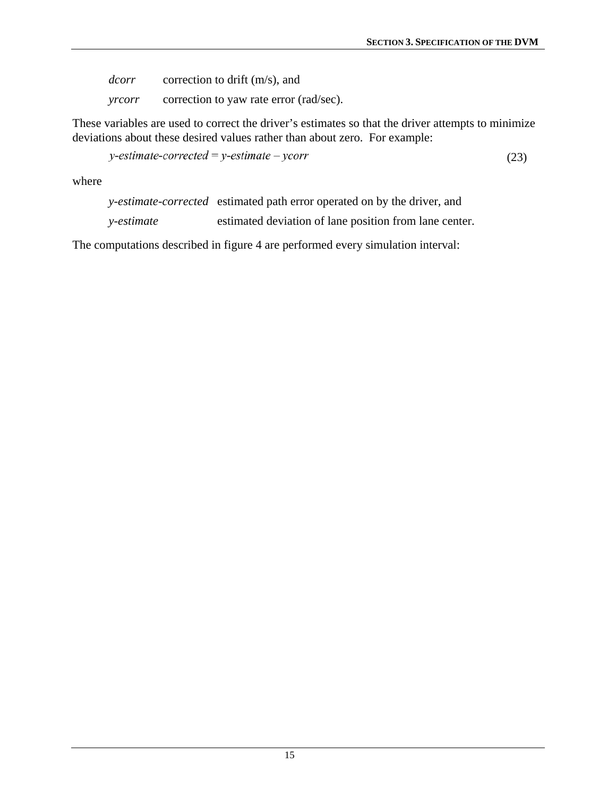*dcorr* correction to drift (m/s), and *yrcorr* correction to yaw rate error (rad/sec).

These variables are used to correct the driver's estimates so that the driver attempts to minimize deviations about these desired values rather than about zero. For example:

 $y\text{-}estimate\text{-}corrected = y\text{-}estimate\text{-}ycorr$  (23)

where

*y-estimate-corrected* estimated path error operated on by the driver, and

*y-estimate* estimated deviation of lane position from lane center.

The computations described in figure 4 are performed every simulation interval: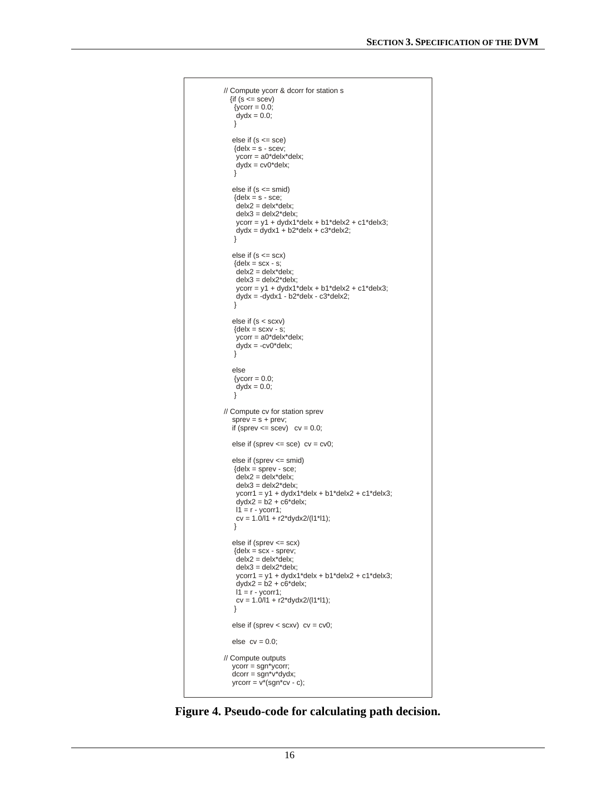```
// Compute ycorr & dcorr for station s
  \{if (s \leq s \text{cev})\{ycorr = 0.0\}dydx = 0.0;
    }
   else if (s <= sce)
   {delx = s - screw; }ycorr = a0*delx*delx;dydx = cv0^*delx;
   }
   else if (s <= smid)
   {delx = s - sce; }\frac{1}{1}delx2 = delx*delx;
   delx3 = delx2*delx;ycorr = y1 + dydx1*delx + b1*delx2 + c1*delx3;dydx = dydx1 + b2^*delx + c3^*delx2; }
  else if (s \leq scx){delx = scx - s;}delx2 = delx * delx;delx3 = delx2 * delx; ycorr = y1 + dydx1*delx + b1*delx2 + c1*delx3;
   dydx = -dydx1 - b2*delx - c3*delx2; }
   else if (s < scxv)
   {delx = scxv - s;}ycorr = a0*delx*delx;dydx = -cv0^*delx;
    }
   else
   \{ycorr = 0.0;dydx = 0.0;
    }
// Compute cv for station sprev
  sprev = s + prev;if (sprev \leq scev) cv = 0.0;
  else if (sprev \le = sce) cv = cv0;
   else if (sprev <= smid)
    {delx = sprev - sce;
    delx2 = delx*delx;
    delx3 = delx2*delx;
    ycorr1 = y1 + dydx1*delx + b1*delx2 + c1*delx3;
   dydx2 = b2 + c6*delx;
   11 = r - ycorr1;cv = 1.0/11 + r2*dydx/11/1); }
   else if (sprev <= scx)
{delx} = scx - sprev; delx2 = delx*delx;
   delx3 = delx2 * delx; ycorr1 = y1 + dydx1*delx + b1*delx2 + c1*delx3;
    dydx2 = b2 + c6*delx;
   11 = r - ycorr1;cv = 1.0/11 + r2*dydx2/(11*11); }
   else if (sprev < scxv) cv = cv0;
  else cv = 0.0;
// Compute outputs
   ycorr = sgn*ycorr;
  dcorr = sgn * v * dy dx;
  yrcorr = v*(sgn*cv - c);
```
<span id="page-25-1"></span>**Figure 4. Pseudo-code for calculating path decision.**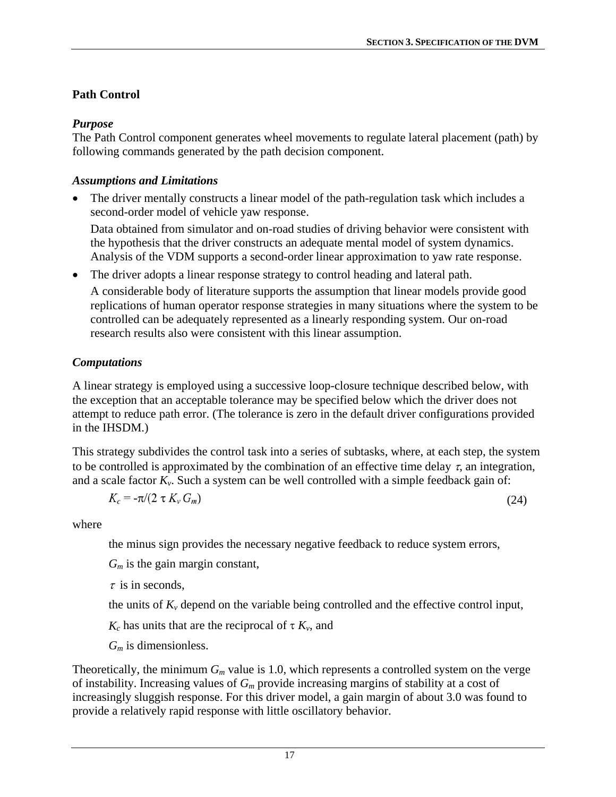# <span id="page-26-1"></span><span id="page-26-0"></span>**Path Control**

# *Purpose*

The Path Control component generates wheel movements to regulate lateral placement (path) by following commands generated by the path decision component.

## *Assumptions and Limitations*

The driver mentally constructs a linear model of the path-regulation task which includes a second-order model of vehicle yaw response.

Data obtained from simulator and on-road studies of driving behavior were consistent with the hypothesis that the driver constructs an adequate mental model of system dynamics. Analysis of the VDM supports a second-order linear approximation to yaw rate response.

The driver adopts a linear response strategy to control heading and lateral path. A considerable body of literature supports the assumption that linear models provide good replications of human operator response strategies in many situations where the system to be controlled can be adequately represented as a linearly responding system. Our on-road research results also were consistent with this linear assumption.

# *Computations*

A linear strategy is employed using a successive loop-closure technique described below, with the exception that an acceptable tolerance may be specified below which the driver does not attempt to reduce path error. (The tolerance is zero in the default driver configurations provided in the IHSDM.)

This strategy subdivides the control task into a series of subtasks, where, at each step, the system to be controlled is approximated by the combination of an effective time delay  $\tau$ , an integration, and a scale factor  $K_v$ . Such a system can be well controlled with a simple feedback gain of:

$$
K_c = -\pi/(2 \tau K_v G_m) \tag{24}
$$

where

the minus sign provides the necessary negative feedback to reduce system errors,

*Gm* is the gain margin constant,

 $\tau$  is in seconds,

the units of  $K_\nu$  depend on the variable being controlled and the effective control input,

 $K_c$  has units that are the reciprocal of  $\tau K_v$ , and

*Gm* is dimensionless.

Theoretically, the minimum  $G_m$  value is 1.0, which represents a controlled system on the verge of instability. Increasing values of *Gm* provide increasing margins of stability at a cost of increasingly sluggish response. For this driver model, a gain margin of about 3.0 was found to provide a relatively rapid response with little oscillatory behavior.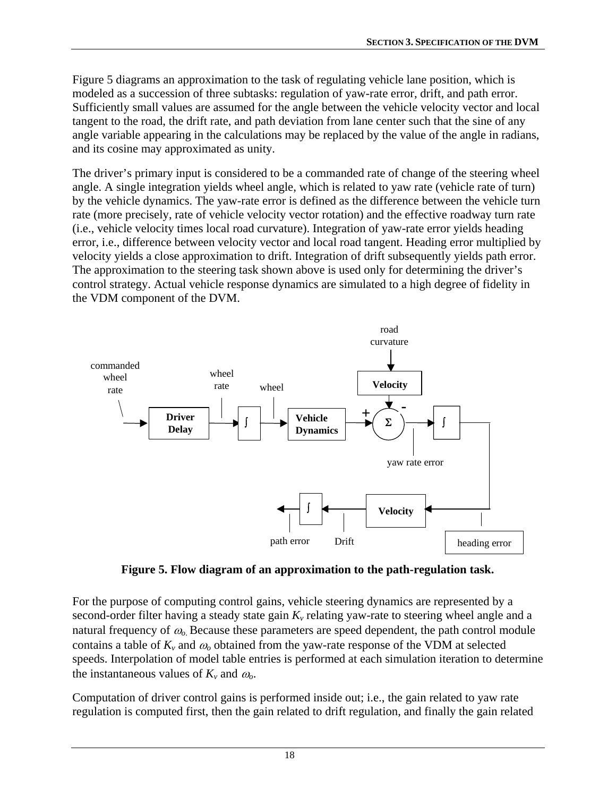<span id="page-27-0"></span>[Figure 5](#page-27-1) diagrams an approximation to the task of regulating vehicle lane position, which is modeled as a succession of three subtasks: regulation of yaw-rate error, drift, and path error. Sufficiently small values are assumed for the angle between the vehicle velocity vector and local tangent to the road, the drift rate, and path deviation from lane center such that the sine of any angle variable appearing in the calculations may be replaced by the value of the angle in radians, and its cosine may approximated as unity.

The driver's primary input is considered to be a commanded rate of change of the steering wheel angle. A single integration yields wheel angle, which is related to yaw rate (vehicle rate of turn) by the vehicle dynamics. The yaw-rate error is defined as the difference between the vehicle turn rate (more precisely, rate of vehicle velocity vector rotation) and the effective roadway turn rate (i.e., vehicle velocity times local road curvature). Integration of yaw-rate error yields heading error, i.e., difference between velocity vector and local road tangent. Heading error multiplied by velocity yields a close approximation to drift. Integration of drift subsequently yields path error. The approximation to the steering task shown above is used only for determining the driver's control strategy. Actual vehicle response dynamics are simulated to a high degree of fidelity in the VDM component of the DVM.



**Figure 5. Flow diagram of an approximation to the path-regulation task.** 

<span id="page-27-1"></span>For the purpose of computing control gains, vehicle steering dynamics are represented by a second-order filter having a steady state gain  $K<sub>v</sub>$  relating yaw-rate to steering wheel angle and a natural frequency of <sup>ω</sup>*o*. Because these parameters are speed dependent, the path control module contains a table of  $K_v$  and  $\omega_o$  obtained from the yaw-rate response of the VDM at selected speeds. Interpolation of model table entries is performed at each simulation iteration to determine the instantaneous values of  $K_v$  and  $\omega_o$ .

Computation of driver control gains is performed inside out; i.e., the gain related to yaw rate regulation is computed first, then the gain related to drift regulation, and finally the gain related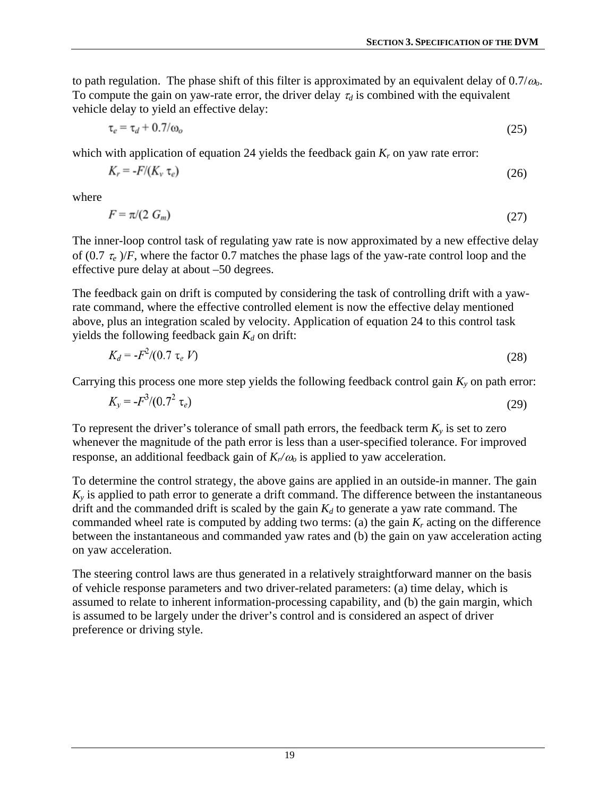to path regulation. The phase shift of this filter is approximated by an equivalent delay of 0.7/<sup>ω</sup>*o*. To compute the gain on yaw-rate error, the driver delay  $\tau_d$  is combined with the equivalent vehicle delay to yield an effective delay:

$$
\tau_e = \tau_d + 0.7/\omega_o \tag{25}
$$

which with application of equation 24 yields the feedback gain  $K_r$  on yaw rate error:

$$
K_r = -F/(K_v \tau_e) \tag{26}
$$

where

$$
F = \pi/(2 \ G_m) \tag{27}
$$

The inner-loop control task of regulating yaw rate is now approximated by a new effective delay of  $(0.7 \tau_e)/F$ , where the factor 0.7 matches the phase lags of the yaw-rate control loop and the effective pure delay at about –50 degrees.

The feedback gain on drift is computed by considering the task of controlling drift with a yawrate command, where the effective controlled element is now the effective delay mentioned above, plus an integration scaled by velocity. Application of equation 24 to this control task yields the following feedback gain  $K_d$  on drift:

$$
K_d = -F^2/(0.7 \tau_e V) \tag{28}
$$

Carrying this process one more step yields the following feedback control gain  $K_y$  on path error:

$$
K_{y} = -F^{3}/(0.7^{2} \tau_{e})
$$
\n(29)

To represent the driver's tolerance of small path errors, the feedback term  $K_y$  is set to zero whenever the magnitude of the path error is less than a user-specified tolerance. For improved response, an additional feedback gain of  $K_n/\omega$  is applied to yaw acceleration.

To determine the control strategy, the above gains are applied in an outside-in manner. The gain  $K<sub>v</sub>$  is applied to path error to generate a drift command. The difference between the instantaneous drift and the commanded drift is scaled by the gain  $K_d$  to generate a yaw rate command. The commanded wheel rate is computed by adding two terms: (a) the gain  $K_r$  acting on the difference between the instantaneous and commanded yaw rates and (b) the gain on yaw acceleration acting on yaw acceleration.

The steering control laws are thus generated in a relatively straightforward manner on the basis of vehicle response parameters and two driver-related parameters: (a) time delay, which is assumed to relate to inherent information-processing capability, and (b) the gain margin, which is assumed to be largely under the driver's control and is considered an aspect of driver preference or driving style.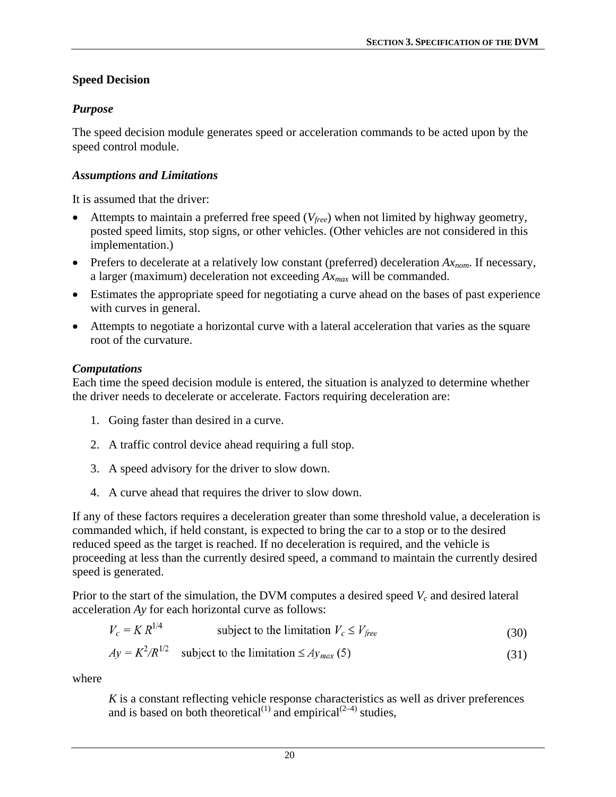# <span id="page-29-1"></span><span id="page-29-0"></span>**Speed Decision**

# *Purpose*

The speed decision module generates speed or acceleration commands to be acted upon by the speed control module.

# *Assumptions and Limitations*

It is assumed that the driver:

- Attempts to maintain a preferred free speed (*Vfree*) when not limited by highway geometry, posted speed limits, stop signs, or other vehicles. (Other vehicles are not considered in this implementation.)
- Prefers to decelerate at a relatively low constant (preferred) deceleration *Axnom*. If necessary, a larger (maximum) deceleration not exceeding *Axmax* will be commanded.
- Estimates the appropriate speed for negotiating a curve ahead on the bases of past experience with curves in general.
- Attempts to negotiate a horizontal curve with a lateral acceleration that varies as the square root of the curvature.

# *Computations*

Each time the speed decision module is entered, the situation is analyzed to determine whether the driver needs to decelerate or accelerate. Factors requiring deceleration are:

- 1. Going faster than desired in a curve.
- 2. A traffic control device ahead requiring a full stop.
- 3. A speed advisory for the driver to slow down.
- 4. A curve ahead that requires the driver to slow down.

If any of these factors requires a deceleration greater than some threshold value, a deceleration is commanded which, if held constant, is expected to bring the car to a stop or to the desired reduced speed as the target is reached. If no deceleration is required, and the vehicle is proceeding at less than the currently desired speed, a command to maintain the currently desired speed is generated.

Prior to the start of the simulation, the DVM computes a desired speed  $V_c$  and desired lateral acceleration *Ay* for each horizontal curve as follows:

$$
V_c = KR^{1/4} \t\t \tsubject to the limitation  $V_c \le V_{free}$ \t\t(30)
$$

$$
Ay = K^2/R^{1/2} \quad \text{subject to the limitation} \leq Ay_{max}(5) \tag{31}
$$

where

*K* is a constant reflecting vehicle response characteristics as well as driver preferences and is based on both theoretical<sup>(1)</sup> and empirical<sup>(2-4)</sup> studies,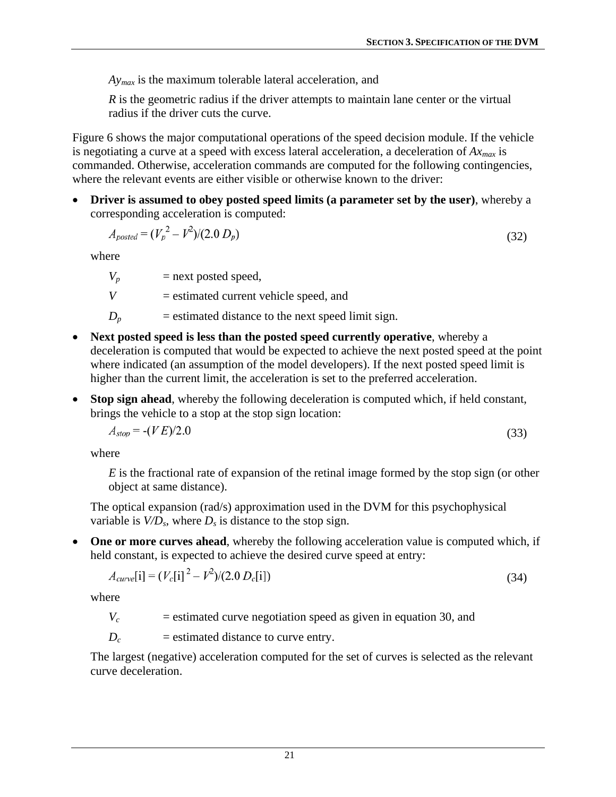*Aymax* is the maximum tolerable lateral acceleration, and

*R* is the geometric radius if the driver attempts to maintain lane center or the virtual radius if the driver cuts the curve.

[Figure 6](#page-31-1) shows the major computational operations of the speed decision module. If the vehicle is negotiating a curve at a speed with excess lateral acceleration, a deceleration of *Axmax* is commanded. Otherwise, acceleration commands are computed for the following contingencies, where the relevant events are either visible or otherwise known to the driver:

• **Driver is assumed to obey posted speed limits (a parameter set by the user)**, whereby a corresponding acceleration is computed:

$$
A_{\text{posted}} = (V_p^2 - V^2)/(2.0 \, D_p) \tag{32}
$$

where

 $V_p$  = next posted speed,

*V* = estimated current vehicle speed, and

- $D_p$  = estimated distance to the next speed limit sign.
- **Next posted speed is less than the posted speed currently operative**, whereby a deceleration is computed that would be expected to achieve the next posted speed at the point where indicated (an assumption of the model developers). If the next posted speed limit is higher than the current limit, the acceleration is set to the preferred acceleration.
- **Stop sign ahead**, whereby the following deceleration is computed which, if held constant, brings the vehicle to a stop at the stop sign location:

$$
A_{stop} = -(VE)/2.0\tag{33}
$$

where

*E* is the fractional rate of expansion of the retinal image formed by the stop sign (or other object at same distance).

The optical expansion (rad/s) approximation used in the DVM for this psychophysical variable is  $V/D_s$ , where  $D_s$  is distance to the stop sign.

• **One or more curves ahead**, whereby the following acceleration value is computed which, if held constant, is expected to achieve the desired curve speed at entry:

$$
A_{curve}[i] = (V_c[i])^2 - V^2/(2.0 D_c[i])
$$
\n(34)

where

 $V_c$  = estimated curve negotiation speed as given in equation 30, and

 $D_c$  = estimated distance to curve entry.

The largest (negative) acceleration computed for the set of curves is selected as the relevant curve deceleration.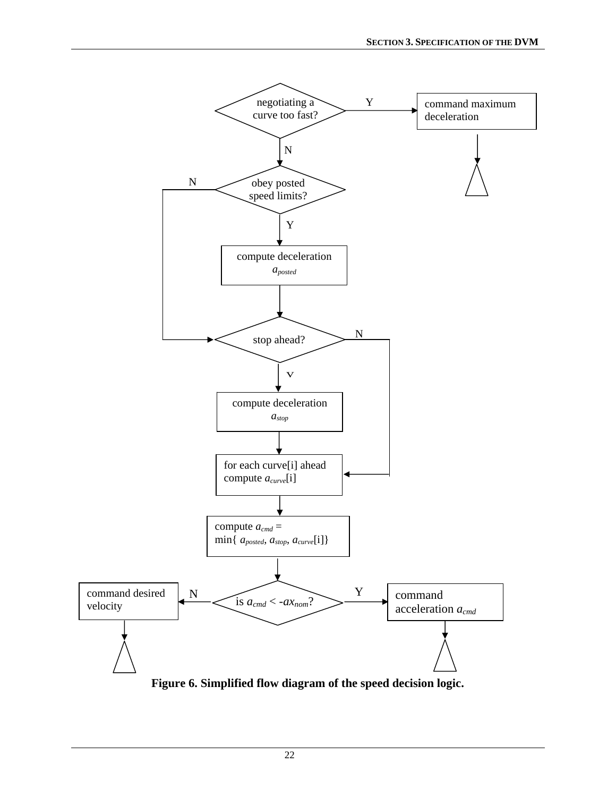<span id="page-31-0"></span>

<span id="page-31-1"></span>**Figure 6. Simplified flow diagram of the speed decision logic.**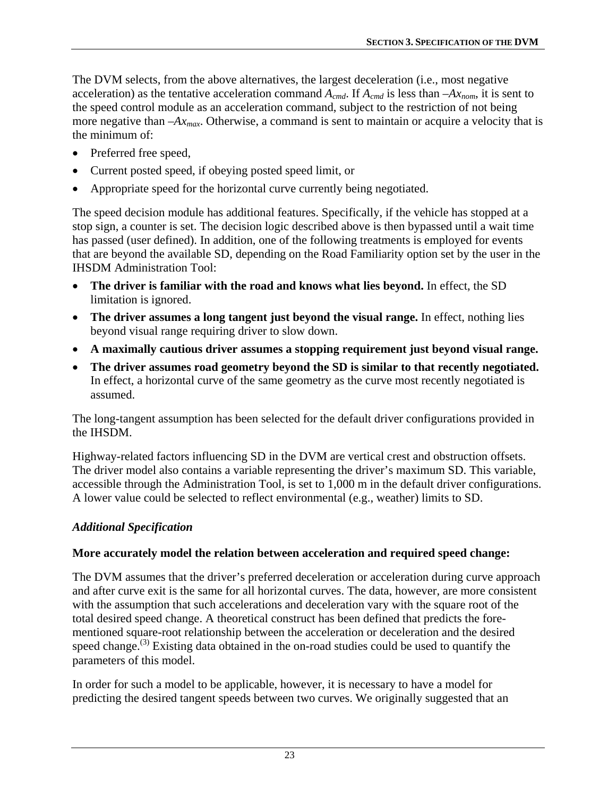The DVM selects, from the above alternatives, the largest deceleration (i.e., most negative acceleration) as the tentative acceleration command  $A_{cmd}$ . If  $A_{cmd}$  is less than  $-Ax_{nom}$ , it is sent to the speed control module as an acceleration command, subject to the restriction of not being more negative than  $-Ax_{max}$ . Otherwise, a command is sent to maintain or acquire a velocity that is the minimum of:

- Preferred free speed,
- Current posted speed, if obeying posted speed limit, or
- Appropriate speed for the horizontal curve currently being negotiated.

The speed decision module has additional features. Specifically, if the vehicle has stopped at a stop sign, a counter is set. The decision logic described above is then bypassed until a wait time has passed (user defined). In addition, one of the following treatments is employed for events that are beyond the available SD, depending on the Road Familiarity option set by the user in the IHSDM Administration Tool:

- **The driver is familiar with the road and knows what lies beyond.** In effect, the SD limitation is ignored.
- **The driver assumes a long tangent just beyond the visual range.** In effect, nothing lies beyond visual range requiring driver to slow down.
- **A maximally cautious driver assumes a stopping requirement just beyond visual range.**
- **The driver assumes road geometry beyond the SD is similar to that recently negotiated.** In effect, a horizontal curve of the same geometry as the curve most recently negotiated is assumed.

The long-tangent assumption has been selected for the default driver configurations provided in the IHSDM.

Highway-related factors influencing SD in the DVM are vertical crest and obstruction offsets. The driver model also contains a variable representing the driver's maximum SD. This variable, accessible through the Administration Tool, is set to 1,000 m in the default driver configurations. A lower value could be selected to reflect environmental (e.g., weather) limits to SD.

# *Additional Specification*

# **More accurately model the relation between acceleration and required speed change:**

The DVM assumes that the driver's preferred deceleration or acceleration during curve approach and after curve exit is the same for all horizontal curves. The data, however, are more consistent with the assumption that such accelerations and deceleration vary with the square root of the total desired speed change. A theoretical construct has been defined that predicts the forementioned square-root relationship between the acceleration or deceleration and the desired speed change.<sup>(3)</sup> Existing data obtained in the on-road studies could be used to quantify the parameters of this model.

In order for such a model to be applicable, however, it is necessary to have a model for predicting the desired tangent speeds between two curves. We originally suggested that an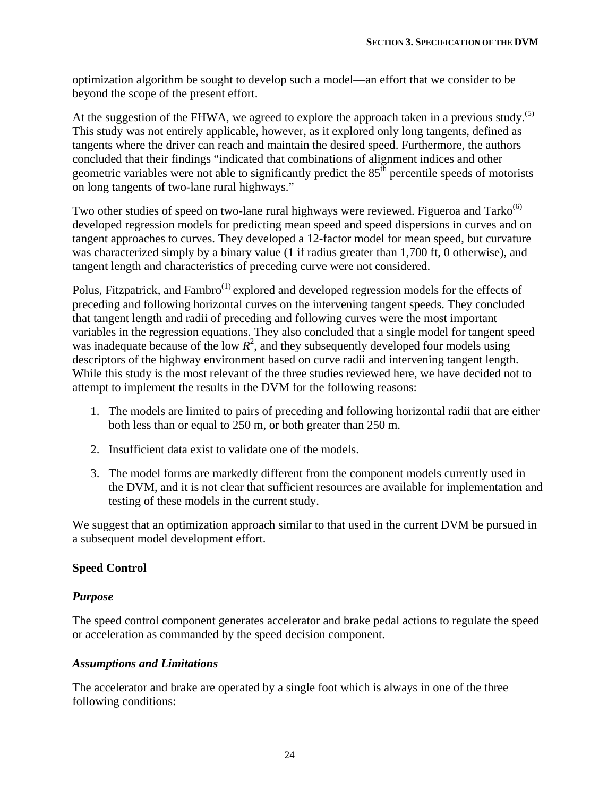<span id="page-33-0"></span>optimization algorithm be sought to develop such a model—an effort that we consider to be beyond the scope of the present effort.

At the suggestion of the FHWA, we agreed to explore the approach taken in a previous study.<sup>(5)</sup> This study was not entirely applicable, however, as it explored only long tangents, defined as tangents where the driver can reach and maintain the desired speed. Furthermore, the authors concluded that their findings "indicated that combinations of alignment indices and other geometric variables were not able to significantly predict the  $85<sup>th</sup>$  percentile speeds of motorists on long tangents of two-lane rural highways."

Two other studies of speed on two-lane rural highways were reviewed. Figueroa and Tarko<sup>(6)</sup> developed regression models for predicting mean speed and speed dispersions in curves and on tangent approaches to curves. They developed a 12-factor model for mean speed, but curvature was characterized simply by a binary value (1 if radius greater than 1,700 ft, 0 otherwise), and tangent length and characteristics of preceding curve were not considered.

Polus, Fitzpatrick, and Fambro<sup>(1)</sup> explored and developed regression models for the effects of preceding and following horizontal curves on the intervening tangent speeds. They concluded that tangent length and radii of preceding and following curves were the most important variables in the regression equations. They also concluded that a single model for tangent speed was inadequate because of the low  $R^2$ , and they subsequently developed four models using descriptors of the highway environment based on curve radii and intervening tangent length. While this study is the most relevant of the three studies reviewed here, we have decided not to attempt to implement the results in the DVM for the following reasons:

- 1. The models are limited to pairs of preceding and following horizontal radii that are either both less than or equal to 250 m, or both greater than 250 m.
- 2. Insufficient data exist to validate one of the models.
- 3. The model forms are markedly different from the component models currently used in the DVM, and it is not clear that sufficient resources are available for implementation and testing of these models in the current study.

We suggest that an optimization approach similar to that used in the current DVM be pursued in a subsequent model development effort.

## <span id="page-33-1"></span>**Speed Control**

## *Purpose*

The speed control component generates accelerator and brake pedal actions to regulate the speed or acceleration as commanded by the speed decision component.

## *Assumptions and Limitations*

The accelerator and brake are operated by a single foot which is always in one of the three following conditions: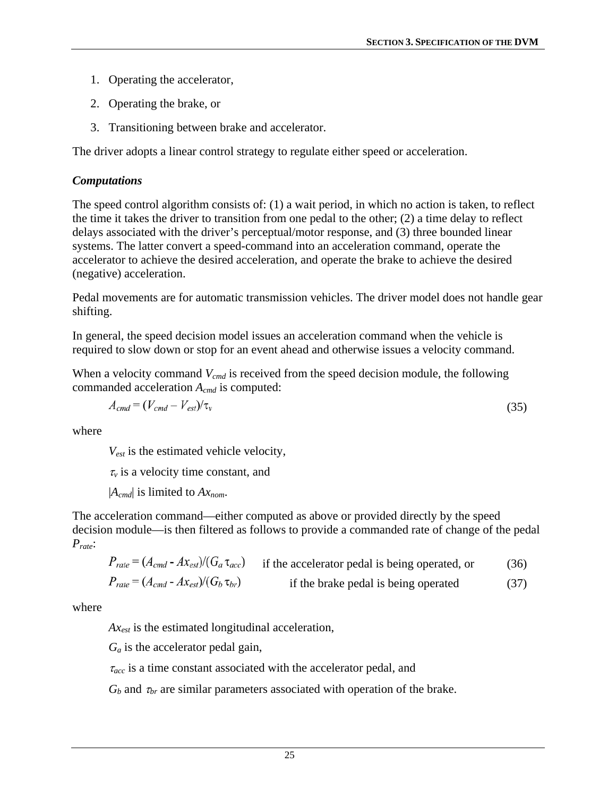- 1. Operating the accelerator,
- 2. Operating the brake, or
- 3. Transitioning between brake and accelerator.

The driver adopts a linear control strategy to regulate either speed or acceleration.

## *Computations*

The speed control algorithm consists of: (1) a wait period, in which no action is taken, to reflect the time it takes the driver to transition from one pedal to the other; (2) a time delay to reflect delays associated with the driver's perceptual/motor response, and (3) three bounded linear systems. The latter convert a speed-command into an acceleration command, operate the accelerator to achieve the desired acceleration, and operate the brake to achieve the desired (negative) acceleration.

Pedal movements are for automatic transmission vehicles. The driver model does not handle gear shifting.

In general, the speed decision model issues an acceleration command when the vehicle is required to slow down or stop for an event ahead and otherwise issues a velocity command.

When a velocity command  $V_{cmd}$  is received from the speed decision module, the following commanded acceleration *Acmd* is computed:

$$
A_{cmd} = (V_{cmd} - V_{est})/\tau_v
$$
\n(35)

where

*Vest* is the estimated vehicle velocity,

 $\tau_v$  is a velocity time constant, and

|*Acmd*| is limited to *Axnom*.

The acceleration command—either computed as above or provided directly by the speed decision module—is then filtered as follows to provide a commanded rate of change of the pedal *Prate*:

$$
P_{rate} = (A_{cmd} - A_{Xest})/(G_a \tau_{acc})
$$
 if the accelerator pedal is being operated, or (36)  

$$
P_{rate} = (A_{cmd} - A_{Xest})/(G_b \tau_{br})
$$
 if the brake pedal is being operated (37)

where

*Axest* is the estimated longitudinal acceleration,

 $G_a$  is the accelerator pedal gain,

<sup>τ</sup>*acc* is a time constant associated with the accelerator pedal, and

 $G_b$  and  $\tau_{br}$  are similar parameters associated with operation of the brake.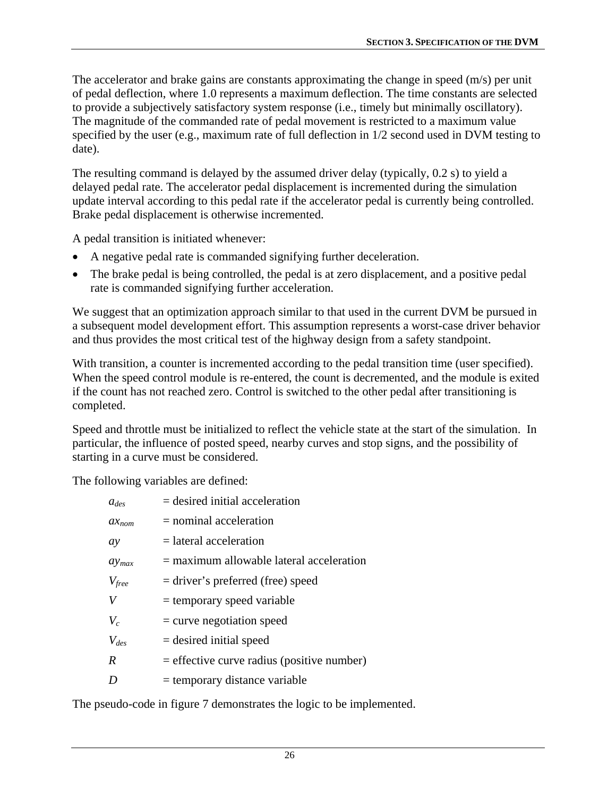The accelerator and brake gains are constants approximating the change in speed (m/s) per unit of pedal deflection, where 1.0 represents a maximum deflection. The time constants are selected to provide a subjectively satisfactory system response (i.e., timely but minimally oscillatory). The magnitude of the commanded rate of pedal movement is restricted to a maximum value specified by the user (e.g., maximum rate of full deflection in 1/2 second used in DVM testing to date).

The resulting command is delayed by the assumed driver delay (typically, 0.2 s) to yield a delayed pedal rate. The accelerator pedal displacement is incremented during the simulation update interval according to this pedal rate if the accelerator pedal is currently being controlled. Brake pedal displacement is otherwise incremented.

A pedal transition is initiated whenever:

- A negative pedal rate is commanded signifying further deceleration.
- The brake pedal is being controlled, the pedal is at zero displacement, and a positive pedal rate is commanded signifying further acceleration.

We suggest that an optimization approach similar to that used in the current DVM be pursued in a subsequent model development effort. This assumption represents a worst-case driver behavior and thus provides the most critical test of the highway design from a safety standpoint.

With transition, a counter is incremented according to the pedal transition time (user specified). When the speed control module is re-entered, the count is decremented, and the module is exited if the count has not reached zero. Control is switched to the other pedal after transitioning is completed.

Speed and throttle must be initialized to reflect the vehicle state at the start of the simulation. In particular, the influence of posted speed, nearby curves and stop signs, and the possibility of starting in a curve must be considered.

The following variables are defined:

| $a_{des}$        | $=$ desired initial acceleration             |
|------------------|----------------------------------------------|
| $ax_{nom}$       | $=$ nominal acceleration                     |
| ay               | $=$ lateral acceleration                     |
| $\alpha y_{max}$ | $=$ maximum allowable lateral acceleration   |
| $V_{free}$       | = driver's preferred (free) speed            |
| V                | $=$ temporary speed variable                 |
| $V_c$            | $=$ curve negotiation speed                  |
| $V_{des}$        | $=$ desired initial speed                    |
| $\boldsymbol{R}$ | $=$ effective curve radius (positive number) |
| D                | $=$ temporary distance variable              |
|                  |                                              |

The pseudo-code in figure 7 demonstrates the logic to be implemented.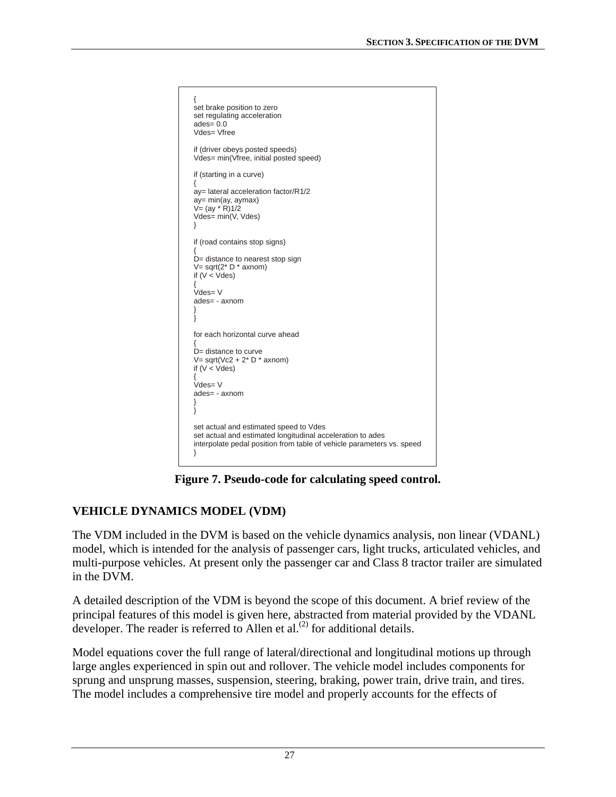```
{
set brake position to zero
set regulating acceleration
ades= 0.0
Vdes= Vfree
if (driver obeys posted speeds)
Vdes= min(Vfree, initial posted speed)
if (starting in a curve)
{
ay= lateral acceleration factor/R1/2
ay = min(ay, aymax)V = (ay * R)1/2Vdes= min(V, Vdes)
}
if (road contains stop signs)
{
D= distance to nearest stop sign
V= sqrt(2^* D * axnom)if (V < Vdes)
{
Vdes= V
ades= - axnom
}
}
for each horizontal curve ahead
{
D= distance to curve
V= sqrt(Vc2 + 2* D * axnom)
if (V < Vdes)
{
Vdes= V
ades= - axnom
}
}
set actual and estimated speed to Vdes
set actual and estimated longitudinal acceleration to ades
interpolate pedal position from table of vehicle parameters vs. speed
}
```
**Figure 7. Pseudo-code for calculating speed control.** 

# **VEHICLE DYNAMICS MODEL (VDM)**

The VDM included in the DVM is based on the vehicle dynamics analysis, non linear (VDANL) model, which is intended for the analysis of passenger cars, light trucks, articulated vehicles, and multi-purpose vehicles. At present only the passenger car and Class 8 tractor trailer are simulated in the DVM.

A detailed description of the VDM is beyond the scope of this document. A brief review of the principal features of this model is given here, abstracted from material provided by the VDANL developer. The reader is referred to Allen et al.<sup>(2)</sup> for additional details.

Model equations cover the full range of lateral/directional and longitudinal motions up through large angles experienced in spin out and rollover. The vehicle model includes components for sprung and unsprung masses, suspension, steering, braking, power train, drive train, and tires. The model includes a comprehensive tire model and properly accounts for the effects of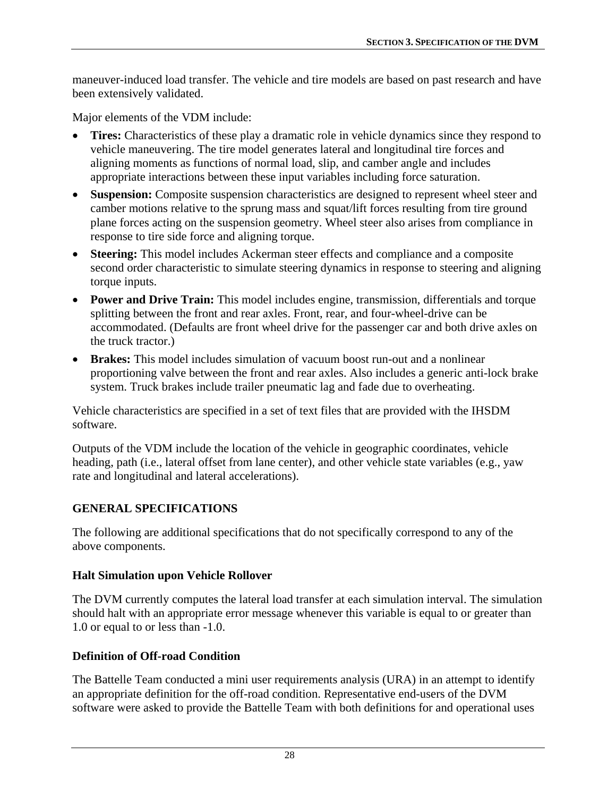maneuver-induced load transfer. The vehicle and tire models are based on past research and have been extensively validated.

Major elements of the VDM include:

- **Tires:** Characteristics of these play a dramatic role in vehicle dynamics since they respond to vehicle maneuvering. The tire model generates lateral and longitudinal tire forces and aligning moments as functions of normal load, slip, and camber angle and includes appropriate interactions between these input variables including force saturation.
- **Suspension:** Composite suspension characteristics are designed to represent wheel steer and camber motions relative to the sprung mass and squat/lift forces resulting from tire ground plane forces acting on the suspension geometry. Wheel steer also arises from compliance in response to tire side force and aligning torque.
- **Steering:** This model includes Ackerman steer effects and compliance and a composite second order characteristic to simulate steering dynamics in response to steering and aligning torque inputs.
- **Power and Drive Train:** This model includes engine, transmission, differentials and torque splitting between the front and rear axles. Front, rear, and four-wheel-drive can be accommodated. (Defaults are front wheel drive for the passenger car and both drive axles on the truck tractor.)
- **Brakes:** This model includes simulation of vacuum boost run-out and a nonlinear proportioning valve between the front and rear axles. Also includes a generic anti-lock brake system. Truck brakes include trailer pneumatic lag and fade due to overheating.

Vehicle characteristics are specified in a set of text files that are provided with the IHSDM software.

Outputs of the VDM include the location of the vehicle in geographic coordinates, vehicle heading, path (i.e., lateral offset from lane center), and other vehicle state variables (e.g., yaw rate and longitudinal and lateral accelerations).

## **GENERAL SPECIFICATIONS**

The following are additional specifications that do not specifically correspond to any of the above components.

#### **Halt Simulation upon Vehicle Rollover**

The DVM currently computes the lateral load transfer at each simulation interval. The simulation should halt with an appropriate error message whenever this variable is equal to or greater than 1.0 or equal to or less than -1.0.

#### **Definition of Off-road Condition**

The Battelle Team conducted a mini user requirements analysis (URA) in an attempt to identify an appropriate definition for the off-road condition. Representative end-users of the DVM software were asked to provide the Battelle Team with both definitions for and operational uses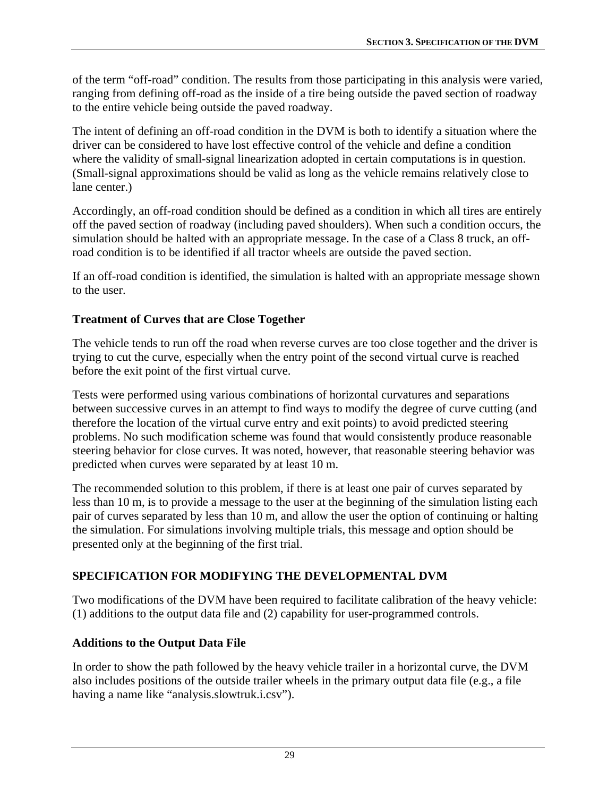of the term "off-road" condition. The results from those participating in this analysis were varied, ranging from defining off-road as the inside of a tire being outside the paved section of roadway to the entire vehicle being outside the paved roadway.

The intent of defining an off-road condition in the DVM is both to identify a situation where the driver can be considered to have lost effective control of the vehicle and define a condition where the validity of small-signal linearization adopted in certain computations is in question. (Small-signal approximations should be valid as long as the vehicle remains relatively close to lane center.)

Accordingly, an off-road condition should be defined as a condition in which all tires are entirely off the paved section of roadway (including paved shoulders). When such a condition occurs, the simulation should be halted with an appropriate message. In the case of a Class 8 truck, an offroad condition is to be identified if all tractor wheels are outside the paved section.

If an off-road condition is identified, the simulation is halted with an appropriate message shown to the user.

## **Treatment of Curves that are Close Together**

The vehicle tends to run off the road when reverse curves are too close together and the driver is trying to cut the curve, especially when the entry point of the second virtual curve is reached before the exit point of the first virtual curve.

Tests were performed using various combinations of horizontal curvatures and separations between successive curves in an attempt to find ways to modify the degree of curve cutting (and therefore the location of the virtual curve entry and exit points) to avoid predicted steering problems. No such modification scheme was found that would consistently produce reasonable steering behavior for close curves. It was noted, however, that reasonable steering behavior was predicted when curves were separated by at least 10 m.

The recommended solution to this problem, if there is at least one pair of curves separated by less than 10 m, is to provide a message to the user at the beginning of the simulation listing each pair of curves separated by less than 10 m, and allow the user the option of continuing or halting the simulation. For simulations involving multiple trials, this message and option should be presented only at the beginning of the first trial.

# **SPECIFICATION FOR MODIFYING THE DEVELOPMENTAL DVM**

Two modifications of the DVM have been required to facilitate calibration of the heavy vehicle: (1) additions to the output data file and (2) capability for user-programmed controls.

## **Additions to the Output Data File**

In order to show the path followed by the heavy vehicle trailer in a horizontal curve, the DVM also includes positions of the outside trailer wheels in the primary output data file (e.g., a file having a name like "analysis.slowtruk.i.csv").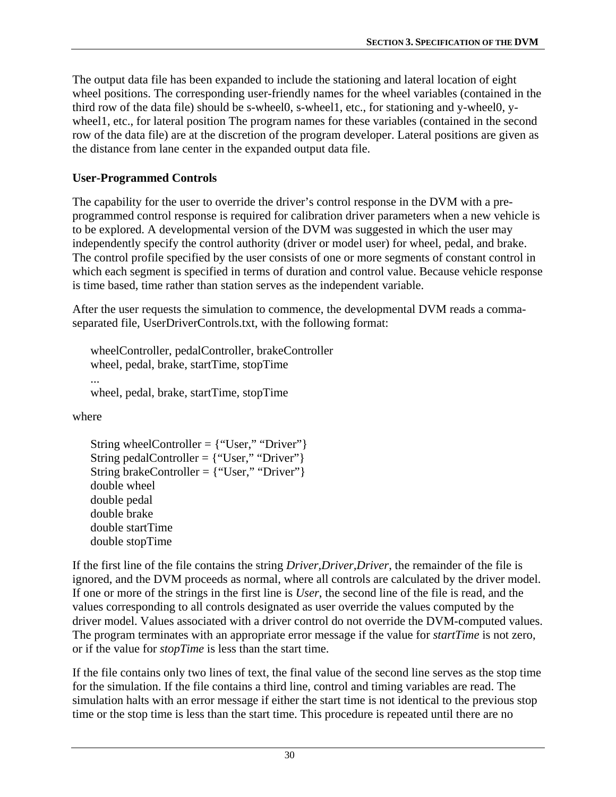The output data file has been expanded to include the stationing and lateral location of eight wheel positions. The corresponding user-friendly names for the wheel variables (contained in the third row of the data file) should be s-wheel0, s-wheel1, etc., for stationing and y-wheel0, ywheel1, etc., for lateral position The program names for these variables (contained in the second row of the data file) are at the discretion of the program developer. Lateral positions are given as the distance from lane center in the expanded output data file.

## **User-Programmed Controls**

The capability for the user to override the driver's control response in the DVM with a preprogrammed control response is required for calibration driver parameters when a new vehicle is to be explored. A developmental version of the DVM was suggested in which the user may independently specify the control authority (driver or model user) for wheel, pedal, and brake. The control profile specified by the user consists of one or more segments of constant control in which each segment is specified in terms of duration and control value. Because vehicle response is time based, time rather than station serves as the independent variable.

After the user requests the simulation to commence, the developmental DVM reads a commaseparated file, UserDriverControls.txt, with the following format:

wheelController, pedalController, brakeController wheel, pedal, brake, startTime, stopTime ... wheel, pedal, brake, startTime, stopTime

where

String wheelController = {"User," "Driver"} String pedalController =  ${``User," "Direct"}$ String brakeController = {"User," "Driver"} double wheel double pedal double brake double startTime double stopTime

If the first line of the file contains the string *Driver,Driver*, *Driver*, the remainder of the file is ignored, and the DVM proceeds as normal, where all controls are calculated by the driver model. If one or more of the strings in the first line is *User*, the second line of the file is read, and the values corresponding to all controls designated as user override the values computed by the driver model. Values associated with a driver control do not override the DVM-computed values. The program terminates with an appropriate error message if the value for *startTime* is not zero, or if the value for *stopTime* is less than the start time.

If the file contains only two lines of text, the final value of the second line serves as the stop time for the simulation. If the file contains a third line, control and timing variables are read. The simulation halts with an error message if either the start time is not identical to the previous stop time or the stop time is less than the start time. This procedure is repeated until there are no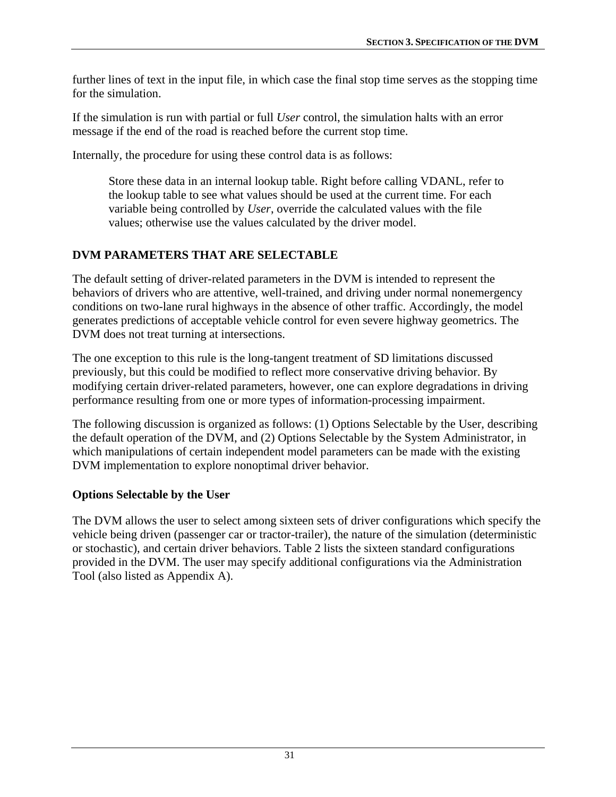further lines of text in the input file, in which case the final stop time serves as the stopping time for the simulation.

If the simulation is run with partial or full *User* control, the simulation halts with an error message if the end of the road is reached before the current stop time.

Internally, the procedure for using these control data is as follows:

Store these data in an internal lookup table. Right before calling VDANL, refer to the lookup table to see what values should be used at the current time. For each variable being controlled by *User*, override the calculated values with the file values; otherwise use the values calculated by the driver model.

# **DVM PARAMETERS THAT ARE SELECTABLE**

The default setting of driver-related parameters in the DVM is intended to represent the behaviors of drivers who are attentive, well-trained, and driving under normal nonemergency conditions on two-lane rural highways in the absence of other traffic. Accordingly, the model generates predictions of acceptable vehicle control for even severe highway geometrics. The DVM does not treat turning at intersections.

The one exception to this rule is the long-tangent treatment of SD limitations discussed previously, but this could be modified to reflect more conservative driving behavior. By modifying certain driver-related parameters, however, one can explore degradations in driving performance resulting from one or more types of information-processing impairment.

The following discussion is organized as follows: (1) Options Selectable by the User, describing the default operation of the DVM, and (2) Options Selectable by the System Administrator, in which manipulations of certain independent model parameters can be made with the existing DVM implementation to explore nonoptimal driver behavior.

# **Options Selectable by the User**

The DVM allows the user to select among sixteen sets of driver configurations which specify the vehicle being driven (passenger car or tractor-trailer), the nature of the simulation (deterministic or stochastic), and certain driver behaviors. [Table 2](#page-41-0) lists the sixteen standard configurations provided in the DVM. The user may specify additional configurations via the Administration Tool (also listed as Appendix A).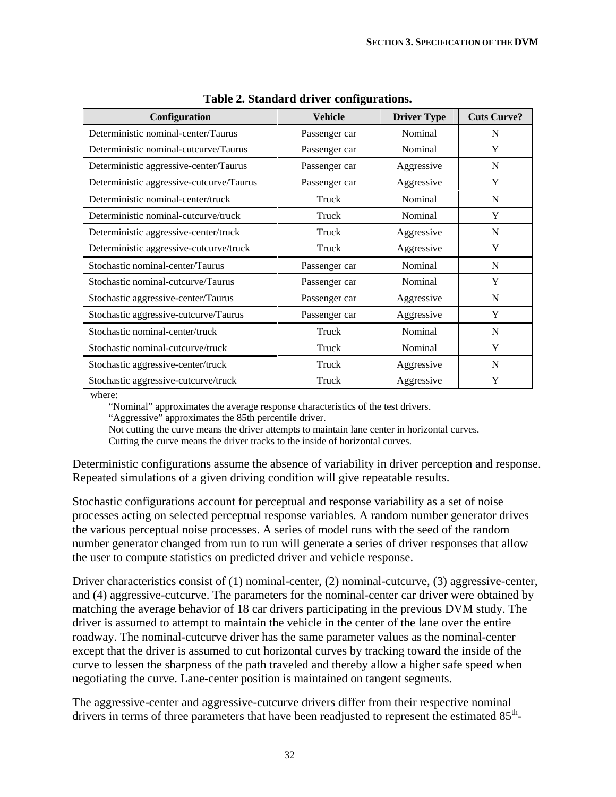<span id="page-41-0"></span>

| Configuration                            | <b>Vehicle</b> | <b>Driver Type</b> | <b>Cuts Curve?</b> |
|------------------------------------------|----------------|--------------------|--------------------|
| Deterministic nominal-center/Taurus      | Passenger car  | Nominal            | N                  |
| Deterministic nominal-cutcurve/Taurus    | Passenger car  | Nominal            | Y                  |
| Deterministic aggressive-center/Taurus   | Passenger car  | Aggressive         | N                  |
| Deterministic aggressive-cutcurve/Taurus | Passenger car  | Aggressive         | Y                  |
| Deterministic nominal-center/truck       | Truck          | Nominal            | N                  |
| Deterministic nominal-cutcurve/truck     | Truck          | Nominal            | Y                  |
| Deterministic aggressive-center/truck    | Truck          | Aggressive         | N                  |
| Deterministic aggressive-cutcurve/truck  | Truck          | Aggressive         | Y                  |
| Stochastic nominal-center/Taurus         | Passenger car  | Nominal            | N                  |
| Stochastic nominal-cutcurve/Taurus       | Passenger car  | Nominal            | Y                  |
| Stochastic aggressive-center/Taurus      | Passenger car  | Aggressive         | N                  |
| Stochastic aggressive-cutcurve/Taurus    | Passenger car  | Aggressive         | Y                  |
| Stochastic nominal-center/truck          | Truck          | Nominal            | N                  |
| Stochastic nominal-cutcurve/truck        | Truck          | Nominal            | Y                  |
| Stochastic aggressive-center/truck       | Truck          | Aggressive         | N                  |
| Stochastic aggressive-cutcurve/truck     | Truck          | Aggressive         | Y                  |

**Table 2. Standard driver configurations.** 

where:

"Nominal" approximates the average response characteristics of the test drivers.

"Aggressive" approximates the 85th percentile driver.

Not cutting the curve means the driver attempts to maintain lane center in horizontal curves.

Cutting the curve means the driver tracks to the inside of horizontal curves.

Deterministic configurations assume the absence of variability in driver perception and response. Repeated simulations of a given driving condition will give repeatable results.

Stochastic configurations account for perceptual and response variability as a set of noise processes acting on selected perceptual response variables. A random number generator drives the various perceptual noise processes. A series of model runs with the seed of the random number generator changed from run to run will generate a series of driver responses that allow the user to compute statistics on predicted driver and vehicle response.

Driver characteristics consist of (1) nominal-center, (2) nominal-cutcurve, (3) aggressive-center, and (4) aggressive-cutcurve. The parameters for the nominal-center car driver were obtained by matching the average behavior of 18 car drivers participating in the previous DVM study. The driver is assumed to attempt to maintain the vehicle in the center of the lane over the entire roadway. The nominal-cutcurve driver has the same parameter values as the nominal-center except that the driver is assumed to cut horizontal curves by tracking toward the inside of the curve to lessen the sharpness of the path traveled and thereby allow a higher safe speed when negotiating the curve. Lane-center position is maintained on tangent segments.

The aggressive-center and aggressive-cutcurve drivers differ from their respective nominal drivers in terms of three parameters that have been readjusted to represent the estimated  $85<sup>th</sup>$ -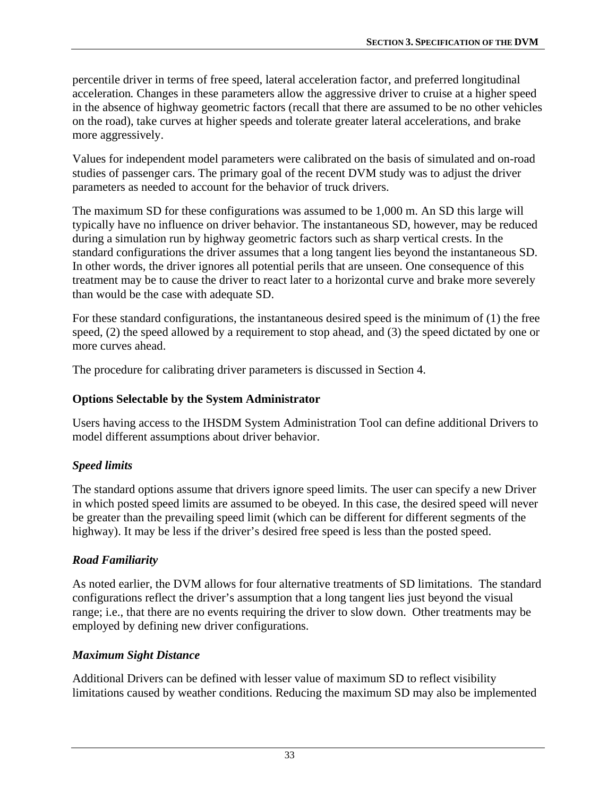percentile driver in terms of free speed, lateral acceleration factor, and preferred longitudinal acceleration*.* Changes in these parameters allow the aggressive driver to cruise at a higher speed in the absence of highway geometric factors (recall that there are assumed to be no other vehicles on the road), take curves at higher speeds and tolerate greater lateral accelerations, and brake more aggressively.

Values for independent model parameters were calibrated on the basis of simulated and on-road studies of passenger cars. The primary goal of the recent DVM study was to adjust the driver parameters as needed to account for the behavior of truck drivers.

The maximum SD for these configurations was assumed to be 1,000 m. An SD this large will typically have no influence on driver behavior. The instantaneous SD, however, may be reduced during a simulation run by highway geometric factors such as sharp vertical crests. In the standard configurations the driver assumes that a long tangent lies beyond the instantaneous SD. In other words, the driver ignores all potential perils that are unseen. One consequence of this treatment may be to cause the driver to react later to a horizontal curve and brake more severely than would be the case with adequate SD.

For these standard configurations, the instantaneous desired speed is the minimum of (1) the free speed, (2) the speed allowed by a requirement to stop ahead, and (3) the speed dictated by one or more curves ahead.

The procedure for calibrating driver parameters is discussed in Section 4.

### **Options Selectable by the System Administrator**

Users having access to the IHSDM System Administration Tool can define additional Drivers to model different assumptions about driver behavior.

## *Speed limits*

The standard options assume that drivers ignore speed limits. The user can specify a new Driver in which posted speed limits are assumed to be obeyed. In this case, the desired speed will never be greater than the prevailing speed limit (which can be different for different segments of the highway). It may be less if the driver's desired free speed is less than the posted speed.

#### *Road Familiarity*

As noted earlier, the DVM allows for four alternative treatments of SD limitations. The standard configurations reflect the driver's assumption that a long tangent lies just beyond the visual range; i.e., that there are no events requiring the driver to slow down. Other treatments may be employed by defining new driver configurations.

#### *Maximum Sight Distance*

Additional Drivers can be defined with lesser value of maximum SD to reflect visibility limitations caused by weather conditions. Reducing the maximum SD may also be implemented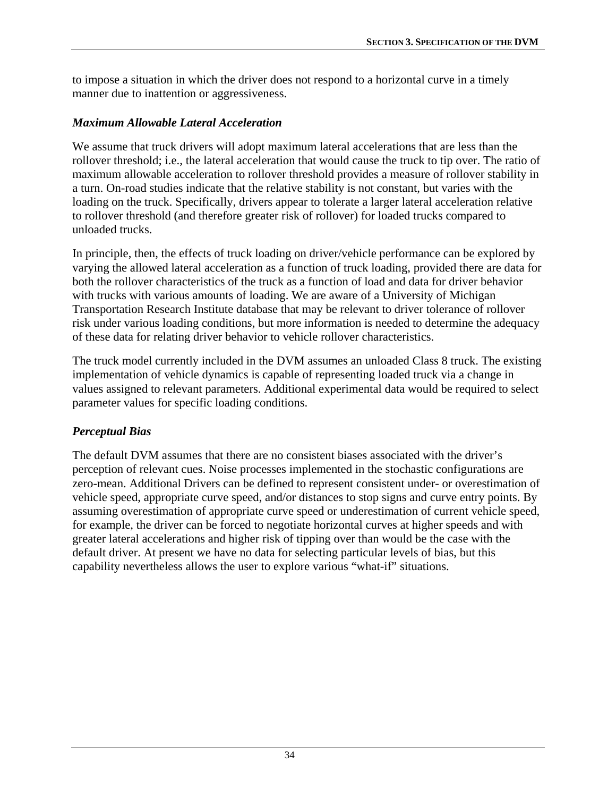to impose a situation in which the driver does not respond to a horizontal curve in a timely manner due to inattention or aggressiveness.

## *Maximum Allowable Lateral Acceleration*

We assume that truck drivers will adopt maximum lateral accelerations that are less than the rollover threshold; i.e., the lateral acceleration that would cause the truck to tip over. The ratio of maximum allowable acceleration to rollover threshold provides a measure of rollover stability in a turn. On-road studies indicate that the relative stability is not constant, but varies with the loading on the truck. Specifically, drivers appear to tolerate a larger lateral acceleration relative to rollover threshold (and therefore greater risk of rollover) for loaded trucks compared to unloaded trucks.

In principle, then, the effects of truck loading on driver/vehicle performance can be explored by varying the allowed lateral acceleration as a function of truck loading, provided there are data for both the rollover characteristics of the truck as a function of load and data for driver behavior with trucks with various amounts of loading. We are aware of a University of Michigan Transportation Research Institute database that may be relevant to driver tolerance of rollover risk under various loading conditions, but more information is needed to determine the adequacy of these data for relating driver behavior to vehicle rollover characteristics.

The truck model currently included in the DVM assumes an unloaded Class 8 truck. The existing implementation of vehicle dynamics is capable of representing loaded truck via a change in values assigned to relevant parameters. Additional experimental data would be required to select parameter values for specific loading conditions.

## *Perceptual Bias*

The default DVM assumes that there are no consistent biases associated with the driver's perception of relevant cues. Noise processes implemented in the stochastic configurations are zero-mean. Additional Drivers can be defined to represent consistent under- or overestimation of vehicle speed, appropriate curve speed, and/or distances to stop signs and curve entry points. By assuming overestimation of appropriate curve speed or underestimation of current vehicle speed, for example, the driver can be forced to negotiate horizontal curves at higher speeds and with greater lateral accelerations and higher risk of tipping over than would be the case with the default driver. At present we have no data for selecting particular levels of bias, but this capability nevertheless allows the user to explore various "what-if" situations.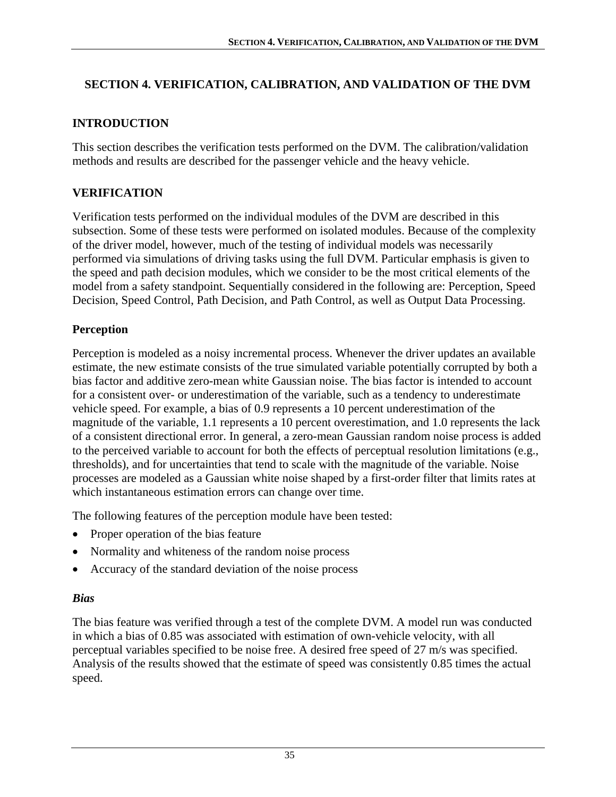## **SECTION 4. VERIFICATION, CALIBRATION, AND VALIDATION OF THE DVM**

## **INTRODUCTION**

This section describes the verification tests performed on the DVM. The calibration/validation methods and results are described for the passenger vehicle and the heavy vehicle.

# **VERIFICATION**

Verification tests performed on the individual modules of the DVM are described in this subsection. Some of these tests were performed on isolated modules. Because of the complexity of the driver model, however, much of the testing of individual models was necessarily performed via simulations of driving tasks using the full DVM. Particular emphasis is given to the speed and path decision modules, which we consider to be the most critical elements of the model from a safety standpoint. Sequentially considered in the following are: Perception, Speed Decision, Speed Control, Path Decision, and Path Control, as well as Output Data Processing.

## **Perception**

Perception is modeled as a noisy incremental process. Whenever the driver updates an available estimate, the new estimate consists of the true simulated variable potentially corrupted by both a bias factor and additive zero-mean white Gaussian noise. The bias factor is intended to account for a consistent over- or underestimation of the variable, such as a tendency to underestimate vehicle speed. For example, a bias of 0.9 represents a 10 percent underestimation of the magnitude of the variable, 1.1 represents a 10 percent overestimation, and 1.0 represents the lack of a consistent directional error. In general, a zero-mean Gaussian random noise process is added to the perceived variable to account for both the effects of perceptual resolution limitations (e.g., thresholds), and for uncertainties that tend to scale with the magnitude of the variable. Noise processes are modeled as a Gaussian white noise shaped by a first-order filter that limits rates at which instantaneous estimation errors can change over time.

The following features of the perception module have been tested:

- Proper operation of the bias feature
- Normality and whiteness of the random noise process
- Accuracy of the standard deviation of the noise process

#### *Bias*

The bias feature was verified through a test of the complete DVM. A model run was conducted in which a bias of 0.85 was associated with estimation of own-vehicle velocity, with all perceptual variables specified to be noise free. A desired free speed of 27 m/s was specified. Analysis of the results showed that the estimate of speed was consistently 0.85 times the actual speed.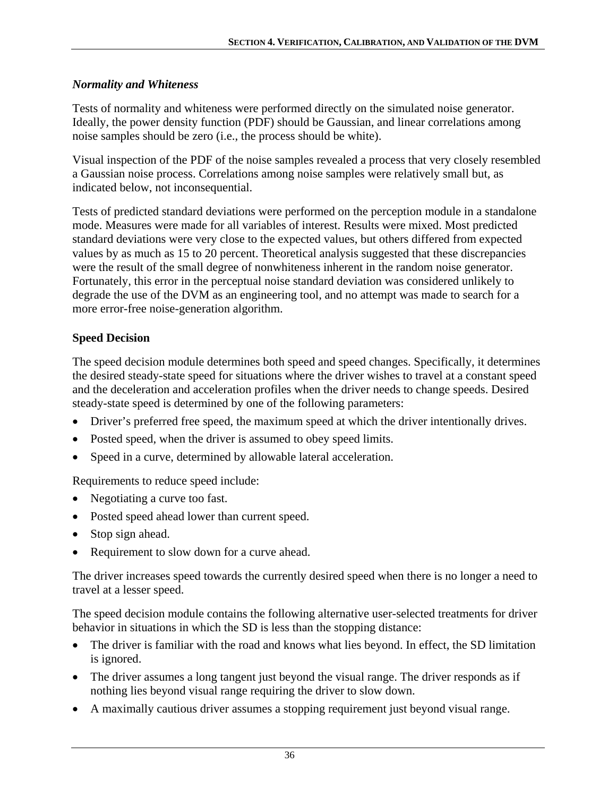### *Normality and Whiteness*

Tests of normality and whiteness were performed directly on the simulated noise generator. Ideally, the power density function (PDF) should be Gaussian, and linear correlations among noise samples should be zero (i.e., the process should be white).

Visual inspection of the PDF of the noise samples revealed a process that very closely resembled a Gaussian noise process. Correlations among noise samples were relatively small but, as indicated below, not inconsequential.

Tests of predicted standard deviations were performed on the perception module in a standalone mode. Measures were made for all variables of interest. Results were mixed. Most predicted standard deviations were very close to the expected values, but others differed from expected values by as much as 15 to 20 percent. Theoretical analysis suggested that these discrepancies were the result of the small degree of nonwhiteness inherent in the random noise generator. Fortunately, this error in the perceptual noise standard deviation was considered unlikely to degrade the use of the DVM as an engineering tool, and no attempt was made to search for a more error-free noise-generation algorithm.

# **Speed Decision**

The speed decision module determines both speed and speed changes. Specifically, it determines the desired steady-state speed for situations where the driver wishes to travel at a constant speed and the deceleration and acceleration profiles when the driver needs to change speeds. Desired steady-state speed is determined by one of the following parameters:

- Driver's preferred free speed, the maximum speed at which the driver intentionally drives.
- Posted speed, when the driver is assumed to obey speed limits.
- Speed in a curve, determined by allowable lateral acceleration.

Requirements to reduce speed include:

- Negotiating a curve too fast.
- Posted speed ahead lower than current speed.
- Stop sign ahead.
- Requirement to slow down for a curve ahead.

The driver increases speed towards the currently desired speed when there is no longer a need to travel at a lesser speed.

The speed decision module contains the following alternative user-selected treatments for driver behavior in situations in which the SD is less than the stopping distance:

- The driver is familiar with the road and knows what lies beyond. In effect, the SD limitation is ignored.
- The driver assumes a long tangent just beyond the visual range. The driver responds as if nothing lies beyond visual range requiring the driver to slow down.
- A maximally cautious driver assumes a stopping requirement just beyond visual range.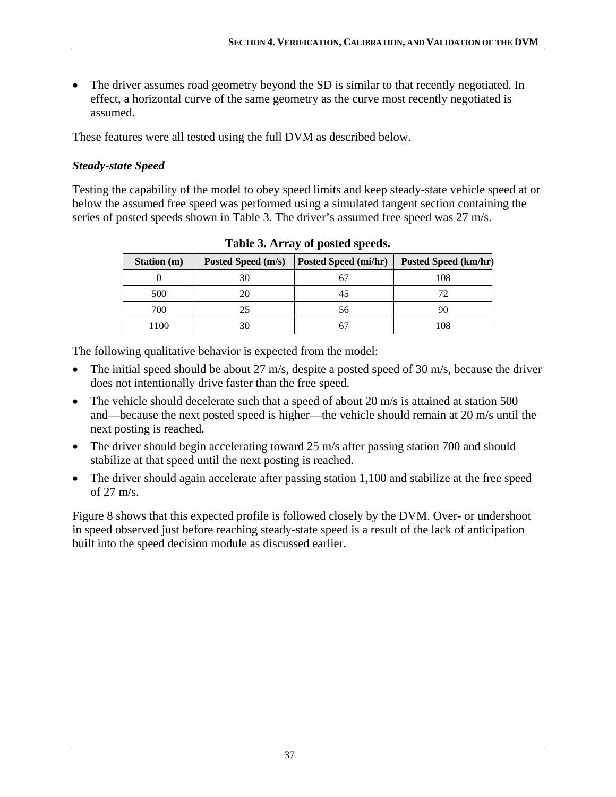• The driver assumes road geometry beyond the SD is similar to that recently negotiated. In effect, a horizontal curve of the same geometry as the curve most recently negotiated is assumed.

These features were all tested using the full DVM as described below.

### *Steady-state Speed*

<span id="page-46-0"></span>Testing the capability of the model to obey speed limits and keep steady-state vehicle speed at or below the assumed free speed was performed using a simulated tangent section containing the series of posted speeds shown in [Table 3.](#page-46-0) The driver's assumed free speed was 27 m/s.

| <b>Station</b> (m) | Posted Speed (m/s) | Posted Speed (mi/hr) | Posted Speed (km/hr) |
|--------------------|--------------------|----------------------|----------------------|
|                    | 30                 |                      | 108                  |
| 500                | 20                 |                      | 72                   |
| 700                | 25                 | 56                   | 90                   |
| 1100               | 30                 |                      | 108                  |

**Table 3. Array of posted speeds.** 

The following qualitative behavior is expected from the model:

- The initial speed should be about 27 m/s, despite a posted speed of 30 m/s, because the driver does not intentionally drive faster than the free speed.
- The vehicle should decelerate such that a speed of about 20 m/s is attained at station 500 and—because the next posted speed is higher—the vehicle should remain at 20 m/s until the next posting is reached.
- The driver should begin accelerating toward 25 m/s after passing station 700 and should stabilize at that speed until the next posting is reached.
- The driver should again accelerate after passing station 1,100 and stabilize at the free speed of 27 m/s.

[Figure 8](#page-47-0) shows that this expected profile is followed closely by the DVM. Over- or undershoot in speed observed just before reaching steady-state speed is a result of the lack of anticipation built into the speed decision module as discussed earlier.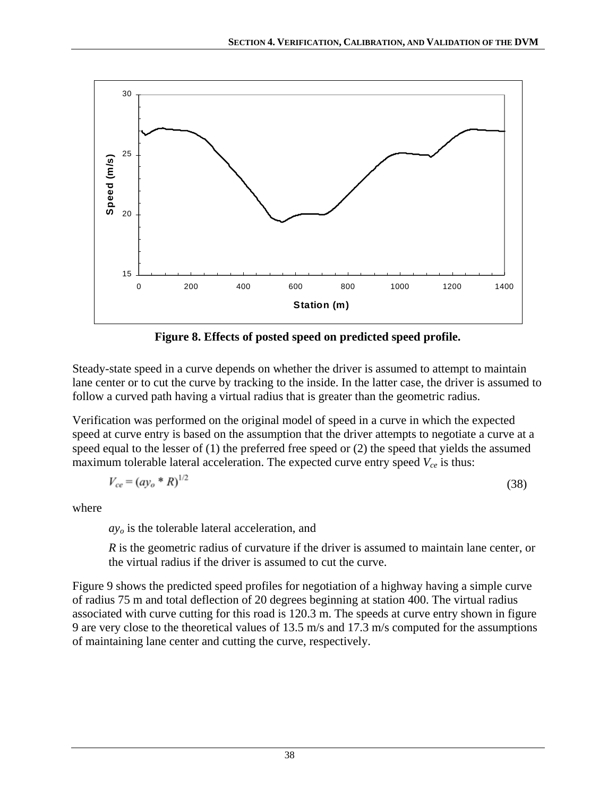

**Figure 8. Effects of posted speed on predicted speed profile.** 

<span id="page-47-0"></span>Steady-state speed in a curve depends on whether the driver is assumed to attempt to maintain lane center or to cut the curve by tracking to the inside. In the latter case, the driver is assumed to follow a curved path having a virtual radius that is greater than the geometric radius.

Verification was performed on the original model of speed in a curve in which the expected speed at curve entry is based on the assumption that the driver attempts to negotiate a curve at a speed equal to the lesser of (1) the preferred free speed or (2) the speed that yields the assumed maximum tolerable lateral acceleration. The expected curve entry speed  $V_{ce}$  is thus:

$$
V_{ce} = (a y_o * R)^{1/2}
$$
 (38)

where

*ayo* is the tolerable lateral acceleration, and

*R* is the geometric radius of curvature if the driver is assumed to maintain lane center, or the virtual radius if the driver is assumed to cut the curve.

[Figure 9](#page-48-0) shows the predicted speed profiles for negotiation of a highway having a simple curve of radius 75 m and total deflection of 20 degrees beginning at station 400. The virtual radius associated with curve cutting for this road is 120.3 m. The speeds at curve entry shown in figure 9 are very close to the theoretical values of 13.5 m/s and 17.3 m/s computed for the assumptions of maintaining lane center and cutting the curve, respectively.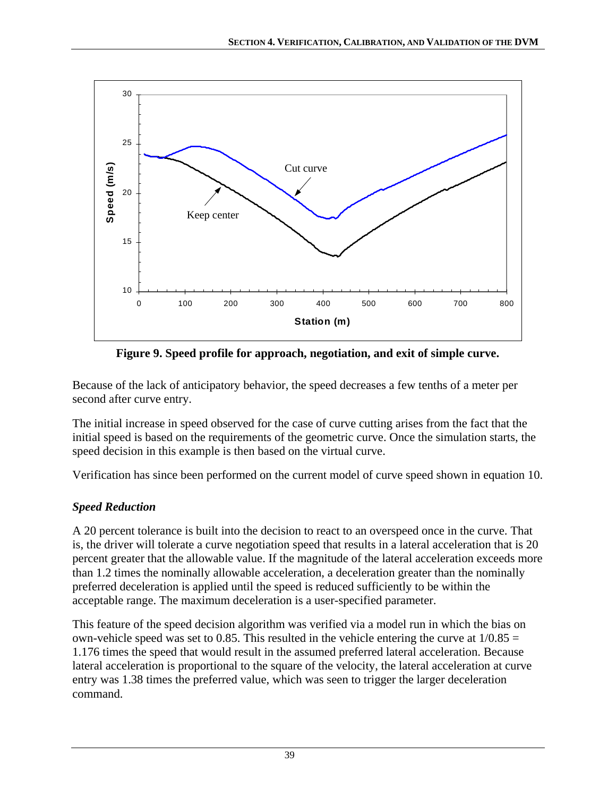

**Figure 9. Speed profile for approach, negotiation, and exit of simple curve.** 

<span id="page-48-0"></span>Because of the lack of anticipatory behavior, the speed decreases a few tenths of a meter per second after curve entry.

The initial increase in speed observed for the case of curve cutting arises from the fact that the initial speed is based on the requirements of the geometric curve. Once the simulation starts, the speed decision in this example is then based on the virtual curve.

Verification has since been performed on the current model of curve speed shown in equation 10.

## *Speed Reduction*

A 20 percent tolerance is built into the decision to react to an overspeed once in the curve. That is, the driver will tolerate a curve negotiation speed that results in a lateral acceleration that is 20 percent greater that the allowable value. If the magnitude of the lateral acceleration exceeds more than 1.2 times the nominally allowable acceleration, a deceleration greater than the nominally preferred deceleration is applied until the speed is reduced sufficiently to be within the acceptable range. The maximum deceleration is a user-specified parameter.

This feature of the speed decision algorithm was verified via a model run in which the bias on own-vehicle speed was set to 0.85. This resulted in the vehicle entering the curve at  $1/0.85 =$ 1.176 times the speed that would result in the assumed preferred lateral acceleration. Because lateral acceleration is proportional to the square of the velocity, the lateral acceleration at curve entry was 1.38 times the preferred value, which was seen to trigger the larger deceleration command.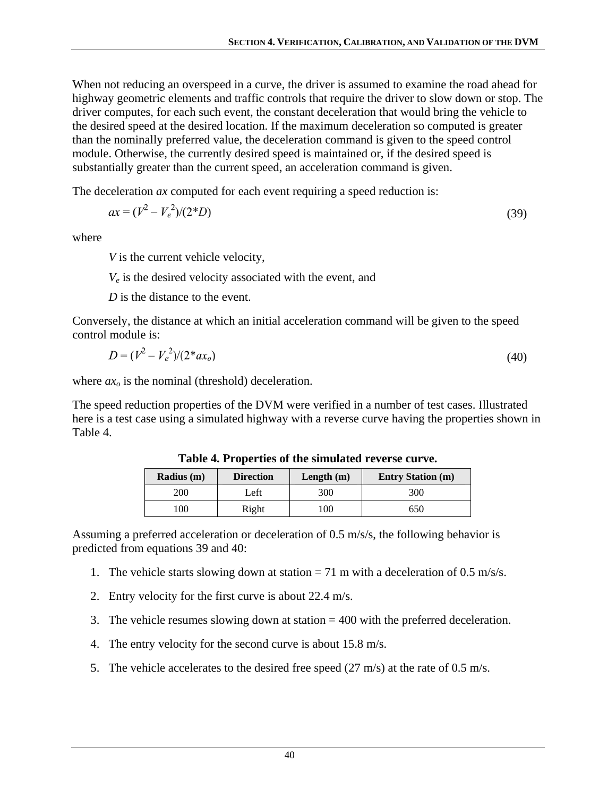When not reducing an overspeed in a curve, the driver is assumed to examine the road ahead for highway geometric elements and traffic controls that require the driver to slow down or stop. The driver computes, for each such event, the constant deceleration that would bring the vehicle to the desired speed at the desired location. If the maximum deceleration so computed is greater than the nominally preferred value, the deceleration command is given to the speed control module. Otherwise, the currently desired speed is maintained or, if the desired speed is substantially greater than the current speed, an acceleration command is given.

The deceleration *ax* computed for each event requiring a speed reduction is:

$$
ax = (V^2 - V_e^2)/(2*D)
$$
 (39)

where

*V* is the current vehicle velocity,

*Ve* is the desired velocity associated with the event, and

*D* is the distance to the event.

Conversely, the distance at which an initial acceleration command will be given to the speed control module is:

$$
D = (V^2 - V_e^2)/(2^* a x_o) \tag{40}
$$

where  $ax_0$  is the nominal (threshold) deceleration.

<span id="page-49-0"></span>The speed reduction properties of the DVM were verified in a number of test cases. Illustrated here is a test case using a simulated highway with a reverse curve having the properties shown in [Table 4](#page-49-0).

| Radius (m) | <b>Direction</b> | Length $(m)$ | <b>Entry Station (m)</b> |
|------------|------------------|--------------|--------------------------|
| 200        | Left             | 300          | 300                      |
| 100        | Right            | 00           | 650                      |

**Table 4. Properties of the simulated reverse curve.** 

Assuming a preferred acceleration or deceleration of 0.5 m/s/s, the following behavior is predicted from equations 39 and 40:

- 1. The vehicle starts slowing down at station  $= 71$  m with a deceleration of 0.5 m/s/s.
- 2. Entry velocity for the first curve is about 22.4 m/s.
- 3. The vehicle resumes slowing down at station = 400 with the preferred deceleration.
- 4. The entry velocity for the second curve is about 15.8 m/s.
- 5. The vehicle accelerates to the desired free speed (27 m/s) at the rate of 0.5 m/s.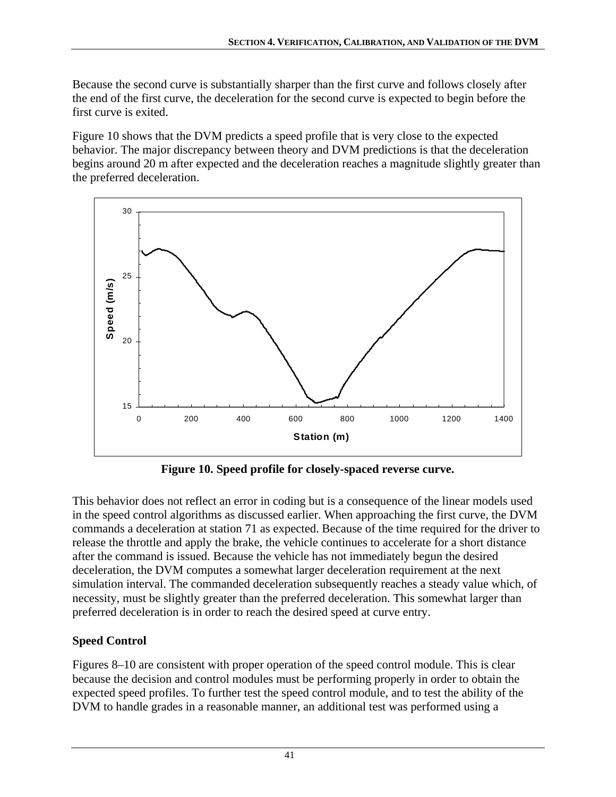Because the second curve is substantially sharper than the first curve and follows closely after the end of the first curve, the deceleration for the second curve is expected to begin before the first curve is exited.

Figure 10 shows that the DVM predicts a speed profile that is very close to the expected behavior. The major discrepancy between theory and DVM predictions is that the deceleration begins around 20 m after expected and the deceleration reaches a magnitude slightly greater than the preferred deceleration.



**Figure 10. Speed profile for closely-spaced reverse curve.** 

This behavior does not reflect an error in coding but is a consequence of the linear models used in the speed control algorithms as discussed earlier. When approaching the first curve, the DVM commands a deceleration at station 71 as expected. Because of the time required for the driver to release the throttle and apply the brake, the vehicle continues to accelerate for a short distance after the command is issued. Because the vehicle has not immediately begun the desired deceleration, the DVM computes a somewhat larger deceleration requirement at the next simulation interval. The commanded deceleration subsequently reaches a steady value which, of necessity, must be slightly greater than the preferred deceleration. This somewhat larger than preferred deceleration is in order to reach the desired speed at curve entry.

# **Speed Control**

[Figure](#page-47-0)s 8–10 are consistent with proper operation of the speed control module. This is clear because the decision and control modules must be performing properly in order to obtain the expected speed profiles. To further test the speed control module, and to test the ability of the DVM to handle grades in a reasonable manner, an additional test was performed using a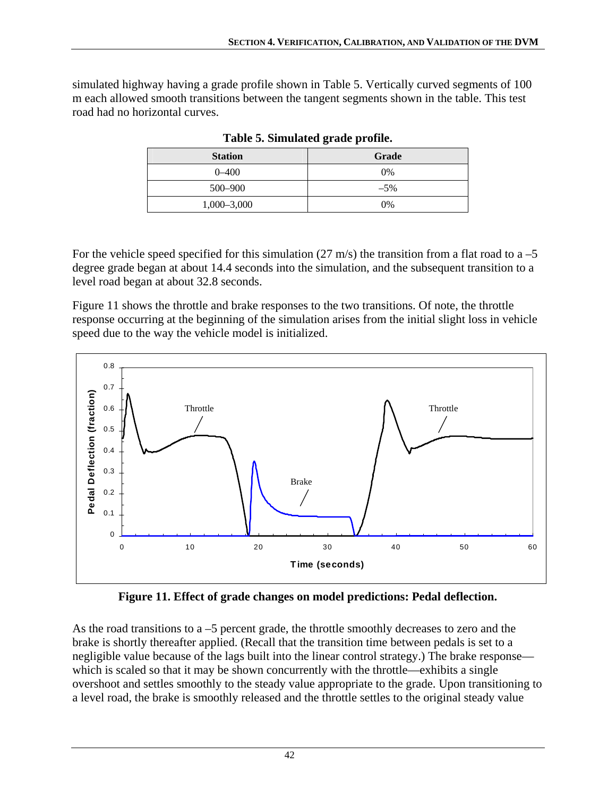<span id="page-51-0"></span>simulated highway having a grade profile shown in [Table 5.](#page-51-0) Vertically curved segments of 100 m each allowed smooth transitions between the tangent segments shown in the table. This test road had no horizontal curves.

| <b>Station</b>  | Grade  |
|-----------------|--------|
| $0 - 400$       | $0\%$  |
| 500-900         | $-5\%$ |
| $1,000 - 3,000$ | $0\%$  |

**Table 5. Simulated grade profile.** 

For the vehicle speed specified for this simulation (27 m/s) the transition from a flat road to a  $-5$ degree grade began at about 14.4 seconds into the simulation, and the subsequent transition to a level road began at about 32.8 seconds.

[Figure 11](#page-51-1) shows the throttle and brake responses to the two transitions. Of note, the throttle response occurring at the beginning of the simulation arises from the initial slight loss in vehicle speed due to the way the vehicle model is initialized.



**Figure 11. Effect of grade changes on model predictions: Pedal deflection.** 

<span id="page-51-1"></span>As the road transitions to a –5 percent grade, the throttle smoothly decreases to zero and the brake is shortly thereafter applied. (Recall that the transition time between pedals is set to a negligible value because of the lags built into the linear control strategy.) The brake response which is scaled so that it may be shown concurrently with the throttle—exhibits a single overshoot and settles smoothly to the steady value appropriate to the grade. Upon transitioning to a level road, the brake is smoothly released and the throttle settles to the original steady value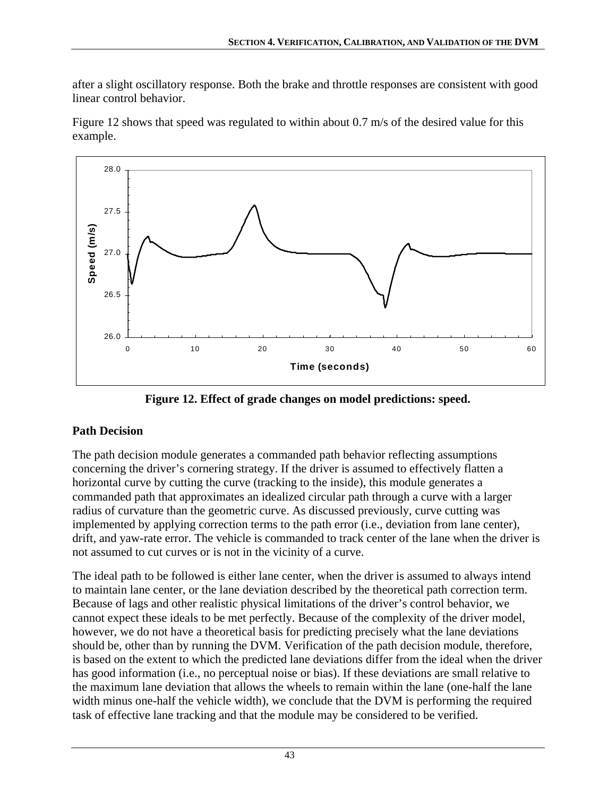after a slight oscillatory response. Both the brake and throttle responses are consistent with good linear control behavior.

[Figure 12](#page-52-0) shows that speed was regulated to within about 0.7 m/s of the desired value for this example.



**Figure 12. Effect of grade changes on model predictions: speed.** 

# <span id="page-52-0"></span>**Path Decision**

The path decision module generates a commanded path behavior reflecting assumptions concerning the driver's cornering strategy. If the driver is assumed to effectively flatten a horizontal curve by cutting the curve (tracking to the inside), this module generates a commanded path that approximates an idealized circular path through a curve with a larger radius of curvature than the geometric curve. As discussed previously, curve cutting was implemented by applying correction terms to the path error (i.e., deviation from lane center), drift, and yaw-rate error. The vehicle is commanded to track center of the lane when the driver is not assumed to cut curves or is not in the vicinity of a curve.

The ideal path to be followed is either lane center, when the driver is assumed to always intend to maintain lane center, or the lane deviation described by the theoretical path correction term. Because of lags and other realistic physical limitations of the driver's control behavior, we cannot expect these ideals to be met perfectly. Because of the complexity of the driver model, however, we do not have a theoretical basis for predicting precisely what the lane deviations should be, other than by running the DVM. Verification of the path decision module, therefore, is based on the extent to which the predicted lane deviations differ from the ideal when the driver has good information (i.e., no perceptual noise or bias). If these deviations are small relative to the maximum lane deviation that allows the wheels to remain within the lane (one-half the lane width minus one-half the vehicle width), we conclude that the DVM is performing the required task of effective lane tracking and that the module may be considered to be verified.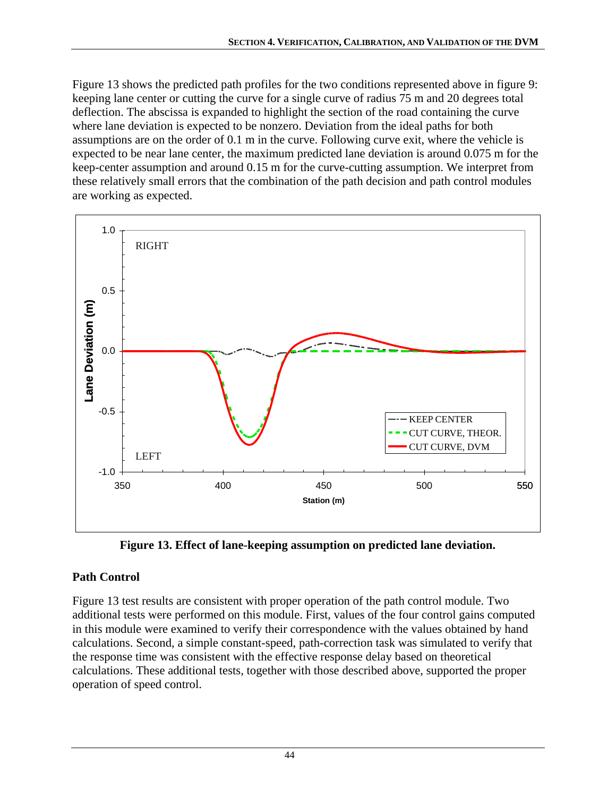[Figure 13](#page-53-0) shows the predicted path profiles for the two conditions represented above in figure 9: keeping lane center or cutting the curve for a single curve of radius 75 m and 20 degrees total deflection. The abscissa is expanded to highlight the section of the road containing the curve where lane deviation is expected to be nonzero. Deviation from the ideal paths for both assumptions are on the order of 0.1 m in the curve. Following curve exit, where the vehicle is expected to be near lane center, the maximum predicted lane deviation is around 0.075 m for the keep-center assumption and around 0.15 m for the curve-cutting assumption. We interpret from these relatively small errors that the combination of the path decision and path control modules are working as expected.



**Figure 13. Effect of lane-keeping assumption on predicted lane deviation.** 

# <span id="page-53-0"></span>**Path Control**

[Figure 13](#page-53-0) test results are consistent with proper operation of the path control module. Two additional tests were performed on this module. First, values of the four control gains computed in this module were examined to verify their correspondence with the values obtained by hand calculations. Second, a simple constant-speed, path-correction task was simulated to verify that the response time was consistent with the effective response delay based on theoretical calculations. These additional tests, together with those described above, supported the proper operation of speed control.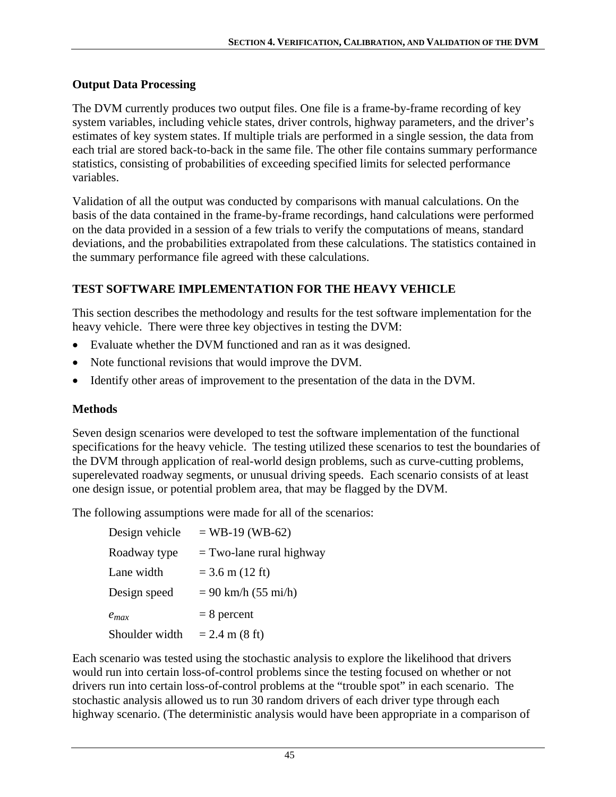## **Output Data Processing**

The DVM currently produces two output files. One file is a frame-by-frame recording of key system variables, including vehicle states, driver controls, highway parameters, and the driver's estimates of key system states. If multiple trials are performed in a single session, the data from each trial are stored back-to-back in the same file. The other file contains summary performance statistics, consisting of probabilities of exceeding specified limits for selected performance variables.

Validation of all the output was conducted by comparisons with manual calculations. On the basis of the data contained in the frame-by-frame recordings, hand calculations were performed on the data provided in a session of a few trials to verify the computations of means, standard deviations, and the probabilities extrapolated from these calculations. The statistics contained in the summary performance file agreed with these calculations.

# **TEST SOFTWARE IMPLEMENTATION FOR THE HEAVY VEHICLE**

This section describes the methodology and results for the test software implementation for the heavy vehicle. There were three key objectives in testing the DVM:

- Evaluate whether the DVM functioned and ran as it was designed.
- Note functional revisions that would improve the DVM.
- Identify other areas of improvement to the presentation of the data in the DVM.

# **Methods**

Seven design scenarios were developed to test the software implementation of the functional specifications for the heavy vehicle. The testing utilized these scenarios to test the boundaries of the DVM through application of real-world design problems, such as curve-cutting problems, superelevated roadway segments, or unusual driving speeds. Each scenario consists of at least one design issue, or potential problem area, that may be flagged by the DVM.

The following assumptions were made for all of the scenarios:

| Design vehicle | $=$ WB-19 (WB-62)          |
|----------------|----------------------------|
| Roadway type   | $=$ Two-lane rural highway |
| Lane width     | $= 3.6$ m (12 ft)          |
| Design speed   | $= 90$ km/h (55 mi/h)      |
| $e_{max}$      | $= 8$ percent              |
| Shoulder width | $= 2.4$ m (8 ft)           |

Each scenario was tested using the stochastic analysis to explore the likelihood that drivers would run into certain loss-of-control problems since the testing focused on whether or not drivers run into certain loss-of-control problems at the "trouble spot" in each scenario. The stochastic analysis allowed us to run 30 random drivers of each driver type through each highway scenario. (The deterministic analysis would have been appropriate in a comparison of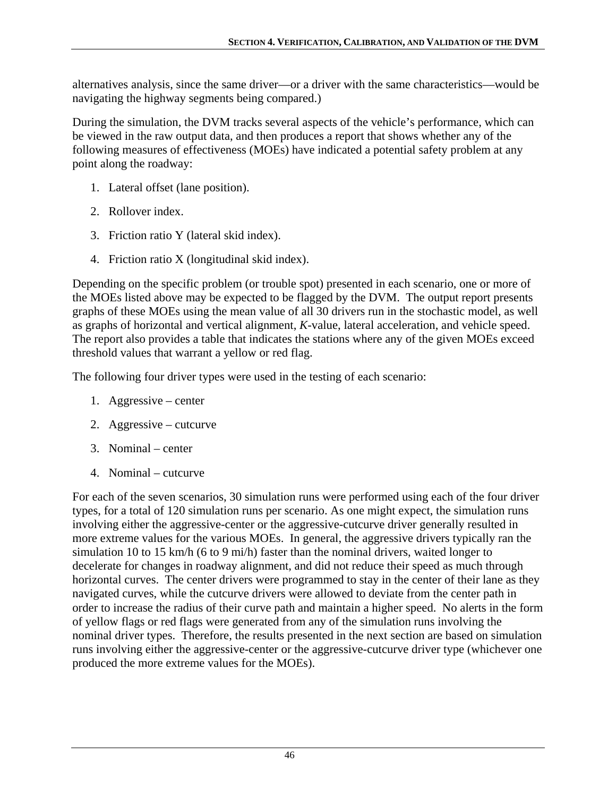alternatives analysis, since the same driver—or a driver with the same characteristics—would be navigating the highway segments being compared.)

During the simulation, the DVM tracks several aspects of the vehicle's performance, which can be viewed in the raw output data, and then produces a report that shows whether any of the following measures of effectiveness (MOEs) have indicated a potential safety problem at any point along the roadway:

- 1. Lateral offset (lane position).
- 2. Rollover index.
- 3. Friction ratio Y (lateral skid index).
- 4. Friction ratio X (longitudinal skid index).

Depending on the specific problem (or trouble spot) presented in each scenario, one or more of the MOEs listed above may be expected to be flagged by the DVM. The output report presents graphs of these MOEs using the mean value of all 30 drivers run in the stochastic model, as well as graphs of horizontal and vertical alignment, *K*-value, lateral acceleration, and vehicle speed. The report also provides a table that indicates the stations where any of the given MOEs exceed threshold values that warrant a yellow or red flag.

The following four driver types were used in the testing of each scenario:

- 1. Aggressive center
- 2. Aggressive cutcurve
- 3. Nominal center
- 4. Nominal cutcurve

For each of the seven scenarios, 30 simulation runs were performed using each of the four driver types, for a total of 120 simulation runs per scenario. As one might expect, the simulation runs involving either the aggressive-center or the aggressive-cutcurve driver generally resulted in more extreme values for the various MOEs. In general, the aggressive drivers typically ran the simulation 10 to 15 km/h (6 to 9 mi/h) faster than the nominal drivers, waited longer to decelerate for changes in roadway alignment, and did not reduce their speed as much through horizontal curves. The center drivers were programmed to stay in the center of their lane as they navigated curves, while the cutcurve drivers were allowed to deviate from the center path in order to increase the radius of their curve path and maintain a higher speed. No alerts in the form of yellow flags or red flags were generated from any of the simulation runs involving the nominal driver types. Therefore, the results presented in the next section are based on simulation runs involving either the aggressive-center or the aggressive-cutcurve driver type (whichever one produced the more extreme values for the MOEs).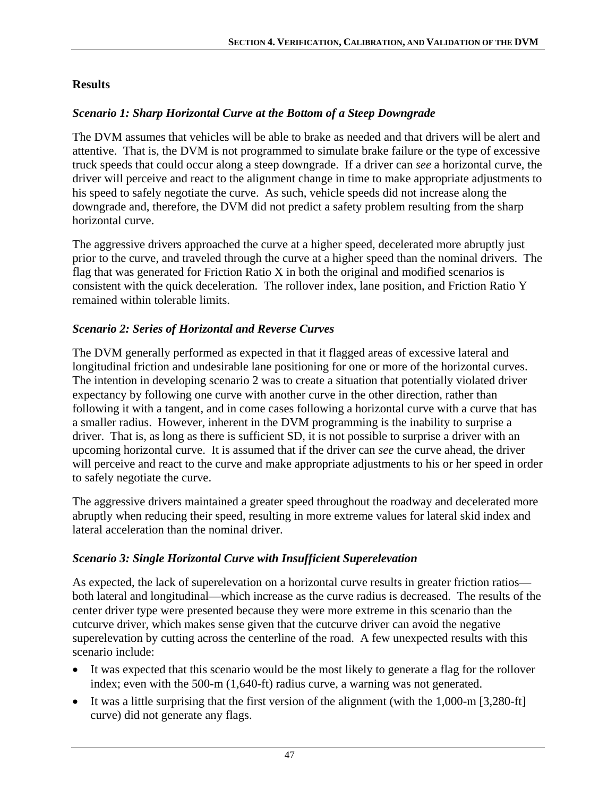## **Results**

### *Scenario 1: Sharp Horizontal Curve at the Bottom of a Steep Downgrade*

The DVM assumes that vehicles will be able to brake as needed and that drivers will be alert and attentive. That is, the DVM is not programmed to simulate brake failure or the type of excessive truck speeds that could occur along a steep downgrade. If a driver can *see* a horizontal curve, the driver will perceive and react to the alignment change in time to make appropriate adjustments to his speed to safely negotiate the curve. As such, vehicle speeds did not increase along the downgrade and, therefore, the DVM did not predict a safety problem resulting from the sharp horizontal curve.

The aggressive drivers approached the curve at a higher speed, decelerated more abruptly just prior to the curve, and traveled through the curve at a higher speed than the nominal drivers. The flag that was generated for Friction Ratio X in both the original and modified scenarios is consistent with the quick deceleration. The rollover index, lane position, and Friction Ratio Y remained within tolerable limits.

## *Scenario 2: Series of Horizontal and Reverse Curves*

The DVM generally performed as expected in that it flagged areas of excessive lateral and longitudinal friction and undesirable lane positioning for one or more of the horizontal curves. The intention in developing scenario 2 was to create a situation that potentially violated driver expectancy by following one curve with another curve in the other direction, rather than following it with a tangent, and in come cases following a horizontal curve with a curve that has a smaller radius. However, inherent in the DVM programming is the inability to surprise a driver. That is, as long as there is sufficient SD, it is not possible to surprise a driver with an upcoming horizontal curve. It is assumed that if the driver can *see* the curve ahead, the driver will perceive and react to the curve and make appropriate adjustments to his or her speed in order to safely negotiate the curve.

The aggressive drivers maintained a greater speed throughout the roadway and decelerated more abruptly when reducing their speed, resulting in more extreme values for lateral skid index and lateral acceleration than the nominal driver.

## *Scenario 3: Single Horizontal Curve with Insufficient Superelevation*

As expected, the lack of superelevation on a horizontal curve results in greater friction ratios both lateral and longitudinal—which increase as the curve radius is decreased. The results of the center driver type were presented because they were more extreme in this scenario than the cutcurve driver, which makes sense given that the cutcurve driver can avoid the negative superelevation by cutting across the centerline of the road. A few unexpected results with this scenario include:

- It was expected that this scenario would be the most likely to generate a flag for the rollover index; even with the 500-m (1,640-ft) radius curve, a warning was not generated.
- It was a little surprising that the first version of the alignment (with the 1,000-m [3,280-ft] curve) did not generate any flags.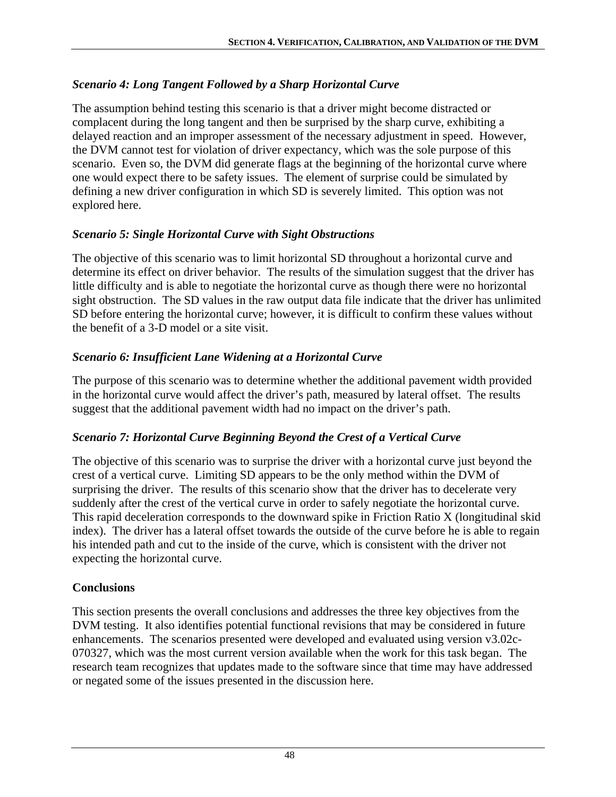## *Scenario 4: Long Tangent Followed by a Sharp Horizontal Curve*

The assumption behind testing this scenario is that a driver might become distracted or complacent during the long tangent and then be surprised by the sharp curve, exhibiting a delayed reaction and an improper assessment of the necessary adjustment in speed. However, the DVM cannot test for violation of driver expectancy, which was the sole purpose of this scenario. Even so, the DVM did generate flags at the beginning of the horizontal curve where one would expect there to be safety issues. The element of surprise could be simulated by defining a new driver configuration in which SD is severely limited. This option was not explored here.

### *Scenario 5: Single Horizontal Curve with Sight Obstructions*

The objective of this scenario was to limit horizontal SD throughout a horizontal curve and determine its effect on driver behavior. The results of the simulation suggest that the driver has little difficulty and is able to negotiate the horizontal curve as though there were no horizontal sight obstruction. The SD values in the raw output data file indicate that the driver has unlimited SD before entering the horizontal curve; however, it is difficult to confirm these values without the benefit of a 3-D model or a site visit.

### *Scenario 6: Insufficient Lane Widening at a Horizontal Curve*

The purpose of this scenario was to determine whether the additional pavement width provided in the horizontal curve would affect the driver's path, measured by lateral offset. The results suggest that the additional pavement width had no impact on the driver's path.

## *Scenario 7: Horizontal Curve Beginning Beyond the Crest of a Vertical Curve*

The objective of this scenario was to surprise the driver with a horizontal curve just beyond the crest of a vertical curve. Limiting SD appears to be the only method within the DVM of surprising the driver. The results of this scenario show that the driver has to decelerate very suddenly after the crest of the vertical curve in order to safely negotiate the horizontal curve. This rapid deceleration corresponds to the downward spike in Friction Ratio X (longitudinal skid index). The driver has a lateral offset towards the outside of the curve before he is able to regain his intended path and cut to the inside of the curve, which is consistent with the driver not expecting the horizontal curve.

## **Conclusions**

This section presents the overall conclusions and addresses the three key objectives from the DVM testing. It also identifies potential functional revisions that may be considered in future enhancements. The scenarios presented were developed and evaluated using version v3.02c-070327, which was the most current version available when the work for this task began. The research team recognizes that updates made to the software since that time may have addressed or negated some of the issues presented in the discussion here.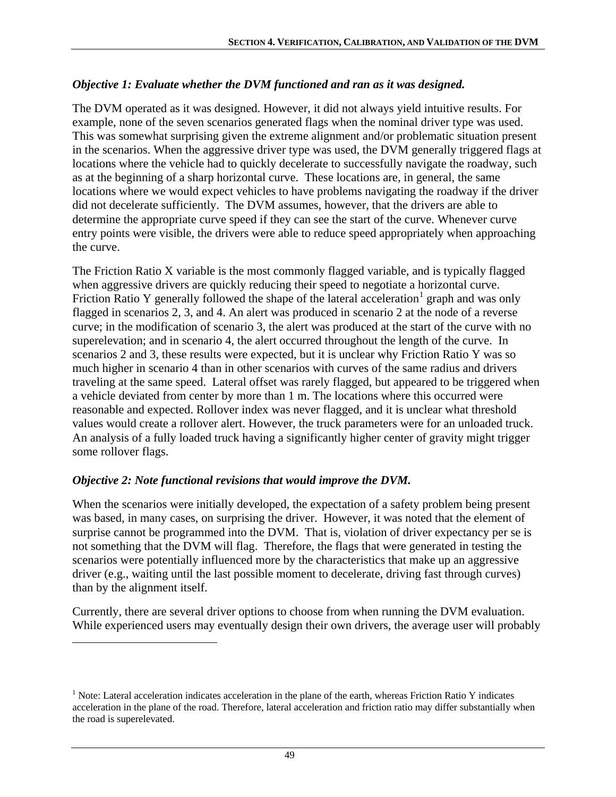### *Objective 1: Evaluate whether the DVM functioned and ran as it was designed.*

The DVM operated as it was designed. However, it did not always yield intuitive results. For example, none of the seven scenarios generated flags when the nominal driver type was used. This was somewhat surprising given the extreme alignment and/or problematic situation present in the scenarios. When the aggressive driver type was used, the DVM generally triggered flags at locations where the vehicle had to quickly decelerate to successfully navigate the roadway, such as at the beginning of a sharp horizontal curve. These locations are, in general, the same locations where we would expect vehicles to have problems navigating the roadway if the driver did not decelerate sufficiently. The DVM assumes, however, that the drivers are able to determine the appropriate curve speed if they can see the start of the curve. Whenever curve entry points were visible, the drivers were able to reduce speed appropriately when approaching the curve.

The Friction Ratio X variable is the most commonly flagged variable, and is typically flagged when aggressive drivers are quickly reducing their speed to negotiate a horizontal curve. Friction Ratio Y generally followed the shape of the lateral acceleration<sup>[1](#page-58-0)</sup> graph and was only flagged in scenarios 2, 3, and 4. An alert was produced in scenario 2 at the node of a reverse curve; in the modification of scenario 3, the alert was produced at the start of the curve with no superelevation; and in scenario 4, the alert occurred throughout the length of the curve. In scenarios 2 and 3, these results were expected, but it is unclear why Friction Ratio Y was so much higher in scenario 4 than in other scenarios with curves of the same radius and drivers traveling at the same speed. Lateral offset was rarely flagged, but appeared to be triggered when a vehicle deviated from center by more than 1 m. The locations where this occurred were reasonable and expected. Rollover index was never flagged, and it is unclear what threshold values would create a rollover alert. However, the truck parameters were for an unloaded truck. An analysis of a fully loaded truck having a significantly higher center of gravity might trigger some rollover flags.

#### *Objective 2: Note functional revisions that would improve the DVM.*

 $\overline{a}$ 

When the scenarios were initially developed, the expectation of a safety problem being present was based, in many cases, on surprising the driver. However, it was noted that the element of surprise cannot be programmed into the DVM. That is, violation of driver expectancy per se is not something that the DVM will flag. Therefore, the flags that were generated in testing the scenarios were potentially influenced more by the characteristics that make up an aggressive driver (e.g., waiting until the last possible moment to decelerate, driving fast through curves) than by the alignment itself.

Currently, there are several driver options to choose from when running the DVM evaluation. While experienced users may eventually design their own drivers, the average user will probably

<span id="page-58-0"></span><sup>&</sup>lt;sup>1</sup> Note: Lateral acceleration indicates acceleration in the plane of the earth, whereas Friction Ratio Y indicates acceleration in the plane of the road. Therefore, lateral acceleration and friction ratio may differ substantially when the road is superelevated.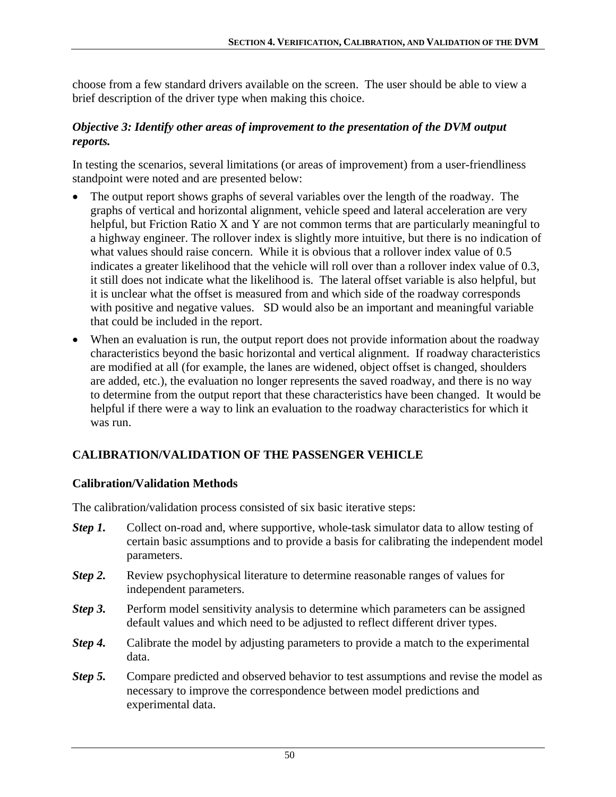choose from a few standard drivers available on the screen. The user should be able to view a brief description of the driver type when making this choice.

#### *Objective 3: Identify other areas of improvement to the presentation of the DVM output reports.*

In testing the scenarios, several limitations (or areas of improvement) from a user-friendliness standpoint were noted and are presented below:

- The output report shows graphs of several variables over the length of the roadway. The graphs of vertical and horizontal alignment, vehicle speed and lateral acceleration are very helpful, but Friction Ratio X and Y are not common terms that are particularly meaningful to a highway engineer. The rollover index is slightly more intuitive, but there is no indication of what values should raise concern. While it is obvious that a rollover index value of 0.5 indicates a greater likelihood that the vehicle will roll over than a rollover index value of 0.3, it still does not indicate what the likelihood is. The lateral offset variable is also helpful, but it is unclear what the offset is measured from and which side of the roadway corresponds with positive and negative values. SD would also be an important and meaningful variable that could be included in the report.
- When an evaluation is run, the output report does not provide information about the roadway characteristics beyond the basic horizontal and vertical alignment. If roadway characteristics are modified at all (for example, the lanes are widened, object offset is changed, shoulders are added, etc.), the evaluation no longer represents the saved roadway, and there is no way to determine from the output report that these characteristics have been changed. It would be helpful if there were a way to link an evaluation to the roadway characteristics for which it was run.

## **CALIBRATION/VALIDATION OF THE PASSENGER VEHICLE**

## **Calibration/Validation Methods**

The calibration/validation process consisted of six basic iterative steps:

- *Step 1.* Collect on-road and, where supportive, whole-task simulator data to allow testing of certain basic assumptions and to provide a basis for calibrating the independent model parameters.
- *Step 2.* Review psychophysical literature to determine reasonable ranges of values for independent parameters.
- *Step 3.* Perform model sensitivity analysis to determine which parameters can be assigned default values and which need to be adjusted to reflect different driver types.
- *Step 4.* Calibrate the model by adjusting parameters to provide a match to the experimental data.
- *Step 5.* Compare predicted and observed behavior to test assumptions and revise the model as necessary to improve the correspondence between model predictions and experimental data.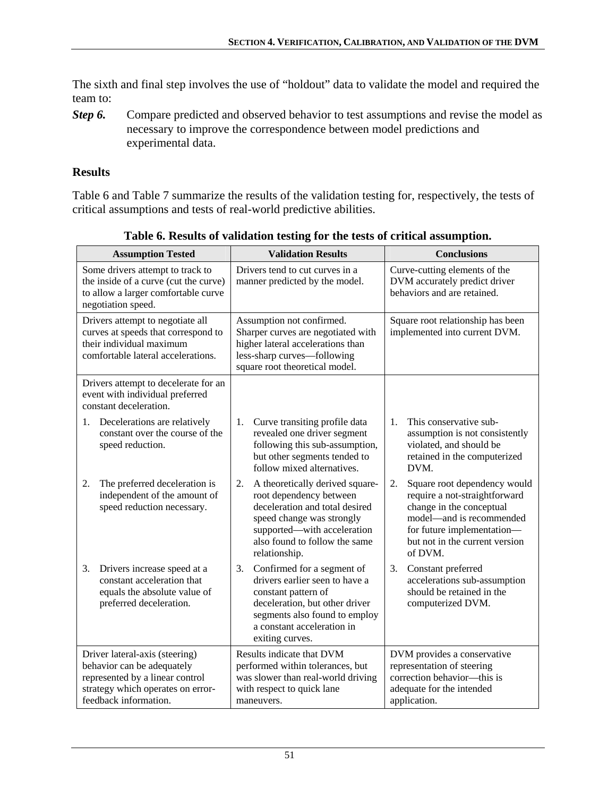The sixth and final step involves the use of "holdout" data to validate the model and required the team to:

**Step 6.** Compare predicted and observed behavior to test assumptions and revise the model as necessary to improve the correspondence between model predictions and experimental data.

#### **Results**

[Table 6](#page-60-0) and [Table 7](#page-61-0) summarize the results of the validation testing for, respectively, the tests of critical assumptions and tests of real-world predictive abilities.

<span id="page-60-0"></span>

| <b>Assumption Tested</b>                                                                                                                                      | <b>Validation Results</b>                                                                                                                                                                                        | <b>Conclusions</b>                                                                                                                                                                                     |
|---------------------------------------------------------------------------------------------------------------------------------------------------------------|------------------------------------------------------------------------------------------------------------------------------------------------------------------------------------------------------------------|--------------------------------------------------------------------------------------------------------------------------------------------------------------------------------------------------------|
| Some drivers attempt to track to<br>the inside of a curve (cut the curve)<br>to allow a larger comfortable curve<br>negotiation speed.                        | Drivers tend to cut curves in a<br>manner predicted by the model.                                                                                                                                                | Curve-cutting elements of the<br>DVM accurately predict driver<br>behaviors and are retained.                                                                                                          |
| Drivers attempt to negotiate all<br>curves at speeds that correspond to<br>their individual maximum<br>comfortable lateral accelerations.                     | Assumption not confirmed.<br>Sharper curves are negotiated with<br>higher lateral accelerations than<br>less-sharp curves-following<br>square root theoretical model.                                            | Square root relationship has been<br>implemented into current DVM.                                                                                                                                     |
| Drivers attempt to decelerate for an<br>event with individual preferred<br>constant deceleration.                                                             |                                                                                                                                                                                                                  |                                                                                                                                                                                                        |
| Decelerations are relatively<br>1.<br>constant over the course of the<br>speed reduction.                                                                     | Curve transiting profile data<br>1.<br>revealed one driver segment<br>following this sub-assumption,<br>but other segments tended to<br>follow mixed alternatives.                                               | This conservative sub-<br>$\mathbf{1}$ .<br>assumption is not consistently<br>violated, and should be<br>retained in the computerized<br>DVM.                                                          |
| 2.<br>The preferred deceleration is<br>independent of the amount of<br>speed reduction necessary.                                                             | A theoretically derived square-<br>2.<br>root dependency between<br>deceleration and total desired<br>speed change was strongly<br>supported—with acceleration<br>also found to follow the same<br>relationship. | 2.<br>Square root dependency would<br>require a not-straightforward<br>change in the conceptual<br>model-and is recommended<br>for future implementation-<br>but not in the current version<br>of DVM. |
| Drivers increase speed at a<br>3.<br>constant acceleration that<br>equals the absolute value of<br>preferred deceleration.                                    | Confirmed for a segment of<br>3.<br>drivers earlier seen to have a<br>constant pattern of<br>deceleration, but other driver<br>segments also found to employ<br>a constant acceleration in<br>exiting curves.    | 3.<br>Constant preferred<br>accelerations sub-assumption<br>should be retained in the<br>computerized DVM.                                                                                             |
| Driver lateral-axis (steering)<br>behavior can be adequately<br>represented by a linear control<br>strategy which operates on error-<br>feedback information. | Results indicate that DVM<br>performed within tolerances, but<br>was slower than real-world driving<br>with respect to quick lane<br>maneuvers.                                                                  | DVM provides a conservative<br>representation of steering<br>correction behavior—this is<br>adequate for the intended<br>application.                                                                  |

**Table 6. Results of validation testing for the tests of critical assumption.**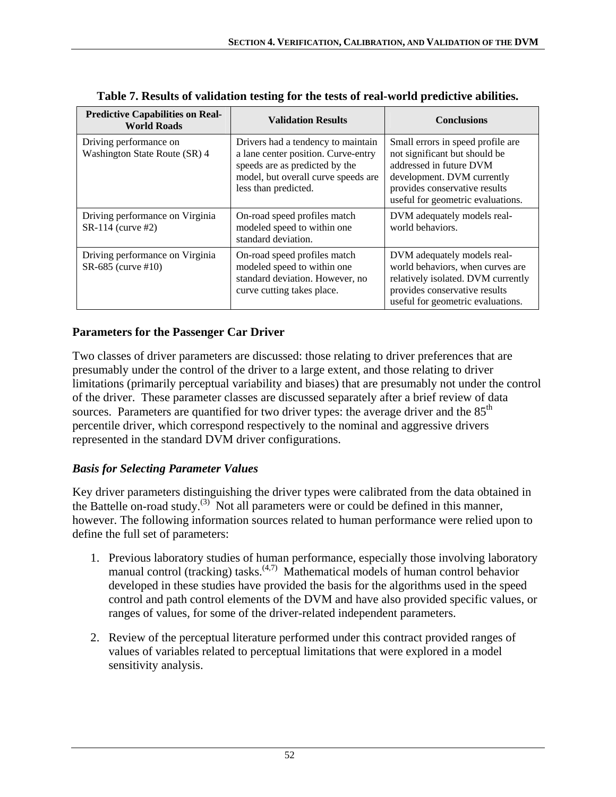<span id="page-61-0"></span>

| <b>Predictive Capabilities on Real-</b><br><b>World Roads</b> | <b>Validation Results</b>                                                                                                                                                  | <b>Conclusions</b>                                                                                                                                                                                |
|---------------------------------------------------------------|----------------------------------------------------------------------------------------------------------------------------------------------------------------------------|---------------------------------------------------------------------------------------------------------------------------------------------------------------------------------------------------|
| Driving performance on<br>Washington State Route (SR) 4       | Drivers had a tendency to maintain<br>a lane center position. Curve-entry<br>speeds are as predicted by the<br>model, but overall curve speeds are<br>less than predicted. | Small errors in speed profile are<br>not significant but should be<br>addressed in future DVM<br>development. DVM currently<br>provides conservative results<br>useful for geometric evaluations. |
| Driving performance on Virginia<br>SR-114 (curve #2)          | On-road speed profiles match<br>modeled speed to within one<br>standard deviation.                                                                                         | DVM adequately models real-<br>world behaviors.                                                                                                                                                   |
| Driving performance on Virginia<br>SR-685 (curve #10)         | On-road speed profiles match<br>modeled speed to within one<br>standard deviation. However, no<br>curve cutting takes place.                                               | DVM adequately models real-<br>world behaviors, when curves are<br>relatively isolated. DVM currently<br>provides conservative results<br>useful for geometric evaluations.                       |

**Table 7. Results of validation testing for the tests of real-world predictive abilities.** 

### **Parameters for the Passenger Car Driver**

Two classes of driver parameters are discussed: those relating to driver preferences that are presumably under the control of the driver to a large extent, and those relating to driver limitations (primarily perceptual variability and biases) that are presumably not under the control of the driver. These parameter classes are discussed separately after a brief review of data sources. Parameters are quantified for two driver types: the average driver and the  $85<sup>th</sup>$ percentile driver, which correspond respectively to the nominal and aggressive drivers represented in the standard DVM driver configurations.

#### *Basis for Selecting Parameter Values*

Key driver parameters distinguishing the driver types were calibrated from the data obtained in the Battelle on-road study.<sup>(3)</sup> Not all parameters were or could be defined in this manner, however. The following information sources related to human performance were relied upon to define the full set of parameters:

- 1. Previous laboratory studies of human performance, especially those involving laboratory manual control (tracking) tasks.<sup> $(4,7)$ </sup> Mathematical models of human control behavior developed in these studies have provided the basis for the algorithms used in the speed control and path control elements of the DVM and have also provided specific values, or ranges of values, for some of the driver-related independent parameters.
- 2. Review of the perceptual literature performed under this contract provided ranges of values of variables related to perceptual limitations that were explored in a model sensitivity analysis.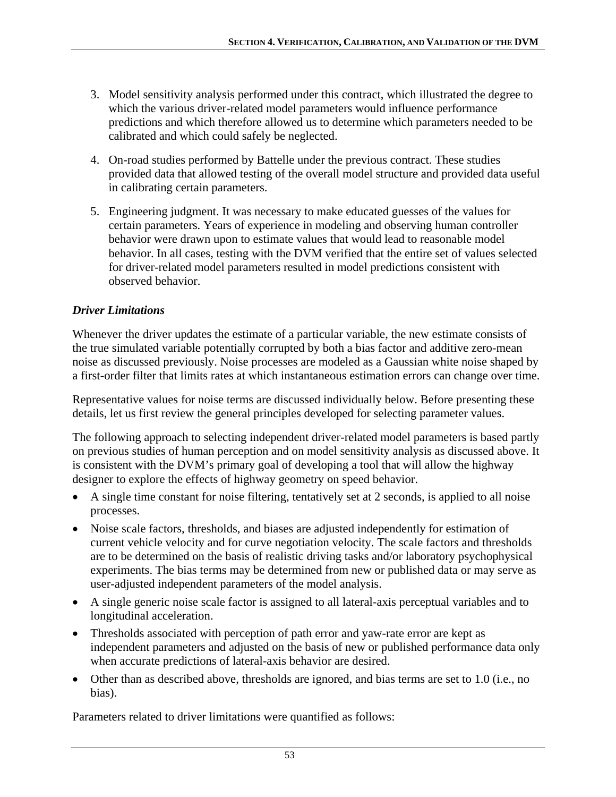- 3. Model sensitivity analysis performed under this contract, which illustrated the degree to which the various driver-related model parameters would influence performance predictions and which therefore allowed us to determine which parameters needed to be calibrated and which could safely be neglected.
- 4. On-road studies performed by Battelle under the previous contract. These studies provided data that allowed testing of the overall model structure and provided data useful in calibrating certain parameters.
- 5. Engineering judgment. It was necessary to make educated guesses of the values for certain parameters. Years of experience in modeling and observing human controller behavior were drawn upon to estimate values that would lead to reasonable model behavior. In all cases, testing with the DVM verified that the entire set of values selected for driver-related model parameters resulted in model predictions consistent with observed behavior.

## *Driver Limitations*

Whenever the driver updates the estimate of a particular variable, the new estimate consists of the true simulated variable potentially corrupted by both a bias factor and additive zero-mean noise as discussed previously. Noise processes are modeled as a Gaussian white noise shaped by a first-order filter that limits rates at which instantaneous estimation errors can change over time.

Representative values for noise terms are discussed individually below. Before presenting these details, let us first review the general principles developed for selecting parameter values.

The following approach to selecting independent driver-related model parameters is based partly on previous studies of human perception and on model sensitivity analysis as discussed above. It is consistent with the DVM's primary goal of developing a tool that will allow the highway designer to explore the effects of highway geometry on speed behavior.

- A single time constant for noise filtering, tentatively set at 2 seconds, is applied to all noise processes.
- Noise scale factors, thresholds, and biases are adjusted independently for estimation of current vehicle velocity and for curve negotiation velocity. The scale factors and thresholds are to be determined on the basis of realistic driving tasks and/or laboratory psychophysical experiments. The bias terms may be determined from new or published data or may serve as user-adjusted independent parameters of the model analysis.
- A single generic noise scale factor is assigned to all lateral-axis perceptual variables and to longitudinal acceleration.
- Thresholds associated with perception of path error and yaw-rate error are kept as independent parameters and adjusted on the basis of new or published performance data only when accurate predictions of lateral-axis behavior are desired.
- Other than as described above, thresholds are ignored, and bias terms are set to 1.0 (i.e., no bias).

Parameters related to driver limitations were quantified as follows: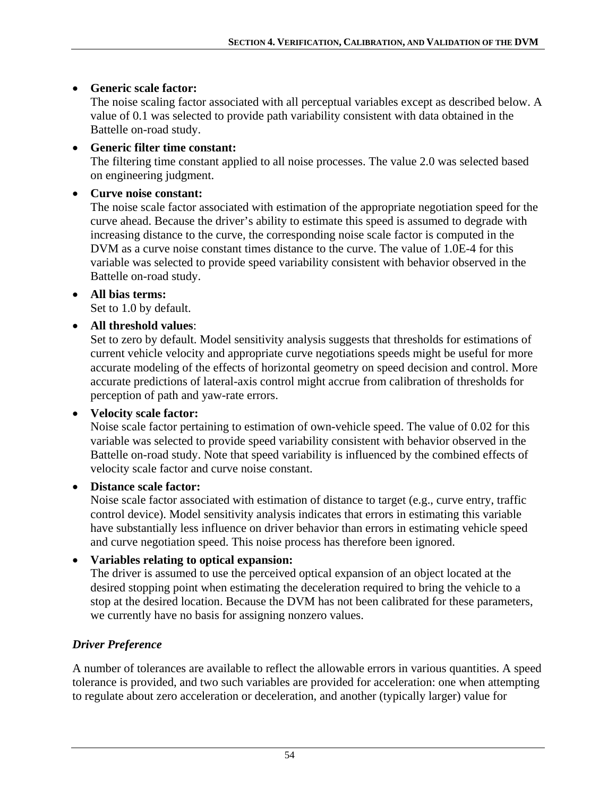### • **Generic scale factor:**

The noise scaling factor associated with all perceptual variables except as described below. A value of 0.1 was selected to provide path variability consistent with data obtained in the Battelle on-road study.

### • **Generic filter time constant:**

The filtering time constant applied to all noise processes. The value 2.0 was selected based on engineering judgment.

### • **Curve noise constant:**

The noise scale factor associated with estimation of the appropriate negotiation speed for the curve ahead. Because the driver's ability to estimate this speed is assumed to degrade with increasing distance to the curve, the corresponding noise scale factor is computed in the DVM as a curve noise constant times distance to the curve. The value of 1.0E-4 for this variable was selected to provide speed variability consistent with behavior observed in the Battelle on-road study.

#### • **All bias terms:**

Set to 1.0 by default.

## • **All threshold values**:

Set to zero by default. Model sensitivity analysis suggests that thresholds for estimations of current vehicle velocity and appropriate curve negotiations speeds might be useful for more accurate modeling of the effects of horizontal geometry on speed decision and control. More accurate predictions of lateral-axis control might accrue from calibration of thresholds for perception of path and yaw-rate errors.

## • **Velocity scale factor:**

Noise scale factor pertaining to estimation of own-vehicle speed. The value of 0.02 for this variable was selected to provide speed variability consistent with behavior observed in the Battelle on-road study. Note that speed variability is influenced by the combined effects of velocity scale factor and curve noise constant.

#### • **Distance scale factor:**

Noise scale factor associated with estimation of distance to target (e.g., curve entry, traffic control device). Model sensitivity analysis indicates that errors in estimating this variable have substantially less influence on driver behavior than errors in estimating vehicle speed and curve negotiation speed. This noise process has therefore been ignored.

## • **Variables relating to optical expansion:**

The driver is assumed to use the perceived optical expansion of an object located at the desired stopping point when estimating the deceleration required to bring the vehicle to a stop at the desired location. Because the DVM has not been calibrated for these parameters, we currently have no basis for assigning nonzero values.

## *Driver Preference*

A number of tolerances are available to reflect the allowable errors in various quantities. A speed tolerance is provided, and two such variables are provided for acceleration: one when attempting to regulate about zero acceleration or deceleration, and another (typically larger) value for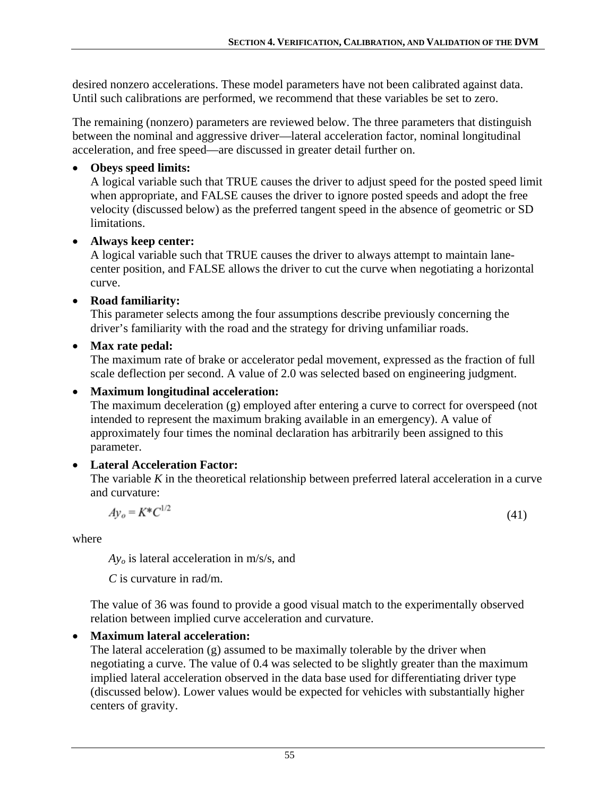desired nonzero accelerations. These model parameters have not been calibrated against data. Until such calibrations are performed, we recommend that these variables be set to zero.

The remaining (nonzero) parameters are reviewed below. The three parameters that distinguish between the nominal and aggressive driver—lateral acceleration factor, nominal longitudinal acceleration, and free speed—are discussed in greater detail further on.

### • **Obeys speed limits:**

A logical variable such that TRUE causes the driver to adjust speed for the posted speed limit when appropriate, and FALSE causes the driver to ignore posted speeds and adopt the free velocity (discussed below) as the preferred tangent speed in the absence of geometric or SD limitations.

### • **Always keep center:**

A logical variable such that TRUE causes the driver to always attempt to maintain lanecenter position, and FALSE allows the driver to cut the curve when negotiating a horizontal curve.

### • **Road familiarity:**

This parameter selects among the four assumptions describe previously concerning the driver's familiarity with the road and the strategy for driving unfamiliar roads.

## • **Max rate pedal:**

The maximum rate of brake or accelerator pedal movement, expressed as the fraction of full scale deflection per second. A value of 2.0 was selected based on engineering judgment.

### • **Maximum longitudinal acceleration:**

The maximum deceleration (g) employed after entering a curve to correct for overspeed (not intended to represent the maximum braking available in an emergency). A value of approximately four times the nominal declaration has arbitrarily been assigned to this parameter.

## • **Lateral Acceleration Factor:**

The variable *K* in the theoretical relationship between preferred lateral acceleration in a curve and curvature:

$$
Av_o = K^*C^{1/}
$$

(41)

where

*Ayo* is lateral acceleration in m/s/s, and

*C* is curvature in rad/m.

The value of 36 was found to provide a good visual match to the experimentally observed relation between implied curve acceleration and curvature.

# • **Maximum lateral acceleration:**

The lateral acceleration (g) assumed to be maximally tolerable by the driver when negotiating a curve. The value of 0.4 was selected to be slightly greater than the maximum implied lateral acceleration observed in the data base used for differentiating driver type (discussed below). Lower values would be expected for vehicles with substantially higher centers of gravity.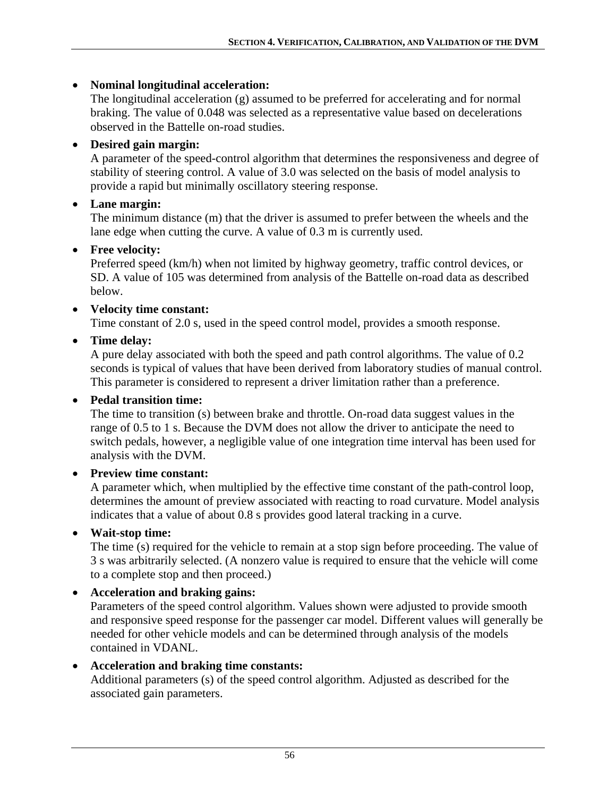### • **Nominal longitudinal acceleration:**

The longitudinal acceleration (g) assumed to be preferred for accelerating and for normal braking. The value of 0.048 was selected as a representative value based on decelerations observed in the Battelle on-road studies.

### • **Desired gain margin:**

A parameter of the speed-control algorithm that determines the responsiveness and degree of stability of steering control. A value of 3.0 was selected on the basis of model analysis to provide a rapid but minimally oscillatory steering response.

### • **Lane margin:**

The minimum distance (m) that the driver is assumed to prefer between the wheels and the lane edge when cutting the curve. A value of 0.3 m is currently used.

#### • **Free velocity:**

Preferred speed (km/h) when not limited by highway geometry, traffic control devices, or SD. A value of 105 was determined from analysis of the Battelle on-road data as described below.

#### • **Velocity time constant:**

Time constant of 2.0 s, used in the speed control model, provides a smooth response.

• **Time delay:**

A pure delay associated with both the speed and path control algorithms. The value of 0.2 seconds is typical of values that have been derived from laboratory studies of manual control. This parameter is considered to represent a driver limitation rather than a preference.

#### • **Pedal transition time:**

The time to transition (s) between brake and throttle. On-road data suggest values in the range of 0.5 to 1 s. Because the DVM does not allow the driver to anticipate the need to switch pedals, however, a negligible value of one integration time interval has been used for analysis with the DVM.

#### • **Preview time constant:**

A parameter which, when multiplied by the effective time constant of the path-control loop, determines the amount of preview associated with reacting to road curvature. Model analysis indicates that a value of about 0.8 s provides good lateral tracking in a curve.

#### • **Wait-stop time:**

The time (s) required for the vehicle to remain at a stop sign before proceeding. The value of 3 s was arbitrarily selected. (A nonzero value is required to ensure that the vehicle will come to a complete stop and then proceed.)

#### • **Acceleration and braking gains:**

Parameters of the speed control algorithm. Values shown were adjusted to provide smooth and responsive speed response for the passenger car model. Different values will generally be needed for other vehicle models and can be determined through analysis of the models contained in VDANL.

#### • **Acceleration and braking time constants:**

Additional parameters (s) of the speed control algorithm. Adjusted as described for the associated gain parameters.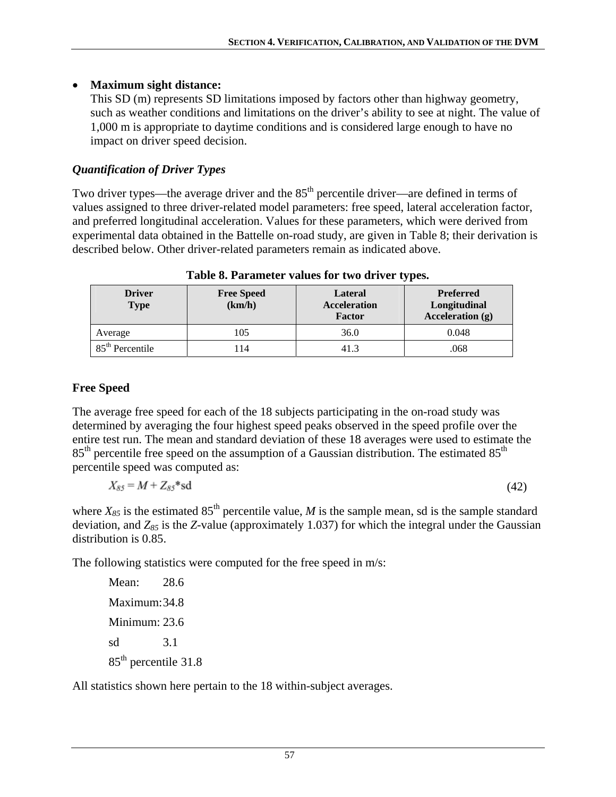### • **Maximum sight distance:**

This SD (m) represents SD limitations imposed by factors other than highway geometry, such as weather conditions and limitations on the driver's ability to see at night. The value of 1,000 m is appropriate to daytime conditions and is considered large enough to have no impact on driver speed decision.

# *Quantification of Driver Types*

Two driver types—the average driver and the  $85<sup>th</sup>$  percentile driver—are defined in terms of values assigned to three driver-related model parameters: free speed, lateral acceleration factor, and preferred longitudinal acceleration. Values for these parameters, which were derived from experimental data obtained in the Battelle on-road study, are given in [Table 8;](#page-66-0) their derivation is described below. Other driver-related parameters remain as indicated above.

<span id="page-66-0"></span>

| <b>Driver</b><br>Type | <b>Free Speed</b><br>(km/h) | Lateral<br><b>Acceleration</b><br>Factor | <b>Preferred</b><br>Longitudinal<br>Acceleration (g) |
|-----------------------|-----------------------------|------------------------------------------|------------------------------------------------------|
| Average               | 105                         | 36.0                                     | 0.048                                                |
| $85th$ Percentile     | 114                         | 41.3                                     | .068                                                 |

**Table 8. Parameter values for two driver types.** 

# **Free Speed**

The average free speed for each of the 18 subjects participating in the on-road study was determined by averaging the four highest speed peaks observed in the speed profile over the entire test run. The mean and standard deviation of these 18 averages were used to estimate the  $85<sup>th</sup>$  percentile free speed on the assumption of a Gaussian distribution. The estimated  $85<sup>th</sup>$ percentile speed was computed as:

$$
X_{85} = M + Z_{85} * \text{sd}
$$
\n
$$
\tag{42}
$$

where  $X_{85}$  is the estimated  $85<sup>th</sup>$  percentile value, *M* is the sample mean, sd is the sample standard deviation, and  $Z_{85}$  is the *Z*-value (approximately 1.037) for which the integral under the Gaussian distribution is 0.85.

The following statistics were computed for the free speed in m/s:

Mean: 28.6 Maximum: 34.8 Minimum: 23.6 sd 3.1 85th percentile 31.8

All statistics shown here pertain to the 18 within-subject averages.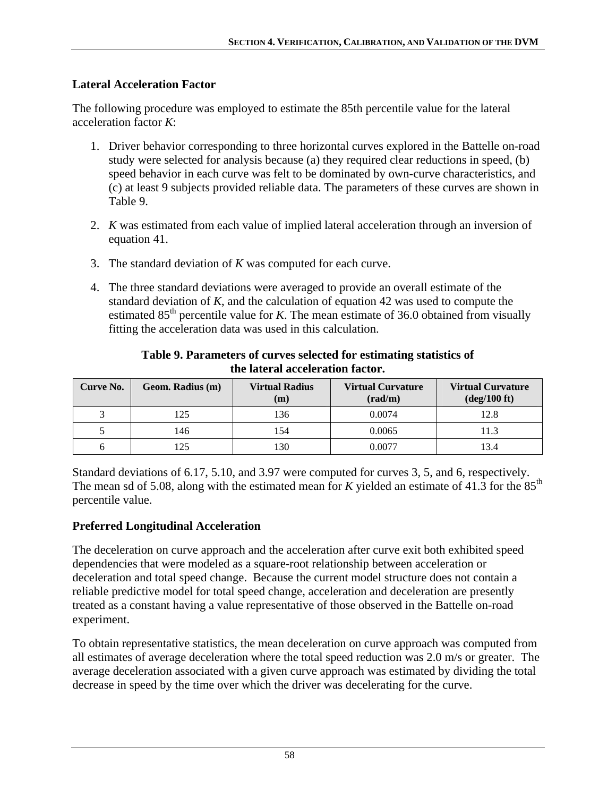### **Lateral Acceleration Factor**

The following procedure was employed to estimate the 85th percentile value for the lateral acceleration factor *K*:

- 1. Driver behavior corresponding to three horizontal curves explored in the Battelle on-road study were selected for analysis because (a) they required clear reductions in speed, (b) speed behavior in each curve was felt to be dominated by own-curve characteristics, and (c) at least 9 subjects provided reliable data. The parameters of these curves are shown in [Table 9](#page-67-0).
- 2. *K* was estimated from each value of implied lateral acceleration through an inversion of equation 41.
- 3. The standard deviation of *K* was computed for each curve.
- 4. The three standard deviations were averaged to provide an overall estimate of the standard deviation of *K*, and the calculation of equation 42 was used to compute the estimated 85<sup>th</sup> percentile value for *K*. The mean estimate of 36.0 obtained from visually fitting the acceleration data was used in this calculation.

<span id="page-67-0"></span>

| Curve No. | Geom. Radius (m) | <b>Virtual Radius</b><br>(m) | <b>Virtual Curvature</b><br>$\left(\frac{\text{rad}}{\text{m}}\right)$ | <b>Virtual Curvature</b><br>$deg/100$ ft) |
|-----------|------------------|------------------------------|------------------------------------------------------------------------|-------------------------------------------|
|           | 125              | 136                          | 0.0074                                                                 | 12.8                                      |
|           | 146              | 154                          | 0.0065                                                                 | 11.3                                      |
|           |                  | 30                           | 0.0077                                                                 | 13.4                                      |

**Table 9. Parameters of curves selected for estimating statistics of the lateral acceleration factor.** 

Standard deviations of 6.17, 5.10, and 3.97 were computed for curves 3, 5, and 6, respectively. The mean sd of 5.08, along with the estimated mean for  $K$  yielded an estimate of 41.3 for the 85<sup>th</sup> percentile value.

## **Preferred Longitudinal Acceleration**

The deceleration on curve approach and the acceleration after curve exit both exhibited speed dependencies that were modeled as a square-root relationship between acceleration or deceleration and total speed change. Because the current model structure does not contain a reliable predictive model for total speed change, acceleration and deceleration are presently treated as a constant having a value representative of those observed in the Battelle on-road experiment.

To obtain representative statistics, the mean deceleration on curve approach was computed from all estimates of average deceleration where the total speed reduction was 2.0 m/s or greater. The average deceleration associated with a given curve approach was estimated by dividing the total decrease in speed by the time over which the driver was decelerating for the curve.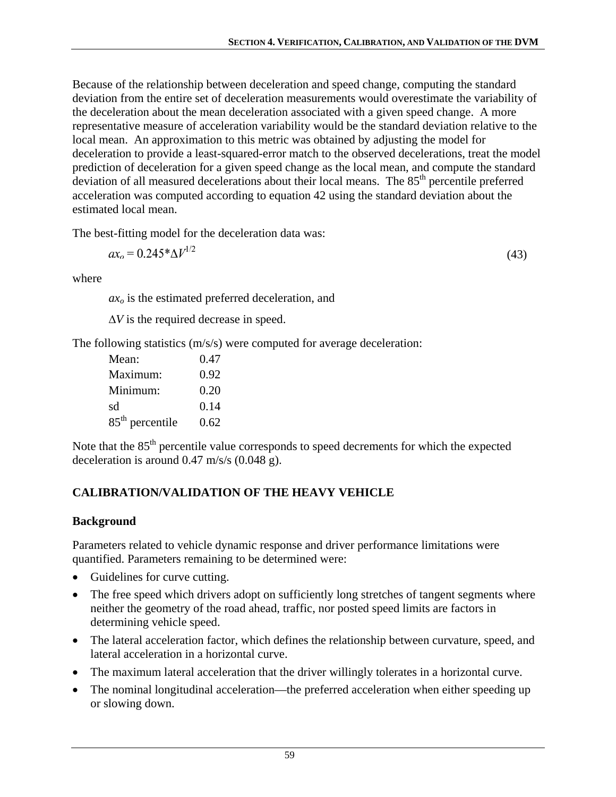Because of the relationship between deceleration and speed change, computing the standard deviation from the entire set of deceleration measurements would overestimate the variability of the deceleration about the mean deceleration associated with a given speed change. A more representative measure of acceleration variability would be the standard deviation relative to the local mean. An approximation to this metric was obtained by adjusting the model for deceleration to provide a least-squared-error match to the observed decelerations, treat the model prediction of deceleration for a given speed change as the local mean, and compute the standard deviation of all measured decelerations about their local means. The  $85<sup>th</sup>$  percentile preferred acceleration was computed according to equation 42 using the standard deviation about the estimated local mean.

The best-fitting model for the deceleration data was:

$$
ax_0 = 0.245 * \Delta V^{1/2} \tag{43}
$$

where

*axo* is the estimated preferred deceleration, and

Δ*V* is the required decrease in speed.

The following statistics (m/s/s) were computed for average deceleration:

| Mean:             | 0.47 |
|-------------------|------|
| Maximum:          | 0.92 |
| Minimum:          | 0.20 |
| sd                | 0.14 |
| $85th$ percentile | 0.62 |

Note that the 85<sup>th</sup> percentile value corresponds to speed decrements for which the expected deceleration is around 0.47 m/s/s (0.048 g).

# **CALIBRATION/VALIDATION OF THE HEAVY VEHICLE**

## **Background**

Parameters related to vehicle dynamic response and driver performance limitations were quantified. Parameters remaining to be determined were:

- Guidelines for curve cutting.
- The free speed which drivers adopt on sufficiently long stretches of tangent segments where neither the geometry of the road ahead, traffic, nor posted speed limits are factors in determining vehicle speed.
- The lateral acceleration factor, which defines the relationship between curvature, speed, and lateral acceleration in a horizontal curve.
- The maximum lateral acceleration that the driver willingly tolerates in a horizontal curve.
- The nominal longitudinal acceleration—the preferred acceleration when either speeding up or slowing down.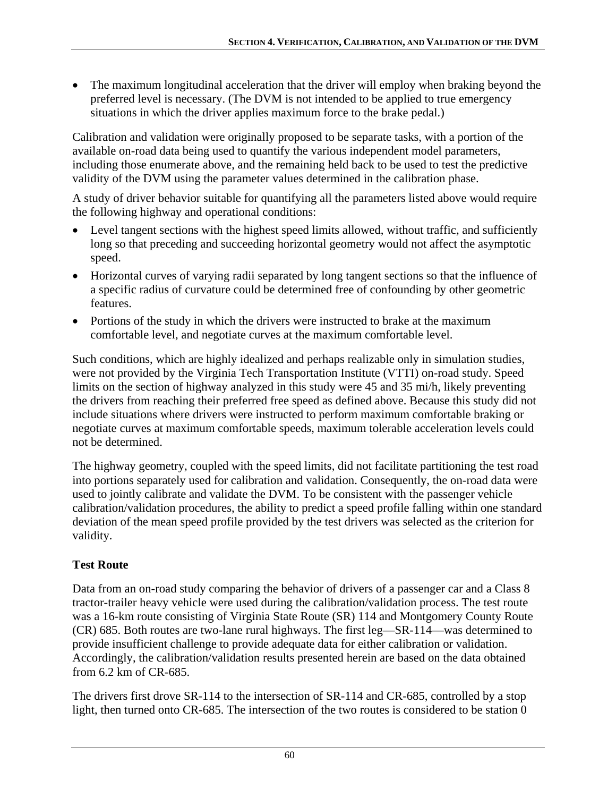• The maximum longitudinal acceleration that the driver will employ when braking beyond the preferred level is necessary. (The DVM is not intended to be applied to true emergency situations in which the driver applies maximum force to the brake pedal.)

Calibration and validation were originally proposed to be separate tasks, with a portion of the available on-road data being used to quantify the various independent model parameters, including those enumerate above, and the remaining held back to be used to test the predictive validity of the DVM using the parameter values determined in the calibration phase.

A study of driver behavior suitable for quantifying all the parameters listed above would require the following highway and operational conditions:

- Level tangent sections with the highest speed limits allowed, without traffic, and sufficiently long so that preceding and succeeding horizontal geometry would not affect the asymptotic speed.
- Horizontal curves of varying radii separated by long tangent sections so that the influence of a specific radius of curvature could be determined free of confounding by other geometric features.
- Portions of the study in which the drivers were instructed to brake at the maximum comfortable level, and negotiate curves at the maximum comfortable level.

Such conditions, which are highly idealized and perhaps realizable only in simulation studies, were not provided by the Virginia Tech Transportation Institute (VTTI) on-road study. Speed limits on the section of highway analyzed in this study were 45 and 35 mi/h, likely preventing the drivers from reaching their preferred free speed as defined above. Because this study did not include situations where drivers were instructed to perform maximum comfortable braking or negotiate curves at maximum comfortable speeds, maximum tolerable acceleration levels could not be determined.

The highway geometry, coupled with the speed limits, did not facilitate partitioning the test road into portions separately used for calibration and validation. Consequently, the on-road data were used to jointly calibrate and validate the DVM. To be consistent with the passenger vehicle calibration/validation procedures, the ability to predict a speed profile falling within one standard deviation of the mean speed profile provided by the test drivers was selected as the criterion for validity.

# **Test Route**

Data from an on-road study comparing the behavior of drivers of a passenger car and a Class 8 tractor-trailer heavy vehicle were used during the calibration/validation process. The test route was a 16-km route consisting of Virginia State Route (SR) 114 and Montgomery County Route (CR) 685. Both routes are two-lane rural highways. The first leg—SR-114—was determined to provide insufficient challenge to provide adequate data for either calibration or validation. Accordingly, the calibration/validation results presented herein are based on the data obtained from 6.2 km of CR-685.

The drivers first drove SR-114 to the intersection of SR-114 and CR-685, controlled by a stop light, then turned onto CR-685. The intersection of the two routes is considered to be station 0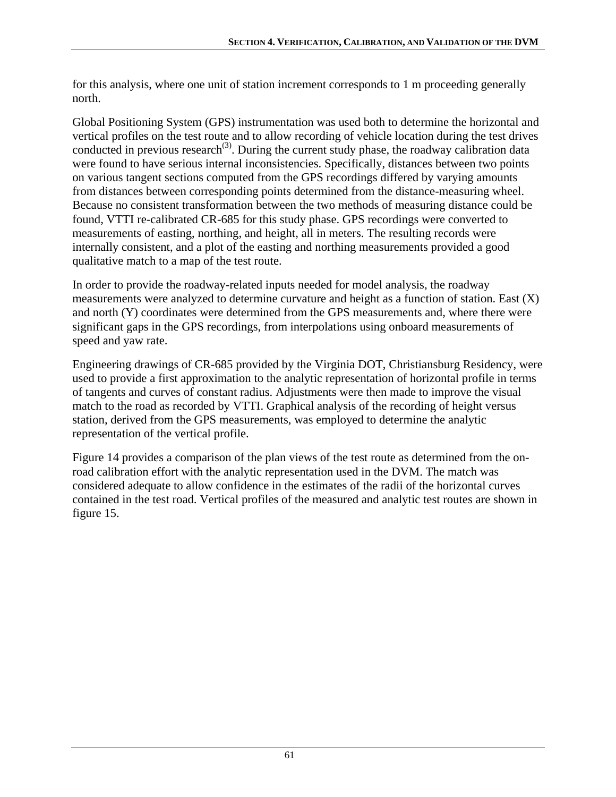for this analysis, where one unit of station increment corresponds to 1 m proceeding generally north.

Global Positioning System (GPS) instrumentation was used both to determine the horizontal and vertical profiles on the test route and to allow recording of vehicle location during the test drives conducted in previous research<sup>(3)</sup>. During the current study phase, the roadway calibration data were found to have serious internal inconsistencies. Specifically, distances between two points on various tangent sections computed from the GPS recordings differed by varying amounts from distances between corresponding points determined from the distance-measuring wheel. Because no consistent transformation between the two methods of measuring distance could be found, VTTI re-calibrated CR-685 for this study phase. GPS recordings were converted to measurements of easting, northing, and height, all in meters. The resulting records were internally consistent, and a plot of the easting and northing measurements provided a good qualitative match to a map of the test route.

In order to provide the roadway-related inputs needed for model analysis, the roadway measurements were analyzed to determine curvature and height as a function of station. East (X) and north (Y) coordinates were determined from the GPS measurements and, where there were significant gaps in the GPS recordings, from interpolations using onboard measurements of speed and yaw rate.

Engineering drawings of CR-685 provided by the Virginia DOT, Christiansburg Residency, were used to provide a first approximation to the analytic representation of horizontal profile in terms of tangents and curves of constant radius. Adjustments were then made to improve the visual match to the road as recorded by VTTI. Graphical analysis of the recording of height versus station, derived from the GPS measurements, was employed to determine the analytic representation of the vertical profile.

[Figure 14](#page-71-0) provides a comparison of the plan views of the test route as determined from the onroad calibration effort with the analytic representation used in the DVM. The match was considered adequate to allow confidence in the estimates of the radii of the horizontal curves contained in the test road. Vertical profiles of the measured and analytic test routes are shown in figure 15.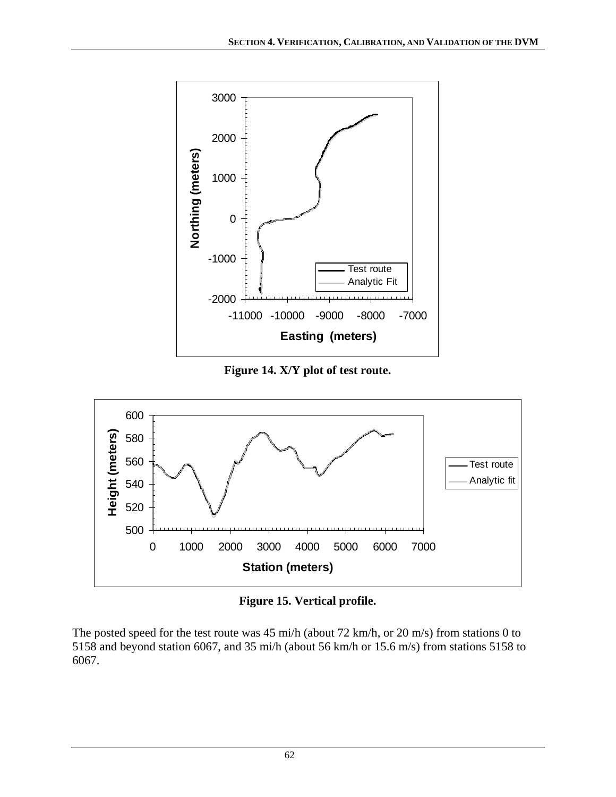

**Figure 14. X/Y plot of test route.** 

<span id="page-71-0"></span>

**Figure 15. Vertical profile.** 

The posted speed for the test route was 45 mi/h (about 72 km/h, or 20 m/s) from stations 0 to 5158 and beyond station 6067, and 35 mi/h (about 56 km/h or 15.6 m/s) from stations 5158 to 6067.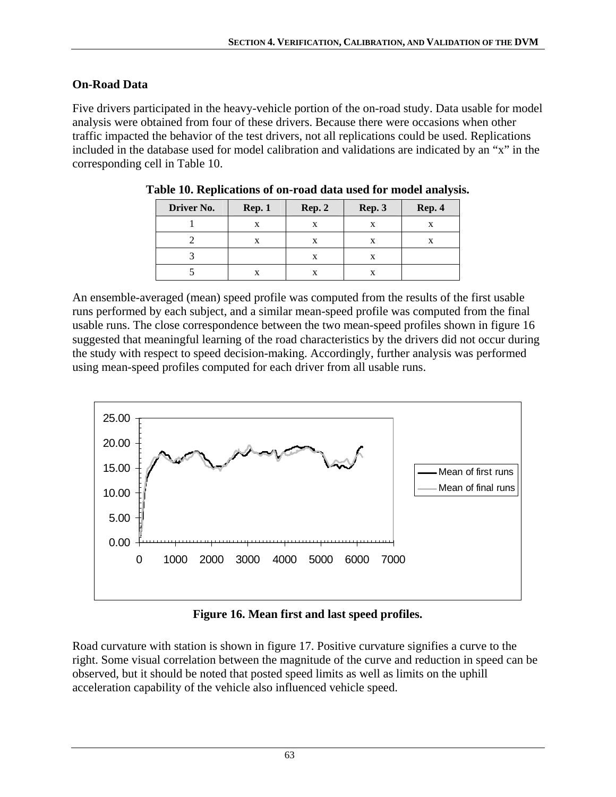# **On-Road Data**

<span id="page-72-0"></span>Five drivers participated in the heavy-vehicle portion of the on-road study. Data usable for model analysis were obtained from four of these drivers. Because there were occasions when other traffic impacted the behavior of the test drivers, not all replications could be used. Replications included in the database used for model calibration and validations are indicated by an "x" in the corresponding cell in [Table 10.](#page-72-0)

| Driver No. | Rep. 1 | Rep. 2 | Rep. 3 | Rep. 4 |
|------------|--------|--------|--------|--------|
|            |        |        |        |        |
|            |        |        | X      |        |
|            |        | X      | X      |        |
|            |        |        |        |        |

|  | Table 10. Replications of on-road data used for model analysis. |  |  |  |  |
|--|-----------------------------------------------------------------|--|--|--|--|
|--|-----------------------------------------------------------------|--|--|--|--|

An ensemble-averaged (mean) speed profile was computed from the results of the first usable runs performed by each subject, and a similar mean-speed profile was computed from the final usable runs. The close correspondence between the two mean-speed profiles shown in figure 16 suggested that meaningful learning of the road characteristics by the drivers did not occur during the study with respect to speed decision-making. Accordingly, further analysis was performed using mean-speed profiles computed for each driver from all usable runs.



**Figure 16. Mean first and last speed profiles.** 

Road curvature with station is shown in figure 17. Positive curvature signifies a curve to the right. Some visual correlation between the magnitude of the curve and reduction in speed can be observed, but it should be noted that posted speed limits as well as limits on the uphill acceleration capability of the vehicle also influenced vehicle speed.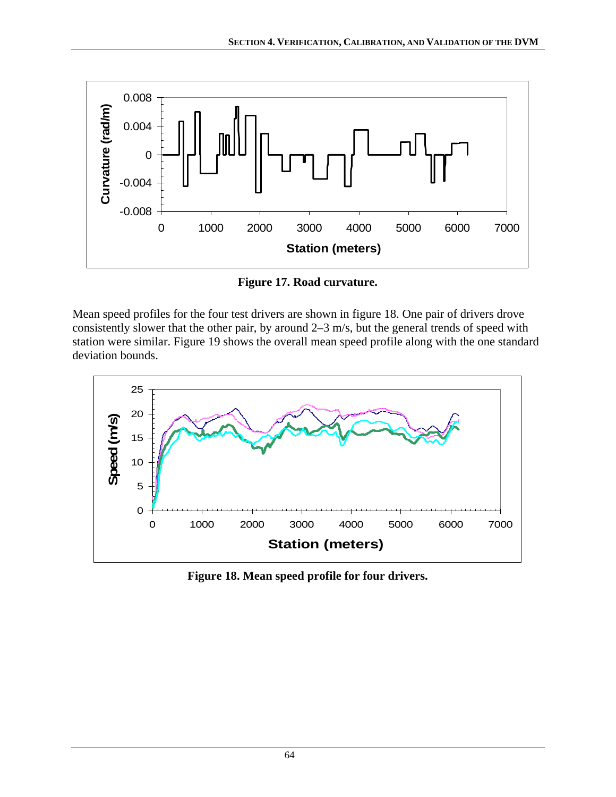

**Figure 17. Road curvature.** 

Mean speed profiles for the four test drivers are shown in figure 18. One pair of drivers drove consistently slower that the other pair, by around 2–3 m/s, but the general trends of speed with station were similar. [Figure 19](#page-74-0) shows the overall mean speed profile along with the one standard deviation bounds.



**Figure 18. Mean speed profile for four drivers.**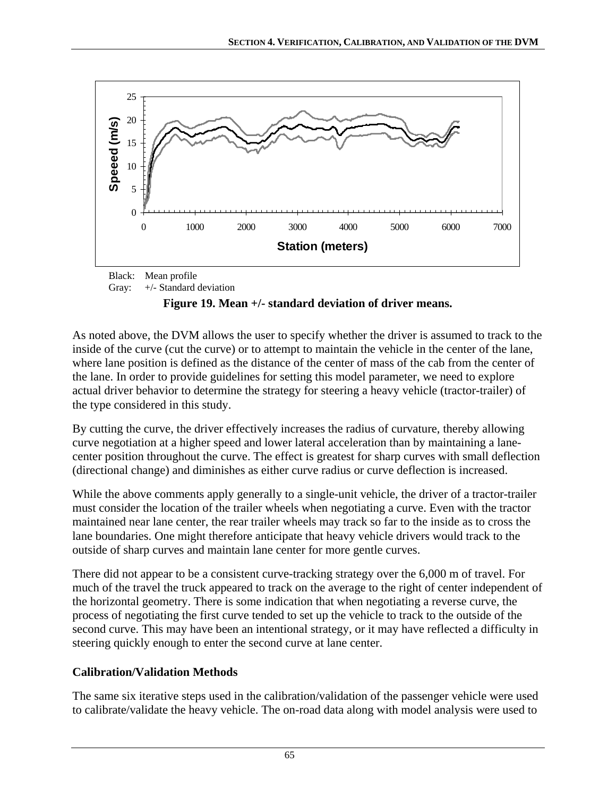

Gray: +/- Standard deviation

# **Figure 19. Mean +/- standard deviation of driver means.**

<span id="page-74-0"></span>As noted above, the DVM allows the user to specify whether the driver is assumed to track to the inside of the curve (cut the curve) or to attempt to maintain the vehicle in the center of the lane, where lane position is defined as the distance of the center of mass of the cab from the center of the lane. In order to provide guidelines for setting this model parameter, we need to explore actual driver behavior to determine the strategy for steering a heavy vehicle (tractor-trailer) of the type considered in this study.

By cutting the curve, the driver effectively increases the radius of curvature, thereby allowing curve negotiation at a higher speed and lower lateral acceleration than by maintaining a lanecenter position throughout the curve. The effect is greatest for sharp curves with small deflection (directional change) and diminishes as either curve radius or curve deflection is increased.

While the above comments apply generally to a single-unit vehicle, the driver of a tractor-trailer must consider the location of the trailer wheels when negotiating a curve. Even with the tractor maintained near lane center, the rear trailer wheels may track so far to the inside as to cross the lane boundaries. One might therefore anticipate that heavy vehicle drivers would track to the outside of sharp curves and maintain lane center for more gentle curves.

There did not appear to be a consistent curve-tracking strategy over the 6,000 m of travel. For much of the travel the truck appeared to track on the average to the right of center independent of the horizontal geometry. There is some indication that when negotiating a reverse curve, the process of negotiating the first curve tended to set up the vehicle to track to the outside of the second curve. This may have been an intentional strategy, or it may have reflected a difficulty in steering quickly enough to enter the second curve at lane center.

# **Calibration/Validation Methods**

The same six iterative steps used in the calibration/validation of the passenger vehicle were used to calibrate/validate the heavy vehicle. The on-road data along with model analysis were used to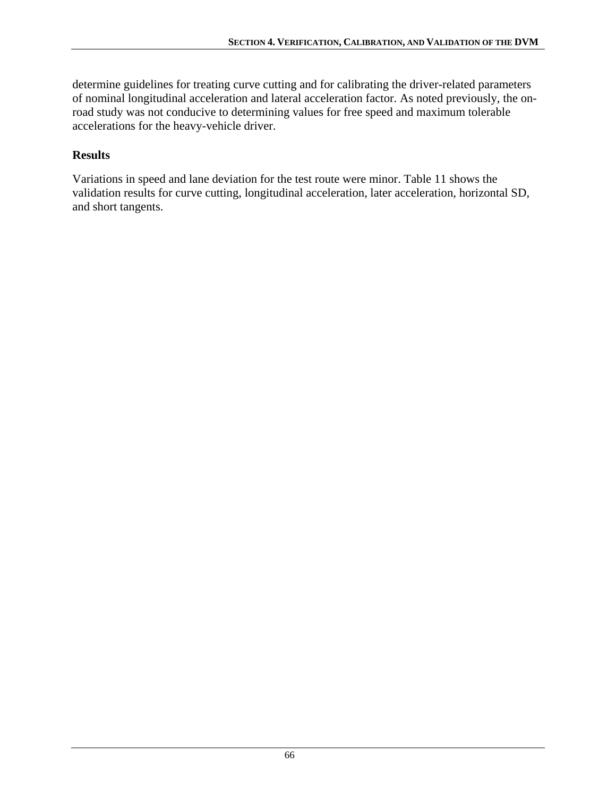determine guidelines for treating curve cutting and for calibrating the driver-related parameters of nominal longitudinal acceleration and lateral acceleration factor. As noted previously, the onroad study was not conducive to determining values for free speed and maximum tolerable accelerations for the heavy-vehicle driver.

### **Results**

Variations in speed and lane deviation for the test route were minor. [Table 11](#page-76-0) shows the validation results for curve cutting, longitudinal acceleration, later acceleration, horizontal SD, and short tangents.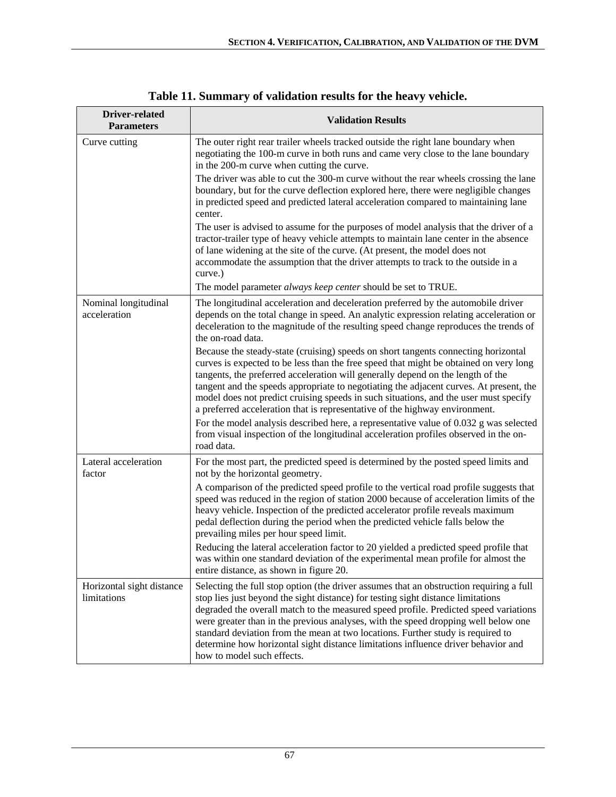<span id="page-76-0"></span>

| Driver-related<br><b>Parameters</b>      | <b>Validation Results</b>                                                                                                                                                                                                                                                                                                                                                                                                                                                                                                                                       |  |  |  |
|------------------------------------------|-----------------------------------------------------------------------------------------------------------------------------------------------------------------------------------------------------------------------------------------------------------------------------------------------------------------------------------------------------------------------------------------------------------------------------------------------------------------------------------------------------------------------------------------------------------------|--|--|--|
| Curve cutting                            | The outer right rear trailer wheels tracked outside the right lane boundary when<br>negotiating the 100-m curve in both runs and came very close to the lane boundary<br>in the 200-m curve when cutting the curve.                                                                                                                                                                                                                                                                                                                                             |  |  |  |
|                                          | The driver was able to cut the 300-m curve without the rear wheels crossing the lane<br>boundary, but for the curve deflection explored here, there were negligible changes<br>in predicted speed and predicted lateral acceleration compared to maintaining lane<br>center.                                                                                                                                                                                                                                                                                    |  |  |  |
|                                          | The user is advised to assume for the purposes of model analysis that the driver of a<br>tractor-trailer type of heavy vehicle attempts to maintain lane center in the absence<br>of lane widening at the site of the curve. (At present, the model does not<br>accommodate the assumption that the driver attempts to track to the outside in a<br>curve.)                                                                                                                                                                                                     |  |  |  |
|                                          | The model parameter always keep center should be set to TRUE.                                                                                                                                                                                                                                                                                                                                                                                                                                                                                                   |  |  |  |
| Nominal longitudinal<br>acceleration     | The longitudinal acceleration and deceleration preferred by the automobile driver<br>depends on the total change in speed. An analytic expression relating acceleration or<br>deceleration to the magnitude of the resulting speed change reproduces the trends of<br>the on-road data.                                                                                                                                                                                                                                                                         |  |  |  |
|                                          | Because the steady-state (cruising) speeds on short tangents connecting horizontal<br>curves is expected to be less than the free speed that might be obtained on very long<br>tangents, the preferred acceleration will generally depend on the length of the<br>tangent and the speeds appropriate to negotiating the adjacent curves. At present, the<br>model does not predict cruising speeds in such situations, and the user must specify<br>a preferred acceleration that is representative of the highway environment.                                 |  |  |  |
|                                          | For the model analysis described here, a representative value of 0.032 g was selected<br>from visual inspection of the longitudinal acceleration profiles observed in the on-<br>road data.                                                                                                                                                                                                                                                                                                                                                                     |  |  |  |
| Lateral acceleration<br>factor           | For the most part, the predicted speed is determined by the posted speed limits and<br>not by the horizontal geometry.                                                                                                                                                                                                                                                                                                                                                                                                                                          |  |  |  |
|                                          | A comparison of the predicted speed profile to the vertical road profile suggests that<br>speed was reduced in the region of station 2000 because of acceleration limits of the<br>heavy vehicle. Inspection of the predicted accelerator profile reveals maximum<br>pedal deflection during the period when the predicted vehicle falls below the<br>prevailing miles per hour speed limit.                                                                                                                                                                    |  |  |  |
|                                          | Reducing the lateral acceleration factor to 20 yielded a predicted speed profile that<br>was within one standard deviation of the experimental mean profile for almost the<br>entire distance, as shown in figure 20.                                                                                                                                                                                                                                                                                                                                           |  |  |  |
| Horizontal sight distance<br>limitations | Selecting the full stop option (the driver assumes that an obstruction requiring a full<br>stop lies just beyond the sight distance) for testing sight distance limitations<br>degraded the overall match to the measured speed profile. Predicted speed variations<br>were greater than in the previous analyses, with the speed dropping well below one<br>standard deviation from the mean at two locations. Further study is required to<br>determine how horizontal sight distance limitations influence driver behavior and<br>how to model such effects. |  |  |  |

# **Table 11. Summary of validation results for the heavy vehicle.**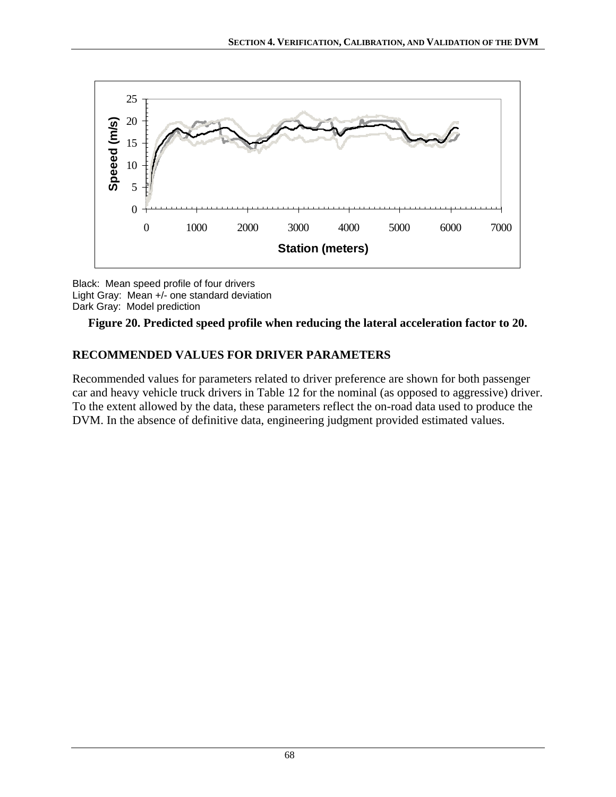

Black: Mean speed profile of four drivers Light Gray: Mean +/- one standard deviation Dark Gray: Model prediction



# **RECOMMENDED VALUES FOR DRIVER PARAMETERS**

Recommended values for parameters related to driver preference are shown for both passenger car and heavy vehicle truck drivers in [Table 12](#page-78-0) for the nominal (as opposed to aggressive) driver. To the extent allowed by the data, these parameters reflect the on-road data used to produce the DVM. In the absence of definitive data, engineering judgment provided estimated values.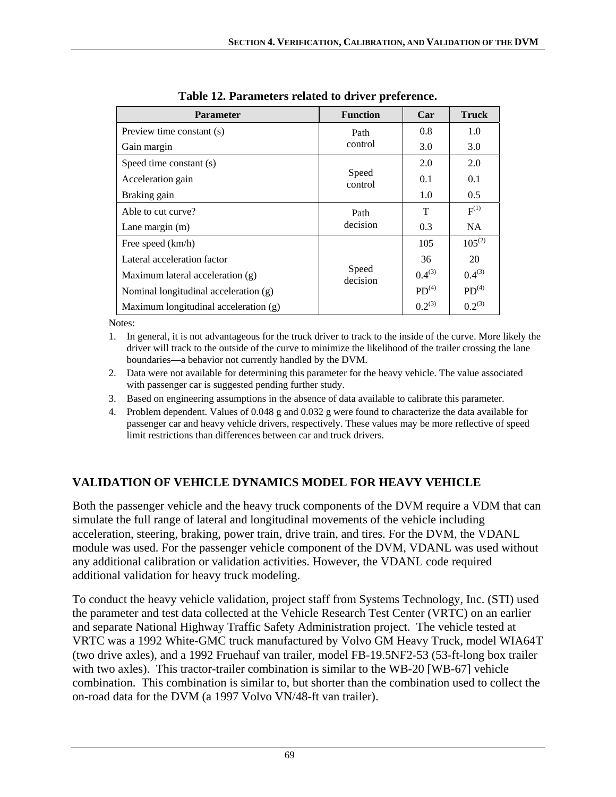<span id="page-78-0"></span>

| <b>Parameter</b>                      | <b>Function</b>   | Car               | <b>Truck</b>      |
|---------------------------------------|-------------------|-------------------|-------------------|
| Preview time constant (s)             | Path              | 0.8               | 1.0               |
| Gain margin                           | control           | 3.0               | 3.0               |
| Speed time constant (s)               |                   | 2.0               | 2.0               |
| Acceleration gain                     | Speed<br>control  | 0.1               | 0.1               |
| Braking gain                          |                   | 1.0               | 0.5               |
| Able to cut curve?                    | Path              | т                 | $F^{(1)}$         |
| Lane margin $(m)$                     | decision          | 0.3               | <b>NA</b>         |
| Free speed (km/h)                     |                   | 105               | $105^{(2)}$       |
| Lateral acceleration factor           |                   | 36                | 20                |
| Maximum lateral acceleration (g)      | Speed<br>decision | $0.4^{(3)}$       | $0.4^{(3)}$       |
| Nominal longitudinal acceleration (g) |                   | PD <sup>(4)</sup> | PD <sup>(4)</sup> |
| Maximum longitudinal acceleration (g) |                   | $0.2^{(3)}$       | $0.2^{(3)}$       |

**Table 12. Parameters related to driver preference.** 

Notes:

- 1. In general, it is not advantageous for the truck driver to track to the inside of the curve. More likely the driver will track to the outside of the curve to minimize the likelihood of the trailer crossing the lane boundaries—a behavior not currently handled by the DVM.
- 2. Data were not available for determining this parameter for the heavy vehicle. The value associated with passenger car is suggested pending further study.
- 3. Based on engineering assumptions in the absence of data available to calibrate this parameter.
- 4. Problem dependent. Values of 0.048 g and 0.032 g were found to characterize the data available for passenger car and heavy vehicle drivers, respectively. These values may be more reflective of speed limit restrictions than differences between car and truck drivers.

# **VALIDATION OF VEHICLE DYNAMICS MODEL FOR HEAVY VEHICLE**

Both the passenger vehicle and the heavy truck components of the DVM require a VDM that can simulate the full range of lateral and longitudinal movements of the vehicle including acceleration, steering, braking, power train, drive train, and tires. For the DVM, the VDANL module was used. For the passenger vehicle component of the DVM, VDANL was used without any additional calibration or validation activities. However, the VDANL code required additional validation for heavy truck modeling.

To conduct the heavy vehicle validation, project staff from Systems Technology, Inc. (STI) used the parameter and test data collected at the Vehicle Research Test Center (VRTC) on an earlier and separate National Highway Traffic Safety Administration project. The vehicle tested at VRTC was a 1992 White-GMC truck manufactured by Volvo GM Heavy Truck, model WIA64T (two drive axles), and a 1992 Fruehauf van trailer, model FB-19.5NF2-53 (53-ft-long box trailer with two axles). This tractor-trailer combination is similar to the WB-20 [WB-67] vehicle combination. This combination is similar to, but shorter than the combination used to collect the on-road data for the DVM (a 1997 Volvo VN/48-ft van trailer).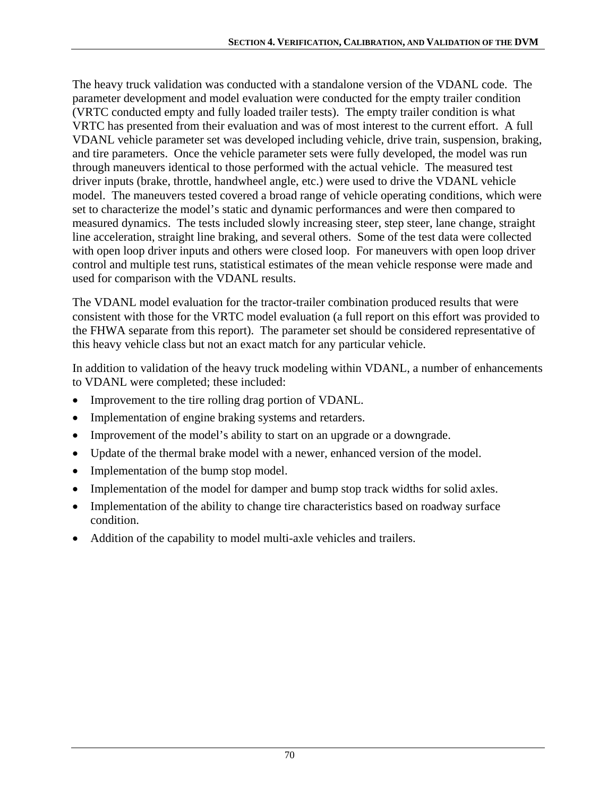The heavy truck validation was conducted with a standalone version of the VDANL code. The parameter development and model evaluation were conducted for the empty trailer condition (VRTC conducted empty and fully loaded trailer tests). The empty trailer condition is what VRTC has presented from their evaluation and was of most interest to the current effort. A full VDANL vehicle parameter set was developed including vehicle, drive train, suspension, braking, and tire parameters. Once the vehicle parameter sets were fully developed, the model was run through maneuvers identical to those performed with the actual vehicle. The measured test driver inputs (brake, throttle, handwheel angle, etc.) were used to drive the VDANL vehicle model. The maneuvers tested covered a broad range of vehicle operating conditions, which were set to characterize the model's static and dynamic performances and were then compared to measured dynamics. The tests included slowly increasing steer, step steer, lane change, straight line acceleration, straight line braking, and several others. Some of the test data were collected with open loop driver inputs and others were closed loop. For maneuvers with open loop driver control and multiple test runs, statistical estimates of the mean vehicle response were made and used for comparison with the VDANL results.

The VDANL model evaluation for the tractor-trailer combination produced results that were consistent with those for the VRTC model evaluation (a full report on this effort was provided to the FHWA separate from this report). The parameter set should be considered representative of this heavy vehicle class but not an exact match for any particular vehicle.

In addition to validation of the heavy truck modeling within VDANL, a number of enhancements to VDANL were completed; these included:

- Improvement to the tire rolling drag portion of VDANL.
- Implementation of engine braking systems and retarders.
- Improvement of the model's ability to start on an upgrade or a downgrade.
- Update of the thermal brake model with a newer, enhanced version of the model.
- Implementation of the bump stop model.
- Implementation of the model for damper and bump stop track widths for solid axles.
- Implementation of the ability to change tire characteristics based on roadway surface condition.
- Addition of the capability to model multi-axle vehicles and trailers.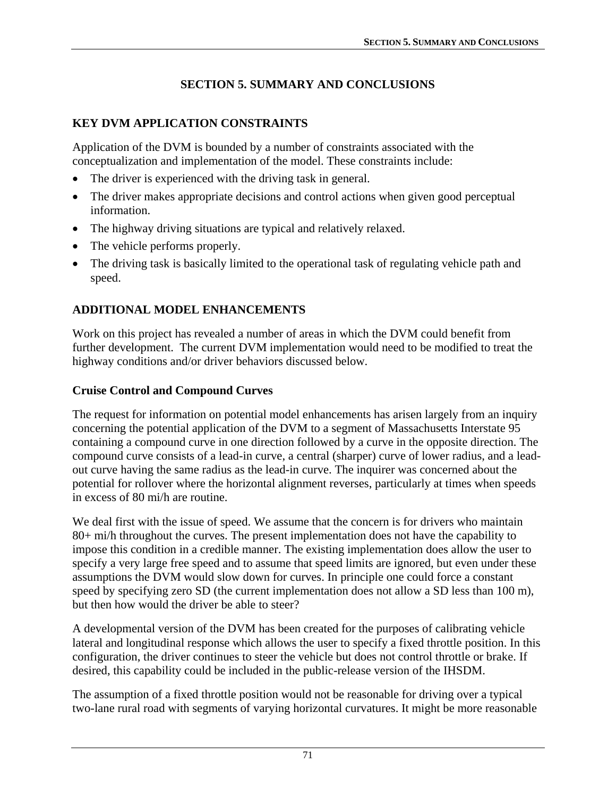# **SECTION 5. SUMMARY AND CONCLUSIONS**

# **KEY DVM APPLICATION CONSTRAINTS**

Application of the DVM is bounded by a number of constraints associated with the conceptualization and implementation of the model. These constraints include:

- The driver is experienced with the driving task in general.
- The driver makes appropriate decisions and control actions when given good perceptual information.
- The highway driving situations are typical and relatively relaxed.
- The vehicle performs properly.
- The driving task is basically limited to the operational task of regulating vehicle path and speed.

# **ADDITIONAL MODEL ENHANCEMENTS**

Work on this project has revealed a number of areas in which the DVM could benefit from further development. The current DVM implementation would need to be modified to treat the highway conditions and/or driver behaviors discussed below.

# **Cruise Control and Compound Curves**

The request for information on potential model enhancements has arisen largely from an inquiry concerning the potential application of the DVM to a segment of Massachusetts Interstate 95 containing a compound curve in one direction followed by a curve in the opposite direction. The compound curve consists of a lead-in curve, a central (sharper) curve of lower radius, and a leadout curve having the same radius as the lead-in curve. The inquirer was concerned about the potential for rollover where the horizontal alignment reverses, particularly at times when speeds in excess of 80 mi/h are routine.

We deal first with the issue of speed. We assume that the concern is for drivers who maintain 80+ mi/h throughout the curves. The present implementation does not have the capability to impose this condition in a credible manner. The existing implementation does allow the user to specify a very large free speed and to assume that speed limits are ignored, but even under these assumptions the DVM would slow down for curves. In principle one could force a constant speed by specifying zero SD (the current implementation does not allow a SD less than 100 m), but then how would the driver be able to steer?

A developmental version of the DVM has been created for the purposes of calibrating vehicle lateral and longitudinal response which allows the user to specify a fixed throttle position. In this configuration, the driver continues to steer the vehicle but does not control throttle or brake. If desired, this capability could be included in the public-release version of the IHSDM.

The assumption of a fixed throttle position would not be reasonable for driving over a typical two-lane rural road with segments of varying horizontal curvatures. It might be more reasonable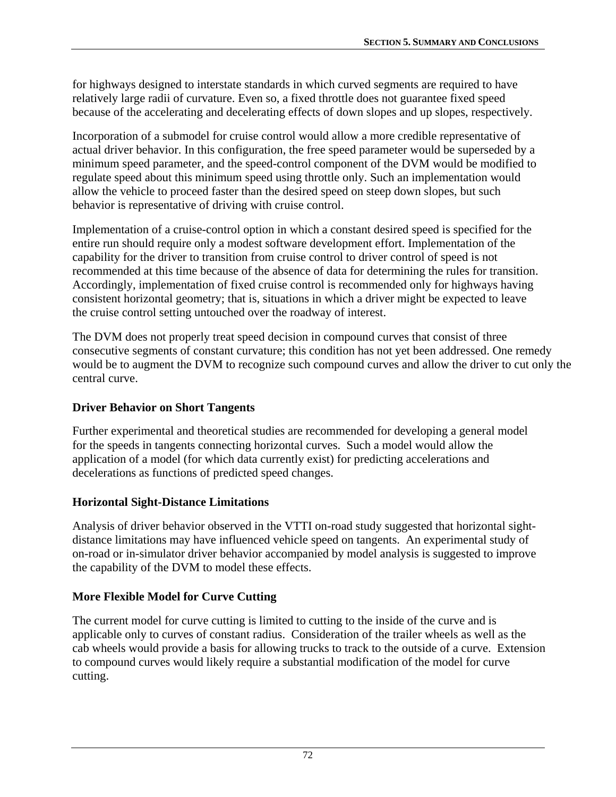for highways designed to interstate standards in which curved segments are required to have relatively large radii of curvature. Even so, a fixed throttle does not guarantee fixed speed because of the accelerating and decelerating effects of down slopes and up slopes, respectively.

Incorporation of a submodel for cruise control would allow a more credible representative of actual driver behavior. In this configuration, the free speed parameter would be superseded by a minimum speed parameter, and the speed-control component of the DVM would be modified to regulate speed about this minimum speed using throttle only. Such an implementation would allow the vehicle to proceed faster than the desired speed on steep down slopes, but such behavior is representative of driving with cruise control.

Implementation of a cruise-control option in which a constant desired speed is specified for the entire run should require only a modest software development effort. Implementation of the capability for the driver to transition from cruise control to driver control of speed is not recommended at this time because of the absence of data for determining the rules for transition. Accordingly, implementation of fixed cruise control is recommended only for highways having consistent horizontal geometry; that is, situations in which a driver might be expected to leave the cruise control setting untouched over the roadway of interest.

The DVM does not properly treat speed decision in compound curves that consist of three consecutive segments of constant curvature; this condition has not yet been addressed. One remedy would be to augment the DVM to recognize such compound curves and allow the driver to cut only the central curve.

#### **Driver Behavior on Short Tangents**

Further experimental and theoretical studies are recommended for developing a general model for the speeds in tangents connecting horizontal curves. Such a model would allow the application of a model (for which data currently exist) for predicting accelerations and decelerations as functions of predicted speed changes.

#### **Horizontal Sight-Distance Limitations**

Analysis of driver behavior observed in the VTTI on-road study suggested that horizontal sightdistance limitations may have influenced vehicle speed on tangents. An experimental study of on-road or in-simulator driver behavior accompanied by model analysis is suggested to improve the capability of the DVM to model these effects.

# **More Flexible Model for Curve Cutting**

The current model for curve cutting is limited to cutting to the inside of the curve and is applicable only to curves of constant radius. Consideration of the trailer wheels as well as the cab wheels would provide a basis for allowing trucks to track to the outside of a curve. Extension to compound curves would likely require a substantial modification of the model for curve cutting.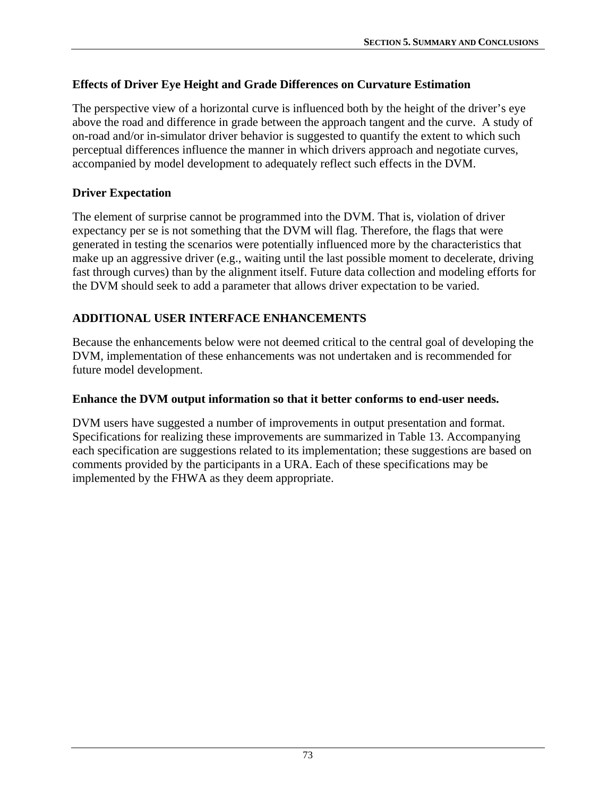### **Effects of Driver Eye Height and Grade Differences on Curvature Estimation**

The perspective view of a horizontal curve is influenced both by the height of the driver's eye above the road and difference in grade between the approach tangent and the curve. A study of on-road and/or in-simulator driver behavior is suggested to quantify the extent to which such perceptual differences influence the manner in which drivers approach and negotiate curves, accompanied by model development to adequately reflect such effects in the DVM.

#### **Driver Expectation**

The element of surprise cannot be programmed into the DVM. That is, violation of driver expectancy per se is not something that the DVM will flag. Therefore, the flags that were generated in testing the scenarios were potentially influenced more by the characteristics that make up an aggressive driver (e.g., waiting until the last possible moment to decelerate, driving fast through curves) than by the alignment itself. Future data collection and modeling efforts for the DVM should seek to add a parameter that allows driver expectation to be varied.

### **ADDITIONAL USER INTERFACE ENHANCEMENTS**

Because the enhancements below were not deemed critical to the central goal of developing the DVM, implementation of these enhancements was not undertaken and is recommended for future model development.

#### **Enhance the DVM output information so that it better conforms to end-user needs.**

DVM users have suggested a number of improvements in output presentation and format. Specifications for realizing these improvements are summarized in [Table 13](#page-83-0). Accompanying each specification are suggestions related to its implementation; these suggestions are based on comments provided by the participants in a URA. Each of these specifications may be implemented by the FHWA as they deem appropriate.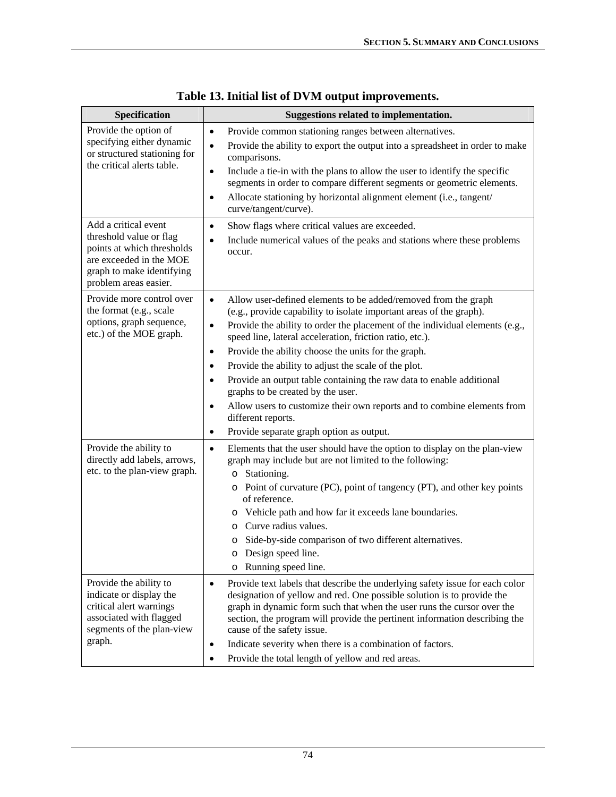<span id="page-83-0"></span>

| Specification                                                                                                                                                                                         | Suggestions related to implementation.                                                                                                                                                                                                                                                                                                                                                                                                                                                                                                                                                                                                                                                                                                                                                                                                                                                                                                                                                                                                                                            |
|-------------------------------------------------------------------------------------------------------------------------------------------------------------------------------------------------------|-----------------------------------------------------------------------------------------------------------------------------------------------------------------------------------------------------------------------------------------------------------------------------------------------------------------------------------------------------------------------------------------------------------------------------------------------------------------------------------------------------------------------------------------------------------------------------------------------------------------------------------------------------------------------------------------------------------------------------------------------------------------------------------------------------------------------------------------------------------------------------------------------------------------------------------------------------------------------------------------------------------------------------------------------------------------------------------|
| Provide the option of<br>specifying either dynamic<br>or structured stationing for<br>the critical alerts table.                                                                                      | Provide common stationing ranges between alternatives.<br>$\bullet$<br>Provide the ability to export the output into a spreadsheet in order to make<br>$\bullet$<br>comparisons.<br>Include a tie-in with the plans to allow the user to identify the specific<br>$\bullet$<br>segments in order to compare different segments or geometric elements.<br>Allocate stationing by horizontal alignment element (i.e., tangent/<br>$\bullet$<br>curve/tangent/curve).                                                                                                                                                                                                                                                                                                                                                                                                                                                                                                                                                                                                                |
| Add a critical event<br>threshold value or flag<br>points at which thresholds<br>are exceeded in the MOE<br>graph to make identifying<br>problem areas easier.                                        | Show flags where critical values are exceeded.<br>$\bullet$<br>Include numerical values of the peaks and stations where these problems<br>$\bullet$<br>occur.                                                                                                                                                                                                                                                                                                                                                                                                                                                                                                                                                                                                                                                                                                                                                                                                                                                                                                                     |
| Provide more control over<br>the format (e.g., scale<br>options, graph sequence,<br>etc.) of the MOE graph.<br>Provide the ability to<br>directly add labels, arrows,<br>etc. to the plan-view graph. | Allow user-defined elements to be added/removed from the graph<br>$\bullet$<br>(e.g., provide capability to isolate important areas of the graph).<br>Provide the ability to order the placement of the individual elements (e.g.,<br>$\bullet$<br>speed line, lateral acceleration, friction ratio, etc.).<br>Provide the ability choose the units for the graph.<br>$\bullet$<br>Provide the ability to adjust the scale of the plot.<br>$\bullet$<br>Provide an output table containing the raw data to enable additional<br>$\bullet$<br>graphs to be created by the user.<br>Allow users to customize their own reports and to combine elements from<br>$\bullet$<br>different reports.<br>Provide separate graph option as output.<br>$\bullet$<br>Elements that the user should have the option to display on the plan-view<br>$\bullet$<br>graph may include but are not limited to the following:<br>o Stationing.<br>o Point of curvature (PC), point of tangency (PT), and other key points<br>of reference.<br>o Vehicle path and how far it exceeds lane boundaries. |
| Provide the ability to<br>indicate or display the                                                                                                                                                     | Curve radius values.<br>$\Omega$<br>Side-by-side comparison of two different alternatives.<br>Design speed line.<br>$\circ$<br>o Running speed line.<br>Provide text labels that describe the underlying safety issue for each color<br>$\bullet$<br>designation of yellow and red. One possible solution is to provide the                                                                                                                                                                                                                                                                                                                                                                                                                                                                                                                                                                                                                                                                                                                                                       |
| critical alert warnings<br>associated with flagged<br>segments of the plan-view<br>graph.                                                                                                             | graph in dynamic form such that when the user runs the cursor over the<br>section, the program will provide the pertinent information describing the<br>cause of the safety issue.<br>Indicate severity when there is a combination of factors.<br>$\bullet$<br>Provide the total length of yellow and red areas.<br>$\bullet$                                                                                                                                                                                                                                                                                                                                                                                                                                                                                                                                                                                                                                                                                                                                                    |

|  |  | Table 13. Initial list of DVM output improvements. |
|--|--|----------------------------------------------------|
|  |  |                                                    |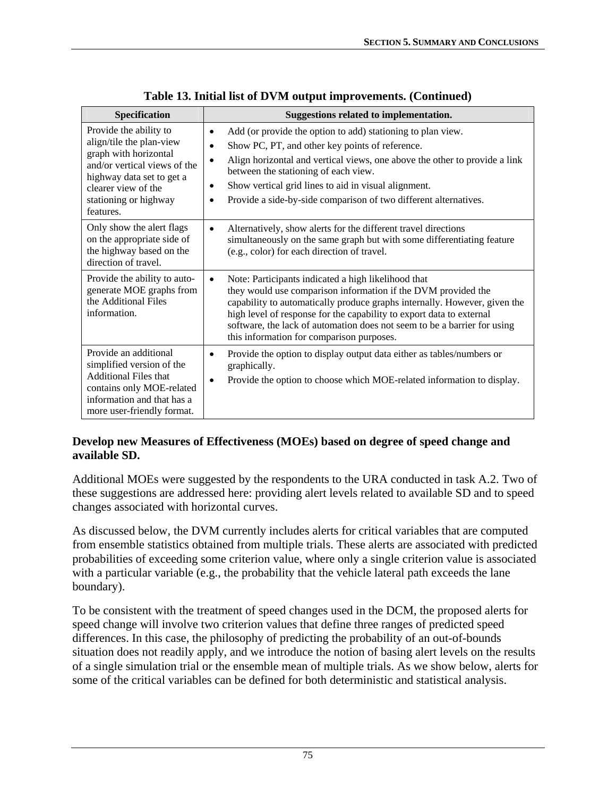| <b>Specification</b>                                                                                                                                                                                  | Suggestions related to implementation.                                                                                                                                                                                                                                                                                                                                                                                            |
|-------------------------------------------------------------------------------------------------------------------------------------------------------------------------------------------------------|-----------------------------------------------------------------------------------------------------------------------------------------------------------------------------------------------------------------------------------------------------------------------------------------------------------------------------------------------------------------------------------------------------------------------------------|
| Provide the ability to<br>align/tile the plan-view<br>graph with horizontal<br>and/or vertical views of the<br>highway data set to get a<br>clearer view of the<br>stationing or highway<br>features. | Add (or provide the option to add) stationing to plan view.<br>$\bullet$<br>Show PC, PT, and other key points of reference.<br>$\bullet$<br>Align horizontal and vertical views, one above the other to provide a link<br>$\bullet$<br>between the stationing of each view.<br>Show vertical grid lines to aid in visual alignment.<br>$\bullet$<br>Provide a side-by-side comparison of two different alternatives.<br>$\bullet$ |
| Only show the alert flags<br>on the appropriate side of<br>the highway based on the<br>direction of travel.                                                                                           | Alternatively, show alerts for the different travel directions<br>$\bullet$<br>simultaneously on the same graph but with some differentiating feature<br>(e.g., color) for each direction of travel.                                                                                                                                                                                                                              |
| Provide the ability to auto-<br>generate MOE graphs from<br>the Additional Files<br>information.                                                                                                      | Note: Participants indicated a high likelihood that<br>they would use comparison information if the DVM provided the<br>capability to automatically produce graphs internally. However, given the<br>high level of response for the capability to export data to external<br>software, the lack of automation does not seem to be a barrier for using<br>this information for comparison purposes.                                |
| Provide an additional<br>simplified version of the<br><b>Additional Files that</b><br>contains only MOE-related<br>information and that has a<br>more user-friendly format.                           | Provide the option to display output data either as tables/numbers or<br>$\bullet$<br>graphically.<br>Provide the option to choose which MOE-related information to display.<br>$\bullet$                                                                                                                                                                                                                                         |

**[Table 13. Initial list of DVM output improvements.](#page-83-0) (Continued)** 

#### **Develop new Measures of Effectiveness (MOEs) based on degree of speed change and available SD.**

Additional MOEs were suggested by the respondents to the URA conducted in task A.2. Two of these suggestions are addressed here: providing alert levels related to available SD and to speed changes associated with horizontal curves.

As discussed below, the DVM currently includes alerts for critical variables that are computed from ensemble statistics obtained from multiple trials. These alerts are associated with predicted probabilities of exceeding some criterion value, where only a single criterion value is associated with a particular variable (e.g., the probability that the vehicle lateral path exceeds the lane boundary).

To be consistent with the treatment of speed changes used in the DCM, the proposed alerts for speed change will involve two criterion values that define three ranges of predicted speed differences. In this case, the philosophy of predicting the probability of an out-of-bounds situation does not readily apply, and we introduce the notion of basing alert levels on the results of a single simulation trial or the ensemble mean of multiple trials. As we show below, alerts for some of the critical variables can be defined for both deterministic and statistical analysis.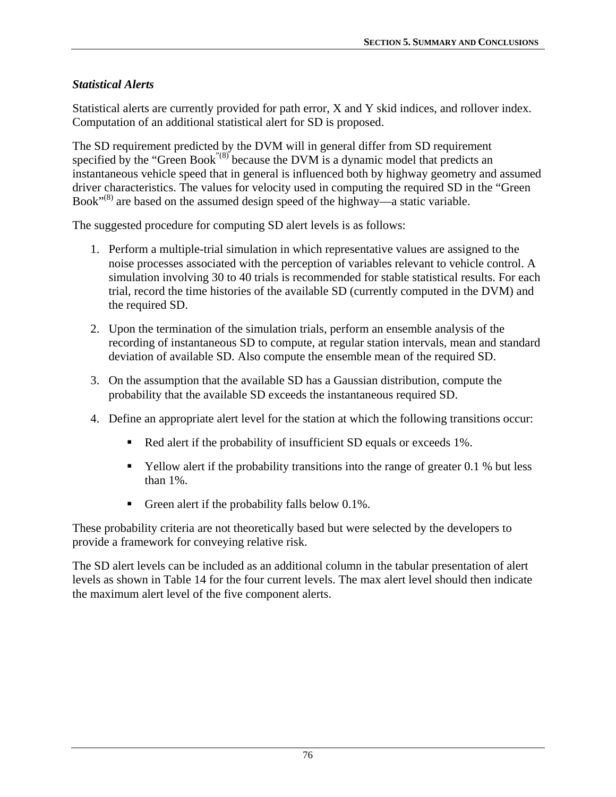### *Statistical Alerts*

Statistical alerts are currently provided for path error, X and Y skid indices, and rollover index. Computation of an additional statistical alert for SD is proposed.

The SD requirement predicted by the DVM will in general differ from SD requirement specified by the "Green Book<sup>"(8)</sup> because the DVM is a dynamic model that predicts an instantaneous vehicle speed that in general is influenced both by highway geometry and assumed driver characteristics. The values for velocity used in computing the required SD in the "Green Book<sup> $(8)$ </sup> are based on the assumed design speed of the highway—a static variable.

The suggested procedure for computing SD alert levels is as follows:

- 1. Perform a multiple-trial simulation in which representative values are assigned to the noise processes associated with the perception of variables relevant to vehicle control. A simulation involving 30 to 40 trials is recommended for stable statistical results. For each trial, record the time histories of the available SD (currently computed in the DVM) and the required SD.
- 2. Upon the termination of the simulation trials, perform an ensemble analysis of the recording of instantaneous SD to compute, at regular station intervals, mean and standard deviation of available SD. Also compute the ensemble mean of the required SD.
- 3. On the assumption that the available SD has a Gaussian distribution, compute the probability that the available SD exceeds the instantaneous required SD.
- 4. Define an appropriate alert level for the station at which the following transitions occur:
	- Red alert if the probability of insufficient SD equals or exceeds 1%.
	- $\blacksquare$  Yellow alert if the probability transitions into the range of greater 0.1 % but less than 1%.
	- Green alert if the probability falls below  $0.1\%$ .

These probability criteria are not theoretically based but were selected by the developers to provide a framework for conveying relative risk.

The SD alert levels can be included as an additional column in the tabular presentation of alert levels as shown in [Table 14](#page-86-0) for the four current levels. The max alert level should then indicate the maximum alert level of the five component alerts.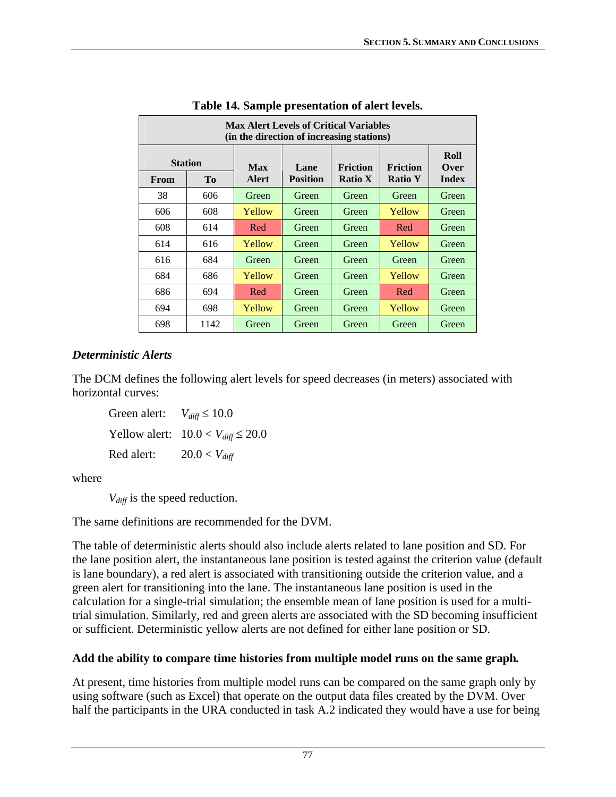<span id="page-86-0"></span>

| <b>Max Alert Levels of Critical Variables</b><br>(in the direction of increasing stations) |                |              |                 |                |                |                     |
|--------------------------------------------------------------------------------------------|----------------|--------------|-----------------|----------------|----------------|---------------------|
| <b>Station</b><br><b>Friction</b><br><b>Friction</b><br><b>Max</b><br>Lane                 |                |              |                 |                |                | Roll<br><b>Over</b> |
| From                                                                                       | T <sub>0</sub> | <b>Alert</b> | <b>Position</b> | <b>Ratio X</b> | <b>Ratio Y</b> | <b>Index</b>        |
| 38                                                                                         | 606            | Green        | Green           | Green          | Green          | Green               |
| 606                                                                                        | 608            | Yellow       | Green           | Green          | Yellow         | Green               |
| 608                                                                                        | 614            | Red          | Green           | Green          | Red            | Green               |
| 614                                                                                        | 616            | Yellow       | Green           | Green          | Yellow         | Green               |
| 616                                                                                        | 684            | Green        | Green           | Green          | Green          | Green               |
| 684                                                                                        | 686            | Yellow       | Green           | Green          | Yellow         | Green               |
| 686                                                                                        | 694            | Red          | Green           | Green          | Red            | Green               |
| 694                                                                                        | 698            | Yellow       | Green           | Green          | Yellow         | Green               |
| 698                                                                                        | 1142           | Green        | Green           | Green          | Green          | Green               |

### *Deterministic Alerts*

The DCM defines the following alert levels for speed decreases (in meters) associated with horizontal curves:

Green alert:  $V_{diff} \le 10.0$ Yellow alert:  $10.0 < V_{diff} \le 20.0$ Red alert:  $20.0 < V_{diff}$ 

where

*V<sub>diff</sub>* is the speed reduction.

The same definitions are recommended for the DVM.

The table of deterministic alerts should also include alerts related to lane position and SD. For the lane position alert, the instantaneous lane position is tested against the criterion value (default is lane boundary), a red alert is associated with transitioning outside the criterion value, and a green alert for transitioning into the lane. The instantaneous lane position is used in the calculation for a single-trial simulation; the ensemble mean of lane position is used for a multitrial simulation. Similarly, red and green alerts are associated with the SD becoming insufficient or sufficient. Deterministic yellow alerts are not defined for either lane position or SD.

#### **Add the ability to compare time histories from multiple model runs on the same graph***.*

At present, time histories from multiple model runs can be compared on the same graph only by using software (such as Excel) that operate on the output data files created by the DVM. Over half the participants in the URA conducted in task A.2 indicated they would have a use for being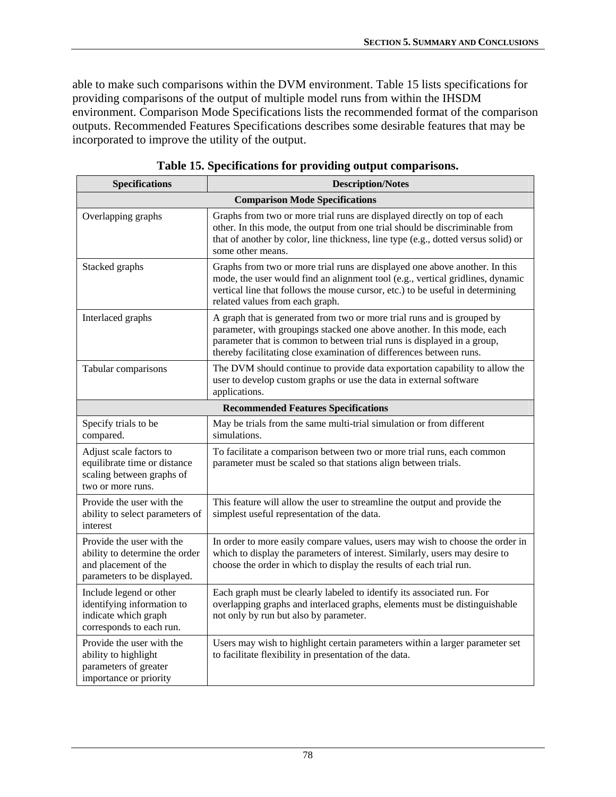able to make such comparisons within the DVM environment. [Table 15](#page-87-0) lists specifications for providing comparisons of the output of multiple model runs from within the IHSDM environment. Comparison Mode Specifications lists the recommended format of the comparison outputs. Recommended Features Specifications describes some desirable features that may be incorporated to improve the utility of the output.

<span id="page-87-0"></span>

| <b>Specifications</b>                                                                                              | <b>Description/Notes</b>                                                                                                                                                                                                                                                                             |
|--------------------------------------------------------------------------------------------------------------------|------------------------------------------------------------------------------------------------------------------------------------------------------------------------------------------------------------------------------------------------------------------------------------------------------|
|                                                                                                                    | <b>Comparison Mode Specifications</b>                                                                                                                                                                                                                                                                |
| Overlapping graphs                                                                                                 | Graphs from two or more trial runs are displayed directly on top of each<br>other. In this mode, the output from one trial should be discriminable from<br>that of another by color, line thickness, line type (e.g., dotted versus solid) or<br>some other means.                                   |
| Stacked graphs                                                                                                     | Graphs from two or more trial runs are displayed one above another. In this<br>mode, the user would find an alignment tool (e.g., vertical gridlines, dynamic<br>vertical line that follows the mouse cursor, etc.) to be useful in determining<br>related values from each graph.                   |
| Interlaced graphs                                                                                                  | A graph that is generated from two or more trial runs and is grouped by<br>parameter, with groupings stacked one above another. In this mode, each<br>parameter that is common to between trial runs is displayed in a group,<br>thereby facilitating close examination of differences between runs. |
| Tabular comparisons                                                                                                | The DVM should continue to provide data exportation capability to allow the<br>user to develop custom graphs or use the data in external software<br>applications.                                                                                                                                   |
|                                                                                                                    | <b>Recommended Features Specifications</b>                                                                                                                                                                                                                                                           |
| Specify trials to be<br>compared.                                                                                  | May be trials from the same multi-trial simulation or from different<br>simulations.                                                                                                                                                                                                                 |
| Adjust scale factors to<br>equilibrate time or distance<br>scaling between graphs of<br>two or more runs.          | To facilitate a comparison between two or more trial runs, each common<br>parameter must be scaled so that stations align between trials.                                                                                                                                                            |
| Provide the user with the<br>ability to select parameters of<br>interest                                           | This feature will allow the user to streamline the output and provide the<br>simplest useful representation of the data.                                                                                                                                                                             |
| Provide the user with the<br>ability to determine the order<br>and placement of the<br>parameters to be displayed. | In order to more easily compare values, users may wish to choose the order in<br>which to display the parameters of interest. Similarly, users may desire to<br>choose the order in which to display the results of each trial run.                                                                  |
| Include legend or other<br>identifying information to<br>indicate which graph<br>corresponds to each run.          | Each graph must be clearly labeled to identify its associated run. For<br>overlapping graphs and interlaced graphs, elements must be distinguishable<br>not only by run but also by parameter.                                                                                                       |
| Provide the user with the<br>ability to highlight<br>parameters of greater<br>importance or priority               | Users may wish to highlight certain parameters within a larger parameter set<br>to facilitate flexibility in presentation of the data.                                                                                                                                                               |

**Table 15. Specifications for providing output comparisons.**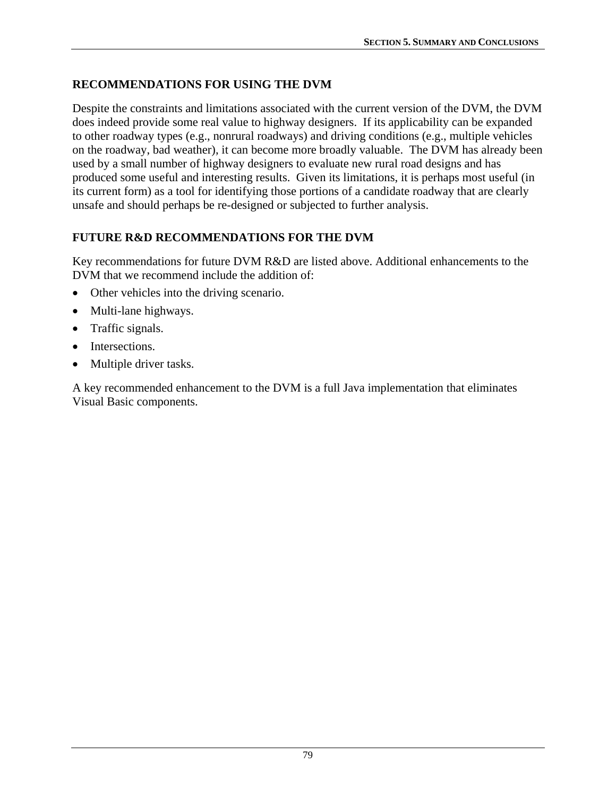# **RECOMMENDATIONS FOR USING THE DVM**

Despite the constraints and limitations associated with the current version of the DVM, the DVM does indeed provide some real value to highway designers. If its applicability can be expanded to other roadway types (e.g., nonrural roadways) and driving conditions (e.g., multiple vehicles on the roadway, bad weather), it can become more broadly valuable. The DVM has already been used by a small number of highway designers to evaluate new rural road designs and has produced some useful and interesting results. Given its limitations, it is perhaps most useful (in its current form) as a tool for identifying those portions of a candidate roadway that are clearly unsafe and should perhaps be re-designed or subjected to further analysis.

# **FUTURE R&D RECOMMENDATIONS FOR THE DVM**

Key recommendations for future DVM R&D are listed above. Additional enhancements to the DVM that we recommend include the addition of:

- Other vehicles into the driving scenario.
- Multi-lane highways.
- Traffic signals.
- Intersections.
- Multiple driver tasks.

A key recommended enhancement to the DVM is a full Java implementation that eliminates Visual Basic components.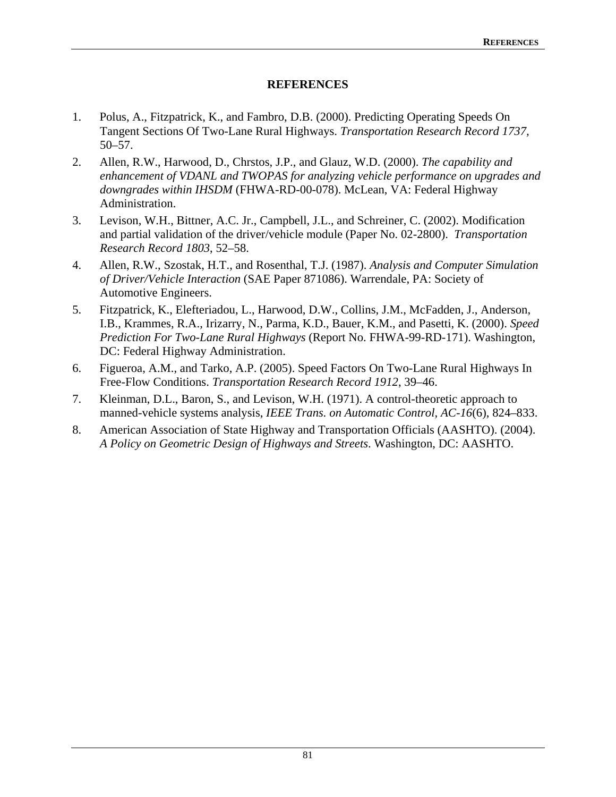#### **REFERENCES**

- 1. Polus, A., Fitzpatrick, K., and Fambro, D.B. (2000). Predicting Operating Speeds On Tangent Sections Of Two-Lane Rural Highways. *Transportation Research Record 1737,* 50–57.
- 2. Allen, R.W., Harwood, D., Chrstos, J.P., and Glauz, W.D. (2000). *The capability and enhancement of VDANL and TWOPAS for analyzing vehicle performance on upgrades and downgrades within IHSDM* (FHWA-RD-00-078). McLean, VA: Federal Highway Administration.
- 3. Levison, W.H., Bittner, A.C. Jr., Campbell, J.L., and Schreiner, C. (2002). Modification and partial validation of the driver/vehicle module (Paper No. 02-2800). *Transportation Research Record 1803*, 52–58.
- 4. Allen, R.W., Szostak, H.T., and Rosenthal, T.J. (1987). *Analysis and Computer Simulation of Driver/Vehicle Interaction* (SAE Paper 871086). Warrendale, PA: Society of Automotive Engineers.
- 5. Fitzpatrick, K., Elefteriadou, L., Harwood, D.W., Collins, J.M., McFadden, J., Anderson, I.B., Krammes, R.A., Irizarry, N., Parma, K.D., Bauer, K.M., and Pasetti, K. (2000). *Speed Prediction For Two-Lane Rural Highways* (Report No. FHWA-99-RD-171). Washington, DC: Federal Highway Administration.
- 6. Figueroa, A.M., and Tarko, A.P. (2005). Speed Factors On Two-Lane Rural Highways In Free-Flow Conditions. *Transportation Research Record 1912*, 39–46.
- 7. Kleinman, D.L., Baron, S., and Levison, W.H. (1971). A control-theoretic approach to manned-vehicle systems analysis, *IEEE Trans. on Automatic Control, AC-16*(6), 824–833.
- 8. American Association of State Highway and Transportation Officials (AASHTO). (2004). *A Policy on Geometric Design of Highways and Streets*. Washington, DC: AASHTO.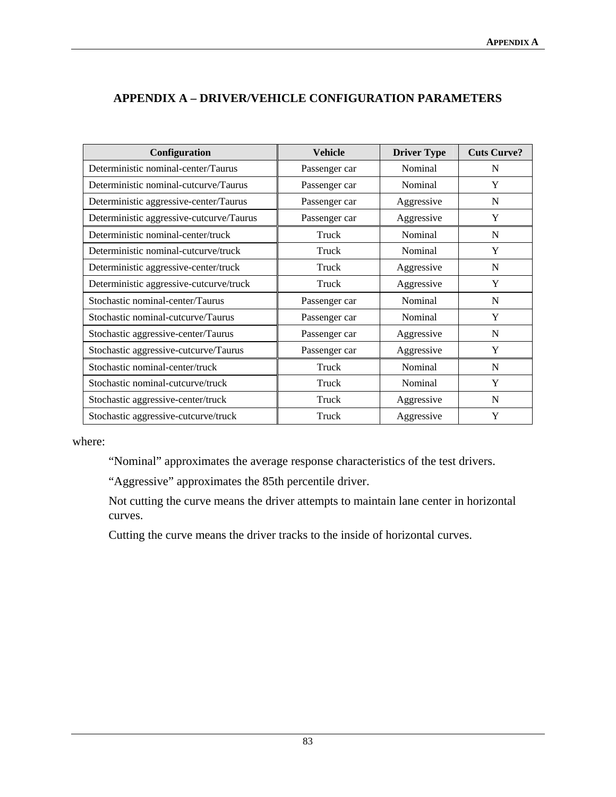| Configuration                            | <b>Vehicle</b> | <b>Driver Type</b> | <b>Cuts Curve?</b> |
|------------------------------------------|----------------|--------------------|--------------------|
| Deterministic nominal-center/Taurus      | Passenger car  | Nominal            | N                  |
| Deterministic nominal-cutcurve/Taurus    | Passenger car  | Nominal            | Y                  |
| Deterministic aggressive-center/Taurus   | Passenger car  | Aggressive         | N                  |
| Deterministic aggressive-cutcurve/Taurus | Passenger car  | Aggressive         | Y                  |
| Deterministic nominal-center/truck       | Truck          | Nominal            | N                  |
| Deterministic nominal-cutcurve/truck     | Truck          | Nominal            | Y                  |
| Deterministic aggressive-center/truck    | Truck          | Aggressive         | N                  |
| Deterministic aggressive-cutcurve/truck  | Truck          | Aggressive         | Y                  |
| Stochastic nominal-center/Taurus         | Passenger car  | Nominal            | N                  |
| Stochastic nominal-cutcurve/Taurus       | Passenger car  | Nominal            | Y                  |
| Stochastic aggressive-center/Taurus      | Passenger car  | Aggressive         | N                  |
| Stochastic aggressive-cutcurve/Taurus    | Passenger car  | Aggressive         | Y                  |
| Stochastic nominal-center/truck          | Truck          | Nominal            | N                  |
| Stochastic nominal-cutcurve/truck        | Truck          | Nominal            | Y                  |
| Stochastic aggressive-center/truck       | Truck          | Aggressive         | N                  |
| Stochastic aggressive-cutcurve/truck     | Truck          | Aggressive         | Y                  |

### **APPENDIX A – DRIVER/VEHICLE CONFIGURATION PARAMETERS**

where:

"Nominal" approximates the average response characteristics of the test drivers.

"Aggressive" approximates the 85th percentile driver.

Not cutting the curve means the driver attempts to maintain lane center in horizontal curves.

Cutting the curve means the driver tracks to the inside of horizontal curves.